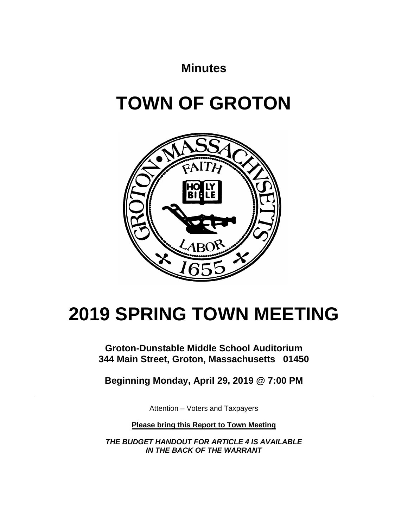## **Minutes**

# **TOWN OF GROTON**



# **2019 SPRING TOWN MEETING**

**Groton-Dunstable Middle School Auditorium 344 Main Street, Groton, Massachusetts 01450**

**Beginning Monday, April 29, 2019 @ 7:00 PM**

Attention – Voters and Taxpayers

**Please bring this Report to Town Meeting**

*THE BUDGET HANDOUT FOR ARTICLE 4 IS AVAILABLE IN THE BACK OF THE WARRANT*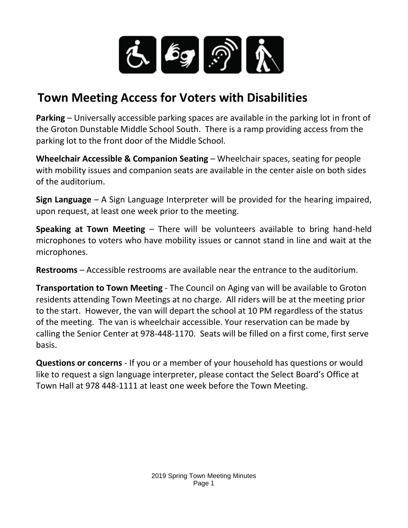

## **Town Meeting Access for Voters with Disabilities**

**Parking** – Universally accessible parking spaces are available in the parking lot in front of the Groton Dunstable Middle School South. There is a ramp providing access from the parking lot to the front door of the Middle School.

**Wheelchair Accessible & Companion Seating** – Wheelchair spaces, seating for people with mobility issues and companion seats are available in the center aisle on both sides of the auditorium.

**Sign Language** – A Sign Language Interpreter will be provided for the hearing impaired, upon request, at least one week prior to the meeting.

**Speaking at Town Meeting** – There will be volunteers available to bring hand-held microphones to voters who have mobility issues or cannot stand in line and wait at the microphones.

**Restrooms** – Accessible restrooms are available near the entrance to the auditorium.

**Transportation to Town Meeting** - The Council on Aging van will be available to Groton residents attending Town Meetings at no charge. All riders will be at the meeting prior to the start. However, the van will depart the school at 10 PM regardless of the status of the meeting. The van is wheelchair accessible. Your reservation can be made by calling the Senior Center at 978-448-1170. Seats will be filled on a first come, first serve basis.

**Questions or concerns** - If you or a member of your household has questions or would like to request a sign language interpreter, please contact the Select Board's Office at Town Hall at 978 448-1111 at least one week before the Town Meeting.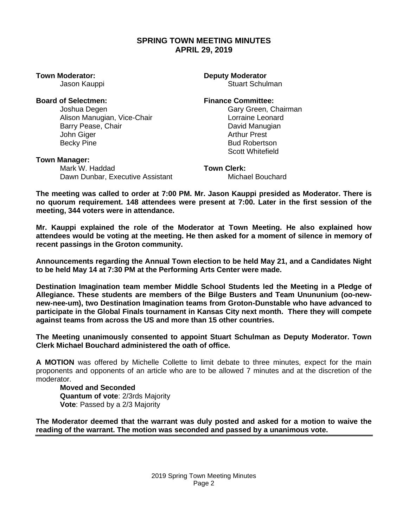### **SPRING TOWN MEETING MINUTES APRIL 29, 2019**

#### **Town Moderator: Deputy Moderator**

Jason Kauppi **Stuart Schulman** 

#### **Board of Selectmen: Finance Committee:**

Joshua Degen Gary Green, Chairman Alison Manugian, Vice-Chair Lorraine Leonard Barry Pease, Chair **David Manugian** John Giger **Arthur Prest** Becky Pine **Bud Robertson** 

#### **Town Manager:**

Mark W. Haddad **Town Clerk:** Dawn Dunbar, Executive Assistant Michael Bouchard

Scott Whitefield

**The meeting was called to order at 7:00 PM. Mr. Jason Kauppi presided as Moderator. There is no quorum requirement. 148 attendees were present at 7:00. Later in the first session of the meeting, 344 voters were in attendance.** 

**Mr. Kauppi explained the role of the Moderator at Town Meeting. He also explained how attendees would be voting at the meeting. He then asked for a moment of silence in memory of recent passings in the Groton community.**

**Announcements regarding the Annual Town election to be held May 21, and a Candidates Night to be held May 14 at 7:30 PM at the Performing Arts Center were made.** 

**Destination Imagination team member Middle School Students led the Meeting in a Pledge of Allegiance. These students are members of the Bilge Busters and Team Unununium (oo-newnew-nee-um), two Destination Imagination teams from Groton-Dunstable who have advanced to participate in the Global Finals tournament in Kansas City next month. There they will compete against teams from across the US and more than 15 other countries.**

**The Meeting unanimously consented to appoint Stuart Schulman as Deputy Moderator. Town Clerk Michael Bouchard administered the oath of office.** 

**A MOTION** was offered by Michelle Collette to limit debate to three minutes, expect for the main proponents and opponents of an article who are to be allowed 7 minutes and at the discretion of the moderator.

**Moved and Seconded Quantum of vote**: 2/3rds Majority **Vote**: Passed by a 2/3 Majority

**The Moderator deemed that the warrant was duly posted and asked for a motion to waive the reading of the warrant. The motion was seconded and passed by a unanimous vote.**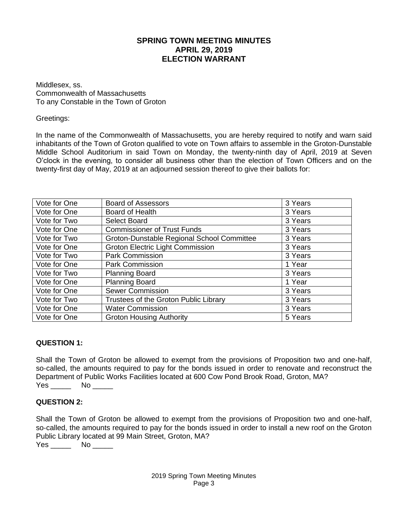### **SPRING TOWN MEETING MINUTES APRIL 29, 2019 ELECTION WARRANT**

Middlesex, ss. Commonwealth of Massachusetts To any Constable in the Town of Groton

Greetings:

In the name of the Commonwealth of Massachusetts, you are hereby required to notify and warn said inhabitants of the Town of Groton qualified to vote on Town affairs to assemble in the Groton-Dunstable Middle School Auditorium in said Town on Monday, the twenty-ninth day of April, 2019 at Seven O'clock in the evening, to consider all business other than the election of Town Officers and on the twenty-first day of May, 2019 at an adjourned session thereof to give their ballots for:

| Vote for One | <b>Board of Assessors</b>                  | 3 Years |
|--------------|--------------------------------------------|---------|
| Vote for One | Board of Health                            | 3 Years |
| Vote for Two | Select Board                               | 3 Years |
| Vote for One | <b>Commissioner of Trust Funds</b>         | 3 Years |
| Vote for Two | Groton-Dunstable Regional School Committee | 3 Years |
| Vote for One | <b>Groton Electric Light Commission</b>    | 3 Years |
| Vote for Two | <b>Park Commission</b>                     | 3 Years |
| Vote for One | <b>Park Commission</b>                     | 1 Year  |
| Vote for Two | <b>Planning Board</b>                      | 3 Years |
| Vote for One | <b>Planning Board</b>                      | 1 Year  |
| Vote for One | <b>Sewer Commission</b>                    | 3 Years |
| Vote for Two | Trustees of the Groton Public Library      | 3 Years |
| Vote for One | <b>Water Commission</b>                    | 3 Years |
| Vote for One | <b>Groton Housing Authority</b>            | 5 Years |

### **QUESTION 1:**

Shall the Town of Groton be allowed to exempt from the provisions of Proposition two and one‐half, so-called, the amounts required to pay for the bonds issued in order to renovate and reconstruct the Department of Public Works Facilities located at 600 Cow Pond Brook Road, Groton, MA? Yes No No District No No District No. 1996. In 1997, 1997, 1997, 1997, 1997, 1997, 1997, 1997, 1997, 1997, 199

### **QUESTION 2:**

Shall the Town of Groton be allowed to exempt from the provisions of Proposition two and one‐half, so-called, the amounts required to pay for the bonds issued in order to install a new roof on the Groton Public Library located at 99 Main Street, Groton, MA?

Yes \_\_\_\_\_\_\_ No \_\_\_\_\_\_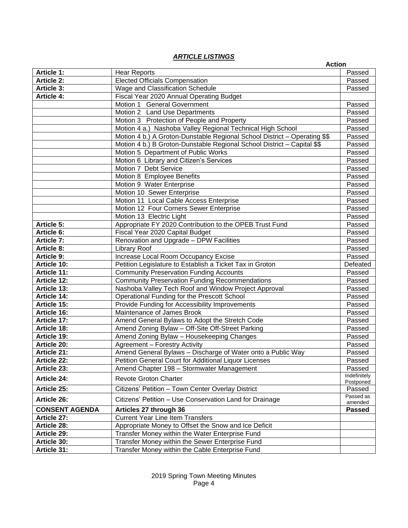#### *ARTICLE LISTINGS*

|                                        | _______________                                                                                  | <b>Action</b>             |
|----------------------------------------|--------------------------------------------------------------------------------------------------|---------------------------|
| <b>Article 1:</b>                      | <b>Hear Reports</b>                                                                              | Passed                    |
| <b>Article 2:</b>                      | <b>Elected Officials Compensation</b>                                                            | Passed                    |
| <b>Article 3:</b>                      | Wage and Classification Schedule                                                                 | Passed                    |
| <b>Article 4:</b>                      | Fiscal Year 2020 Annual Operating Budget                                                         |                           |
|                                        | Motion 1 General Government                                                                      | Passed                    |
|                                        | Motion 2 Land Use Departments                                                                    | Passed                    |
|                                        | Motion 3 Protection of People and Property                                                       | Passed                    |
|                                        | Motion 4 a.) Nashoba Valley Regional Technical High School                                       | Passed                    |
|                                        | Motion 4 b.) A Groton-Dunstable Regional School District - Operating \$\$                        | Passed                    |
|                                        | Motion 4 b.) B Groton-Dunstable Regional School District - Capital \$\$                          | Passed                    |
|                                        | Motion 5 Department of Public Works                                                              | Passed                    |
|                                        | Motion 6 Library and Citizen's Services                                                          | Passed                    |
|                                        | Motion 7 Debt Service                                                                            | Passed                    |
|                                        | Motion 8 Employee Benefits                                                                       | Passed                    |
|                                        | Motion 9 Water Enterprise                                                                        | Passed                    |
|                                        | Motion 10 Sewer Enterprise                                                                       | Passed                    |
|                                        | Motion 11 Local Cable Access Enterprise                                                          | Passed                    |
|                                        | Motion 12 Four Corners Sewer Enterprise                                                          | Passed                    |
|                                        | Motion 13 Electric Light                                                                         | Passed                    |
| <b>Article 5:</b>                      | Appropriate FY 2020 Contribution to the OPEB Trust Fund                                          | Passed                    |
| <b>Article 6:</b>                      | Fiscal Year 2020 Capital Budget                                                                  | Passed                    |
| <b>Article 7:</b>                      | Renovation and Upgrade - DPW Facilities                                                          | Passed                    |
| <b>Article 8:</b><br><b>Article 9:</b> | <b>Library Roof</b>                                                                              | Passed<br>Passed          |
| Article 10:                            | Increase Local Room Occupancy Excise<br>Petition Legislature to Establish a Ticket Tax in Groton | Defeated                  |
| Article 11:                            | <b>Community Preservation Funding Accounts</b>                                                   | Passed                    |
| Article 12:                            | <b>Community Preservation Funding Recommendations</b>                                            | Passed                    |
| Article 13:                            | Nashoba Valley Tech Roof and Window Project Approval                                             | Passed                    |
| Article 14:                            | Operational Funding for the Prescott School                                                      | Passed                    |
| Article 15:                            | Provide Funding for Accessibility Improvements                                                   | Passed                    |
| Article 16:                            | Maintenance of James Brook                                                                       | Passed                    |
| Article 17:                            | Amend General Bylaws to Adopt the Stretch Code                                                   | Passed                    |
| <b>Article 18:</b>                     | Amend Zoning Bylaw - Off-Site Off-Street Parking                                                 | Passed                    |
| Article 19:                            | Amend Zoning Bylaw - Housekeeping Changes                                                        | Passed                    |
| Article 20:                            | Agreement - Forestry Activity                                                                    | Passed                    |
| Article 21:                            | Amend General Bylaws - Discharge of Water onto a Public Way                                      | Passed                    |
| Article 22:                            | Petition General Court for Additional Liquor Licenses                                            | Passed                    |
| Article 23:                            | Amend Chapter 198 - Stormwater Management                                                        | Passed                    |
| <b>Article 24:</b>                     | <b>Revote Groton Charter</b>                                                                     | Indefinitely<br>Postponed |
| Article 25:                            | Citizens' Petition - Town Center Overlay District                                                | Passed                    |
| Article 26:                            | Citizens' Petition - Use Conservation Land for Drainage                                          | Passed as<br>amended      |
| <b>CONSENT AGENDA</b>                  | Articles 27 through 36                                                                           | <b>Passed</b>             |
| Article 27:                            | <b>Current Year Line Item Transfers</b>                                                          |                           |
| Article 28:                            | Appropriate Money to Offset the Snow and Ice Deficit                                             |                           |
| Article 29:                            | Transfer Money within the Water Enterprise Fund                                                  |                           |
| Article 30:                            | Transfer Money within the Sewer Enterprise Fund                                                  |                           |
| Article 31:                            | Transfer Money within the Cable Enterprise Fund                                                  |                           |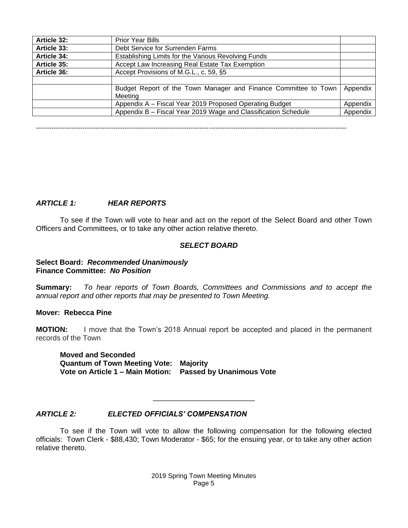| Article 32:                                                                | <b>Prior Year Bills</b>                                                    |          |  |  |
|----------------------------------------------------------------------------|----------------------------------------------------------------------------|----------|--|--|
| <b>Article 33:</b>                                                         | Debt Service for Surrenden Farms                                           |          |  |  |
| <b>Article 34:</b>                                                         | Establishing Limits for the Various Revolving Funds                        |          |  |  |
| Article 35:                                                                | Accept Law Increasing Real Estate Tax Exemption                            |          |  |  |
| Accept Provisions of M.G.L., c. 59, §5<br>Article 36:                      |                                                                            |          |  |  |
|                                                                            |                                                                            |          |  |  |
| Budget Report of the Town Manager and Finance Committee to Town<br>Meeting |                                                                            |          |  |  |
|                                                                            | Appendix A - Fiscal Year 2019 Proposed Operating Budget                    | Appendix |  |  |
|                                                                            | Appendix B - Fiscal Year 2019 Wage and Classification Schedule<br>Appendix |          |  |  |

--------------------------------------------------------------------------------------------------------------------------------------------

#### *ARTICLE 1: HEAR REPORTS*

To see if the Town will vote to hear and act on the report of the Select Board and other Town Officers and Committees, or to take any other action relative thereto.

#### *SELECT BOARD*

#### **Select Board:** *Recommended Unanimously* **Finance Committee:** *No Position*

**Summary:** *To hear reports of Town Boards, Committees and Commissions and to accept the annual report and other reports that may be presented to Town Meeting.*

#### **Mover: Rebecca Pine**

**MOTION:** I move that the Town's 2018 Annual report be accepted and placed in the permanent records of the Town

**Moved and Seconded Quantum of Town Meeting Vote: Majority Vote on Article 1 – Main Motion: Passed by Unanimous Vote**

#### *ARTICLE 2: ELECTED OFFICIALS' COMPENSATION*

To see if the Town will vote to allow the following compensation for the following elected officials: Town Clerk - \$88,430; Town Moderator - \$65; for the ensuing year, or to take any other action relative thereto.

\_\_\_\_\_\_\_\_\_\_\_\_\_\_\_\_\_\_\_\_\_\_\_\_\_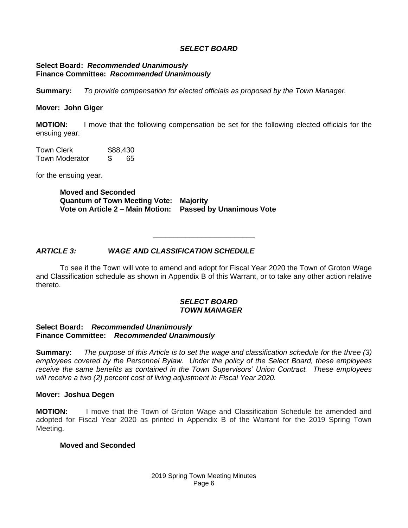#### *SELECT BOARD*

#### **Select Board:** *Recommended Unanimously* **Finance Committee:** *Recommended Unanimously*

**Summary:** *To provide compensation for elected officials as proposed by the Town Manager.*

#### **Mover: John Giger**

**MOTION:** I move that the following compensation be set for the following elected officials for the ensuing year:

Town Clerk \$88,430 Town Moderator \$ 65

for the ensuing year.

**Moved and Seconded Quantum of Town Meeting Vote: Majority Vote on Article 2 – Main Motion: Passed by Unanimous Vote**

#### *ARTICLE 3: WAGE AND CLASSIFICATION SCHEDULE*

To see if the Town will vote to amend and adopt for Fiscal Year 2020 the Town of Groton Wage and Classification schedule as shown in Appendix B of this Warrant, or to take any other action relative thereto.

\_\_\_\_\_\_\_\_\_\_\_\_\_\_\_\_\_\_\_\_\_\_\_\_\_

#### *SELECT BOARD TOWN MANAGER*

#### **Select Board:** *Recommended Unanimously* **Finance Committee:** *Recommended Unanimously*

**Summary:** *The purpose of this Article is to set the wage and classification schedule for the three (3) employees covered by the Personnel Bylaw. Under the policy of the Select Board, these employees receive the same benefits as contained in the Town Supervisors' Union Contract. These employees will receive a two (2) percent cost of living adjustment in Fiscal Year 2020.*

#### **Mover: Joshua Degen**

**MOTION:** I move that the Town of Groton Wage and Classification Schedule be amended and adopted for Fiscal Year 2020 as printed in Appendix B of the Warrant for the 2019 Spring Town Meeting.

#### **Moved and Seconded**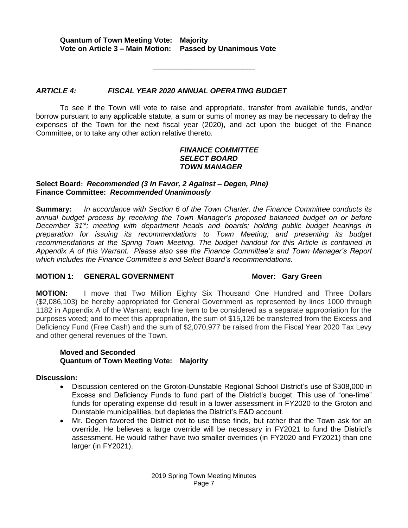**Quantum of Town Meeting Vote: Majority Vote on Article 3 – Main Motion: Passed by Unanimous Vote**

#### *ARTICLE 4: FISCAL YEAR 2020 ANNUAL OPERATING BUDGET*

To see if the Town will vote to raise and appropriate, transfer from available funds, and/or borrow pursuant to any applicable statute, a sum or sums of money as may be necessary to defray the expenses of the Town for the next fiscal year (2020), and act upon the budget of the Finance Committee, or to take any other action relative thereto.

\_\_\_\_\_\_\_\_\_\_\_\_\_\_\_\_\_\_\_\_\_\_\_\_\_

#### *FINANCE COMMITTEE SELECT BOARD TOWN MANAGER*

#### **Select Board:** *Recommended (3 In Favor, 2 Against – Degen, Pine)* **Finance Committee:** *Recommended Unanimously*

**Summary:** *In accordance with Section 6 of the Town Charter, the Finance Committee conducts its annual budget process by receiving the Town Manager's proposed balanced budget on or before December 31st; meeting with department heads and boards; holding public budget hearings in preparation for issuing its recommendations to Town Meeting; and presenting its budget recommendations at the Spring Town Meeting. The budget handout for this Article is contained in Appendix A of this Warrant. Please also see the Finance Committee's and Town Manager's Report which includes the Finance Committee's and Select Board's recommendations*.

#### **MOTION 1: GENERAL GOVERNMENT MOTION MOVER SAMPLE STATES AND MOVER TO MOTION OF STATES AND MOTION MOTION CONTROL**

**MOTION:** I move that Two Million Eighty Six Thousand One Hundred and Three Dollars (\$2,086,103) be hereby appropriated for General Government as represented by lines 1000 through 1182 in Appendix A of the Warrant; each line item to be considered as a separate appropriation for the purposes voted; and to meet this appropriation, the sum of \$15,126 be transferred from the Excess and Deficiency Fund (Free Cash) and the sum of \$2,070,977 be raised from the Fiscal Year 2020 Tax Levy and other general revenues of the Town.

#### **Moved and Seconded Quantum of Town Meeting Vote: Majority**

#### **Discussion:**

- Discussion centered on the Groton-Dunstable Regional School District's use of \$308,000 in Excess and Deficiency Funds to fund part of the District's budget. This use of "one-time" funds for operating expense did result in a lower assessment in FY2020 to the Groton and Dunstable municipalities, but depletes the District's E&D account.
- Mr. Degen favored the District not to use those finds, but rather that the Town ask for an override. He believes a large override will be necessary in FY2021 to fund the District's assessment. He would rather have two smaller overrides (in FY2020 and FY2021) than one larger (in FY2021).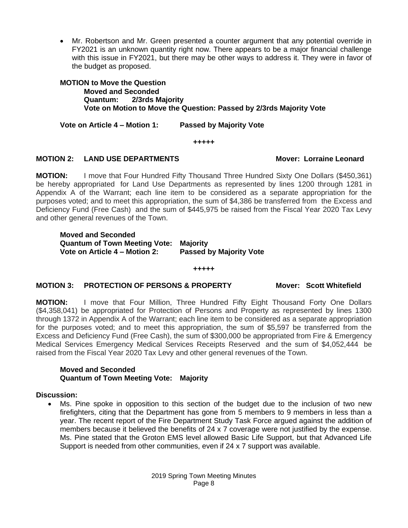• Mr. Robertson and Mr. Green presented a counter argument that any potential override in FY2021 is an unknown quantity right now. There appears to be a major financial challenge with this issue in FY2021, but there may be other ways to address it. They were in favor of the budget as proposed.

**MOTION to Move the Question Moved and Seconded Quantum: 2/3rds Majority Vote on Motion to Move the Question: Passed by 2/3rds Majority Vote**

**Vote on Article 4 – Motion 1: Passed by Majority Vote**

**+++++**

### **MOTION 2: LAND USE DEPARTMENTS Mover: Lorraine Leonard**

**MOTION:** I move that Four Hundred Fifty Thousand Three Hundred Sixty One Dollars (\$450,361) be hereby appropriated for Land Use Departments as represented by lines 1200 through 1281 in Appendix A of the Warrant; each line item to be considered as a separate appropriation for the purposes voted; and to meet this appropriation, the sum of \$4,386 be transferred from the Excess and Deficiency Fund (Free Cash) and the sum of \$445,975 be raised from the Fiscal Year 2020 Tax Levy and other general revenues of the Town.

**Moved and Seconded Quantum of Town Meeting Vote: Majority Vote on Article 4 – Motion 2: Passed by Majority Vote**

#### **+++++**

#### **MOTION 3: PROTECTION OF PERSONS & PROPERTY Mover: Scott Whitefield**

**MOTION:** I move that Four Million, Three Hundred Fifty Eight Thousand Forty One Dollars (\$4,358,041) be appropriated for Protection of Persons and Property as represented by lines 1300 through 1372 in Appendix A of the Warrant; each line item to be considered as a separate appropriation for the purposes voted; and to meet this appropriation, the sum of \$5,597 be transferred from the Excess and Deficiency Fund (Free Cash), the sum of \$300,000 be appropriated from Fire & Emergency Medical Services Emergency Medical Services Receipts Reserved and the sum of \$4,052,444 be raised from the Fiscal Year 2020 Tax Levy and other general revenues of the Town.

#### **Moved and Seconded Quantum of Town Meeting Vote: Majority**

#### **Discussion:**

• Ms. Pine spoke in opposition to this section of the budget due to the inclusion of two new firefighters, citing that the Department has gone from 5 members to 9 members in less than a year. The recent report of the Fire Department Study Task Force argued against the addition of members because it believed the benefits of 24 x 7 coverage were not justified by the expense. Ms. Pine stated that the Groton EMS level allowed Basic Life Support, but that Advanced Life Support is needed from other communities, even if 24 x 7 support was available.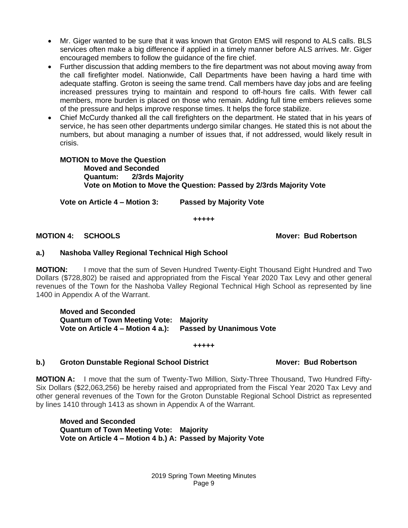- Mr. Giger wanted to be sure that it was known that Groton EMS will respond to ALS calls. BLS services often make a big difference if applied in a timely manner before ALS arrives. Mr. Giger encouraged members to follow the guidance of the fire chief.
- Further discussion that adding members to the fire department was not about moving away from the call firefighter model. Nationwide, Call Departments have been having a hard time with adequate staffing. Groton is seeing the same trend. Call members have day jobs and are feeling increased pressures trying to maintain and respond to off-hours fire calls. With fewer call members, more burden is placed on those who remain. Adding full time embers relieves some of the pressure and helps improve response times. It helps the force stabilize.
- Chief McCurdy thanked all the call firefighters on the department. He stated that in his years of service, he has seen other departments undergo similar changes. He stated this is not about the numbers, but about managing a number of issues that, if not addressed, would likely result in crisis.

#### **MOTION to Move the Question Moved and Seconded Quantum: 2/3rds Majority Vote on Motion to Move the Question: Passed by 2/3rds Majority Vote**

**Vote on Article 4 – Motion 3: Passed by Majority Vote**

**+++++**

#### **MOTION 4: SCHOOLS Mover: Bud Robertson**

#### **a.) Nashoba Valley Regional Technical High School**

**MOTION:** I move that the sum of Seven Hundred Twenty-Eight Thousand Eight Hundred and Two Dollars (\$728,802) be raised and appropriated from the Fiscal Year 2020 Tax Levy and other general revenues of the Town for the Nashoba Valley Regional Technical High School as represented by line 1400 in Appendix A of the Warrant.

**Moved and Seconded Quantum of Town Meeting Vote: Majority Vote on Article 4 – Motion 4 a.): Passed by Unanimous Vote**

#### **+++++**

#### **b.)** Groton Dunstable Regional School District Mover: Bud Robertson

**MOTION A:** I move that the sum of Twenty-Two Million, Sixty-Three Thousand, Two Hundred Fifty-Six Dollars (\$22,063,256) be hereby raised and appropriated from the Fiscal Year 2020 Tax Levy and other general revenues of the Town for the Groton Dunstable Regional School District as represented by lines 1410 through 1413 as shown in Appendix A of the Warrant.

**Moved and Seconded Quantum of Town Meeting Vote: Majority Vote on Article 4 – Motion 4 b.) A: Passed by Majority Vote**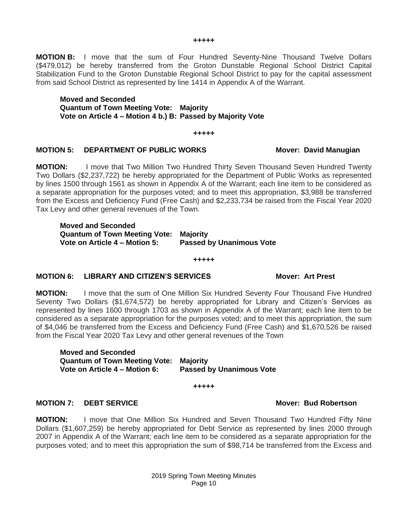**MOTION B:** I move that the sum of Four Hundred Seventy-Nine Thousand Twelve Dollars (\$479,012) be hereby transferred from the Groton Dunstable Regional School District Capital Stabilization Fund to the Groton Dunstable Regional School District to pay for the capital assessment from said School District as represented by line 1414 in Appendix A of the Warrant.

**Moved and Seconded Quantum of Town Meeting Vote: Majority Vote on Article 4 – Motion 4 b.) B: Passed by Majority Vote**

#### **+++++**

#### **MOTION 5: DEPARTMENT OF PUBLIC WORKS MOTION 5: David Manugian**

**MOTION:** I move that Two Million Two Hundred Thirty Seven Thousand Seven Hundred Twenty Two Dollars (\$2,237,722) be hereby appropriated for the Department of Public Works as represented by lines 1500 through 1561 as shown in Appendix A of the Warrant; each line item to be considered as a separate appropriation for the purposes voted; and to meet this appropriation, \$3,988 be transferred from the Excess and Deficiency Fund (Free Cash) and \$2,233,734 be raised from the Fiscal Year 2020 Tax Levy and other general revenues of the Town.

**Moved and Seconded Quantum of Town Meeting Vote: Majority Vote on Article 4 – Motion 5: Passed by Unanimous Vote**

#### **+++++**

#### **MOTION 6: LIBRARY AND CITIZEN'S SERVICES Mover: Art Prest**

**MOTION:** I move that the sum of One Million Six Hundred Seventy Four Thousand Five Hundred Seventy Two Dollars (\$1,674,572) be hereby appropriated for Library and Citizen's Services as represented by lines 1600 through 1703 as shown in Appendix A of the Warrant; each line item to be considered as a separate appropriation for the purposes voted; and to meet this appropriation, the sum of \$4,046 be transferred from the Excess and Deficiency Fund (Free Cash) and \$1,670,526 be raised from the Fiscal Year 2020 Tax Levy and other general revenues of the Town

**Moved and Seconded Quantum of Town Meeting Vote: Majority Vote on Article 4 – Motion 6: Passed by Unanimous Vote**

**+++++**

#### **MOTION 7: DEBT SERVICE Mover: Bud Robertson**

**MOTION:** I move that One Million Six Hundred and Seven Thousand Two Hundred Fifty Nine Dollars (\$1,607,259) be hereby appropriated for Debt Service as represented by lines 2000 through 2007 in Appendix A of the Warrant; each line item to be considered as a separate appropriation for the purposes voted; and to meet this appropriation the sum of \$98,714 be transferred from the Excess and

#### **+++++**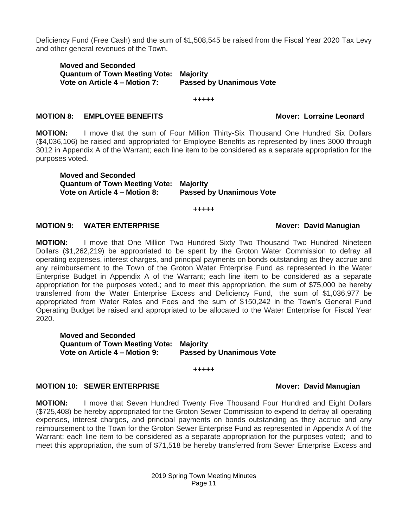Deficiency Fund (Free Cash) and the sum of \$1,508,545 be raised from the Fiscal Year 2020 Tax Levy and other general revenues of the Town.

**Moved and Seconded Quantum of Town Meeting Vote: Majority Passed by Unanimous Vote** 

**+++++**

#### **MOTION 8: EMPLOYEE BENEFITS Mover: Lorraine Leonard**

**MOTION:** I move that the sum of Four Million Thirty-Six Thousand One Hundred Six Dollars (\$4,036,106) be raised and appropriated for Employee Benefits as represented by lines 3000 through 3012 in Appendix A of the Warrant; each line item to be considered as a separate appropriation for the purposes voted.

**Moved and Seconded Quantum of Town Meeting Vote: Majority Vote on Article 4 – Motion 8: Passed by Unanimous Vote**

**+++++**

#### **MOTION 9: WATER ENTERPRISE MOTION 9: WATER ENTERPRISE**

**MOTION:** I move that One Million Two Hundred Sixty Two Thousand Two Hundred Nineteen Dollars (\$1,262,219) be appropriated to be spent by the Groton Water Commission to defray all operating expenses, interest charges, and principal payments on bonds outstanding as they accrue and any reimbursement to the Town of the Groton Water Enterprise Fund as represented in the Water Enterprise Budget in Appendix A of the Warrant; each line item to be considered as a separate appropriation for the purposes voted.; and to meet this appropriation, the sum of \$75,000 be hereby transferred from the Water Enterprise Excess and Deficiency Fund, the sum of \$1,036,977 be appropriated from Water Rates and Fees and the sum of \$150,242 in the Town's General Fund Operating Budget be raised and appropriated to be allocated to the Water Enterprise for Fiscal Year 2020.

**Moved and Seconded Quantum of Town Meeting Vote: Majority Vote on Article 4 – Motion 9: Passed by Unanimous Vote**

#### **MOTION 10: SEWER ENTERPRISE Mover: David Manugian**

**MOTION:** I move that Seven Hundred Twenty Five Thousand Four Hundred and Eight Dollars (\$725,408) be hereby appropriated for the Groton Sewer Commission to expend to defray all operating expenses, interest charges, and principal payments on bonds outstanding as they accrue and any reimbursement to the Town for the Groton Sewer Enterprise Fund as represented in Appendix A of the Warrant; each line item to be considered as a separate appropriation for the purposes voted; and to meet this appropriation, the sum of \$71,518 be hereby transferred from Sewer Enterprise Excess and

**+++++**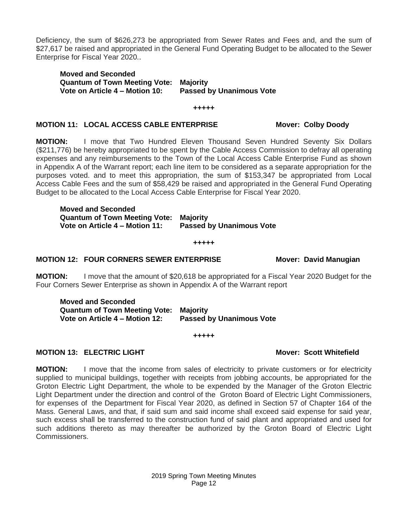Deficiency, the sum of \$626,273 be appropriated from Sewer Rates and Fees and, and the sum of \$27,617 be raised and appropriated in the General Fund Operating Budget to be allocated to the Sewer Enterprise for Fiscal Year 2020..

**Moved and Seconded Quantum of Town Meeting Vote: Majority Vote on Article 4 – Motion 10: Passed by Unanimous Vote**

**+++++**

#### **MOTION 11: LOCAL ACCESS CABLE ENTERPRISE Mover: Colby Doody**

**MOTION:** I move that Two Hundred Eleven Thousand Seven Hundred Seventy Six Dollars (\$211,776) be hereby appropriated to be spent by the Cable Access Commission to defray all operating expenses and any reimbursements to the Town of the Local Access Cable Enterprise Fund as shown in Appendix A of the Warrant report; each line item to be considered as a separate appropriation for the purposes voted. and to meet this appropriation, the sum of \$153,347 be appropriated from Local Access Cable Fees and the sum of \$58,429 be raised and appropriated in the General Fund Operating Budget to be allocated to the Local Access Cable Enterprise for Fiscal Year 2020.

**Moved and Seconded Quantum of Town Meeting Vote: Majority Vote on Article 4 – Motion 11: Passed by Unanimous Vote**

**+++++**

#### **MOTION 12: FOUR CORNERS SEWER ENTERPRISE Mover: David Manugian**

**MOTION:** I move that the amount of \$20,618 be appropriated for a Fiscal Year 2020 Budget for the Four Corners Sewer Enterprise as shown in Appendix A of the Warrant report

**Moved and Seconded Quantum of Town Meeting Vote: Majority Vote on Article 4 – Motion 12: Passed by Unanimous Vote**

**+++++**

### **MOTION 13: ELECTRIC LIGHT Mover: Scott Whitefield**

**MOTION:** I move that the income from sales of electricity to private customers or for electricity supplied to municipal buildings, together with receipts from jobbing accounts, be appropriated for the Groton Electric Light Department, the whole to be expended by the Manager of the Groton Electric Light Department under the direction and control of the Groton Board of Electric Light Commissioners, for expenses of the Department for Fiscal Year 2020, as defined in Section 57 of Chapter 164 of the Mass. General Laws, and that, if said sum and said income shall exceed said expense for said year, such excess shall be transferred to the construction fund of said plant and appropriated and used for such additions thereto as may thereafter be authorized by the Groton Board of Electric Light Commissioners.

> 2019 Spring Town Meeting Minutes Page 12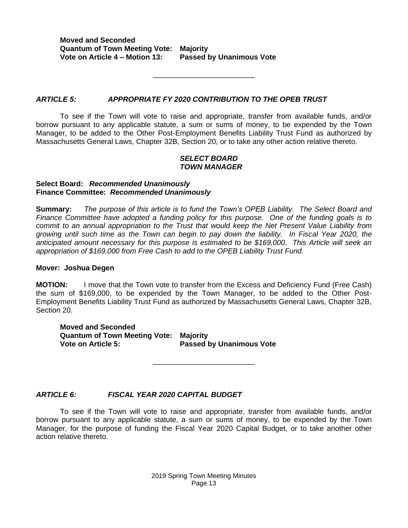**Moved and Seconded Quantum of Town Meeting Vote: Majority Vote on Article 4 – Motion 13: Passed by Unanimous Vote**

#### *ARTICLE 5: APPROPRIATE FY 2020 CONTRIBUTION TO THE OPEB TRUST*

To see if the Town will vote to raise and appropriate, transfer from available funds, and/or borrow pursuant to any applicable statute, a sum or sums of money, to be expended by the Town Manager, to be added to the Other Post-Employment Benefits Liability Trust Fund as authorized by Massachusetts General Laws, Chapter 32B, Section 20, or to take any other action relative thereto.

\_\_\_\_\_\_\_\_\_\_\_\_\_\_\_\_\_\_\_\_\_\_\_\_\_

#### *SELECT BOARD TOWN MANAGER*

#### **Select Board:** *Recommended Unanimously* **Finance Committee:** *Recommended Unanimously*

**Summary:** *The purpose of this article is to fund the Town's OPEB Liability. The Select Board and Finance Committee have adopted a funding policy for this purpose. One of the funding goals is to commit to an annual appropriation to the Trust that would keep the Net Present Value Liability from growing until such time as the Town can begin to pay down the liability. In Fiscal Year 2020, the anticipated amount necessary for this purpose is estimated to be \$169,000. This Article will seek an appropriation of \$169,000 from Free Cash to add to the OPEB Liability Trust Fund.*

#### **Mover: Joshua Degen**

**MOTION:** I move that the Town vote to transfer from the Excess and Deficiency Fund (Free Cash) the sum of \$169,000, to be expended by the Town Manager, to be added to the Other Post-Employment Benefits Liability Trust Fund as authorized by Massachusetts General Laws, Chapter 32B, Section 20.

**Moved and Seconded Quantum of Town Meeting Vote: Majority Vote on Article 5: Passed by Unanimous Vote**

#### *ARTICLE 6: FISCAL YEAR 2020 CAPITAL BUDGET*

To see if the Town will vote to raise and appropriate, transfer from available funds, and/or borrow pursuant to any applicable statute, a sum or sums of money, to be expended by the Town Manager, for the purpose of funding the Fiscal Year 2020 Capital Budget, or to take another other action relative thereto.

\_\_\_\_\_\_\_\_\_\_\_\_\_\_\_\_\_\_\_\_\_\_\_\_\_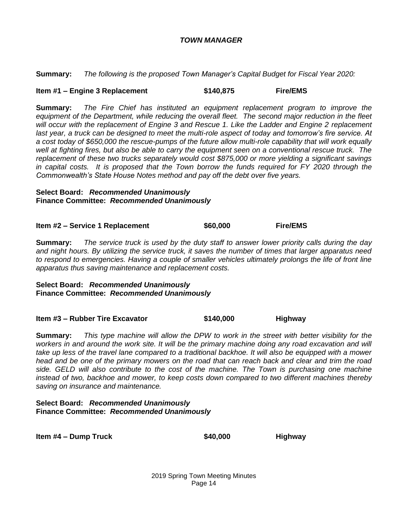#### *TOWN MANAGER*

**Summary:** *The following is the proposed Town Manager's Capital Budget for Fiscal Year 2020:*

#### **Item #1 – Engine 3 Replacement \$140,875 Fire/EMS**

**Summary:** *The Fire Chief has instituted an equipment replacement program to improve the equipment of the Department, while reducing the overall fleet. The second major reduction in the fleet will occur with the replacement of Engine 3 and Rescue 1. Like the Ladder and Engine 2 replacement last year, a truck can be designed to meet the multi-role aspect of today and tomorrow's fire service. At a cost today of \$650,000 the rescue-pumps of the future allow multi-role capability that will work equally*  well at fighting fires, but also be able to carry the equipment seen on a conventional rescue truck. The *replacement of these two trucks separately would cost \$875,000 or more yielding a significant savings in capital costs. It is proposed that the Town borrow the funds required for FY 2020 through the Commonwealth's State House Notes method and pay off the debt over five years.* 

#### **Select Board:** *Recommended Unanimously* **Finance Committee:** *Recommended Unanimously*

**Item #2 – Service 1 Replacement \$60,000 Fire/EMS**

**Summary:** *The service truck is used by the duty staff to answer lower priority calls during the day and night hours. By utilizing the service truck, it saves the number of times that larger apparatus need to respond to emergencies. Having a couple of smaller vehicles ultimately prolongs the life of front line apparatus thus saving maintenance and replacement costs.* 

#### **Select Board:** *Recommended Unanimously* **Finance Committee:** *Recommended Unanimously*

**Item #3 – Rubber Tire Excavator \$140,000 Highway**

**Summary:** *This type machine will allow the DPW to work in the street with better visibility for the*  workers in and around the work site. It will be the primary machine doing any road excavation and will *take up less of the travel lane compared to a traditional backhoe. It will also be equipped with a mower head and be one of the primary mowers on the road that can reach back and clear and trim the road side. GELD will also contribute to the cost of the machine. The Town is purchasing one machine instead of two, backhoe and mower, to keep costs down compared to two different machines thereby saving on insurance and maintenance.*

#### **Select Board:** *Recommended Unanimously* **Finance Committee:** *Recommended Unanimously*

**Item #4 – Dump Truck \$40,000 Highway**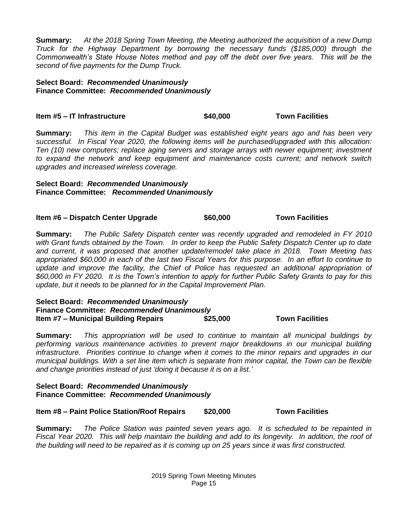**Summary:** *At the 2018 Spring Town Meeting, the Meeting authorized the acquisition of a new Dump Truck for the Highway Department by borrowing the necessary funds (\$185,000) through the Commonwealth's State House Notes method and pay off the debt over five years. This will be the second of five payments for the Dump Truck.*

#### **Select Board:** *Recommended Unanimously* **Finance Committee:** *Recommended Unanimously*

### **Item #5 – IT Infrastructure \$40,000 Town Facilities**

**Summary:** *This item in the Capital Budget was established eight years ago and has been very successful. In Fiscal Year 2020, the following items will be purchased/upgraded with this allocation: Ten (10) new computers; replace aging servers and storage arrays with newer equipment; investment to expand the network and keep equipment and maintenance costs current; and network switch upgrades and increased wireless coverage.*

#### **Select Board:** *Recommended Unanimously* **Finance Committee:** *Recommended Unanimously*

**Item #6 – Dispatch Center Upgrade \$60,000 Town Facilities**

**Summary:** *The Public Safety Dispatch center was recently upgraded and remodeled in FY 2010 with Grant funds obtained by the Town. In order to keep the Public Safety Dispatch Center up to date and current, it was proposed that another update/remodel take place in 2018. Town Meeting has appropriated \$60,000 in each of the last two Fiscal Years for this purpose. In an effort to continue to*  update and improve the facility, the Chief of Police has requested an additional appropriation of *\$60,000 in FY 2020. It is the Town's intention to apply for further Public Safety Grants to pay for this update, but it needs to be planned for in the Capital Improvement Plan.*

#### **Select Board:** *Recommended Unanimously* **Finance Committee:** *Recommended Unanimously* **Item #7 – Municipal Building Repairs \$25,000 Town Facilities**

**Summary:** *This appropriation will be used to continue to maintain all municipal buildings by performing various maintenance activities to prevent major breakdowns in our municipal building infrastructure. Priorities continue to change when it comes to the minor repairs and upgrades in our municipal buildings. With a set line item which is separate from minor capital, the Town can be flexible and change priorities instead of just 'doing it because it is on a list.'*

#### **Select Board:** *Recommended Unanimously* **Finance Committee:** *Recommended Unanimously*

**Item #8 – Paint Police Station/Roof Repairs \$20,000 Town Facilities**

**Summary:** *The Police Station was painted seven years ago. It is scheduled to be repainted in Fiscal Year 2020. This will help maintain the building and add to its longevity. In addition, the roof of the building will need to be repaired as it is coming up on 25 years since it was first constructed.*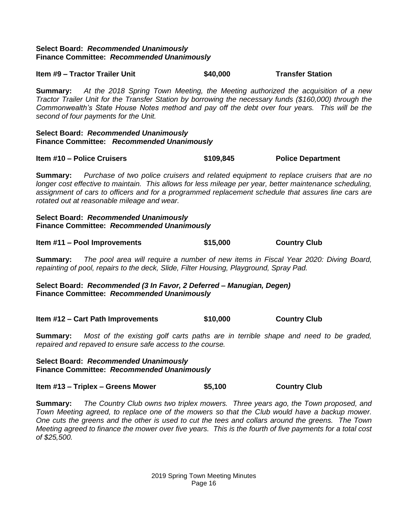#### **Select Board:** *Recommended Unanimously* **Finance Committee:** *Recommended Unanimously*

**Item #9 – Tractor Trailer Unit \$40,000 Transfer Station**

**Summary:** *At the 2018 Spring Town Meeting, the Meeting authorized the acquisition of a new Tractor Trailer Unit for the Transfer Station by borrowing the necessary funds (\$160,000) through the Commonwealth's State House Notes method and pay off the debt over four years. This will be the second of four payments for the Unit.* 

#### **Select Board:** *Recommended Unanimously* **Finance Committee:** *Recommended Unanimously*

**Item #10 – Police Cruisers \$109,845 Police Department**

**Summary:** *Purchase of two police cruisers and related equipment to replace cruisers that are no longer cost effective to maintain. This allows for less mileage per year, better maintenance scheduling, assignment of cars to officers and for a programmed replacement schedule that assures line cars are rotated out at reasonable mileage and wear.*

#### **Select Board:** *Recommended Unanimously* **Finance Committee:** *Recommended Unanimously*

| Item #11 - Pool Improvements | \$15,000 | <b>Country Club</b> |
|------------------------------|----------|---------------------|
|------------------------------|----------|---------------------|

**Summary:** *The pool area will require a number of new items in Fiscal Year 2020: Diving Board, repainting of pool, repairs to the deck, Slide, Filter Housing, Playground, Spray Pad.*

**Select Board:** *Recommended (3 In Favor, 2 Deferred – Manugian, Degen)* **Finance Committee:** *Recommended Unanimously*

**Item #12 – Cart Path Improvements \$10,000 Country Club**

**Summary:** *Most of the existing golf carts paths are in terrible shape and need to be graded, repaired and repaved to ensure safe access to the course.*

#### **Select Board:** *Recommended Unanimously* **Finance Committee:** *Recommended Unanimously*

**Item #13 – Triplex – Greens Mower \$5,100 Country Club**

**Summary:** *The Country Club owns two triplex mowers. Three years ago, the Town proposed, and Town Meeting agreed, to replace one of the mowers so that the Club would have a backup mower. One cuts the greens and the other is used to cut the tees and collars around the greens. The Town Meeting agreed to finance the mower over five years. This is the fourth of five payments for a total cost of \$25,500.*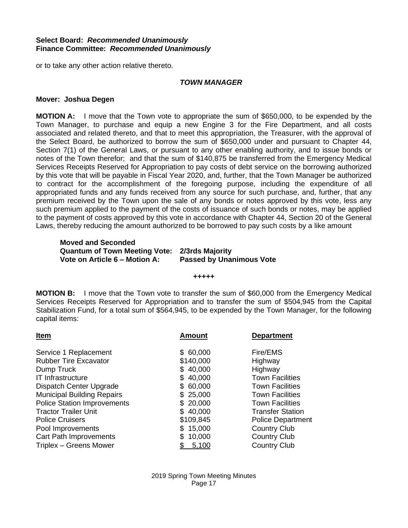#### **Select Board:** *Recommended Unanimously* **Finance Committee:** *Recommended Unanimously*

or to take any other action relative thereto.

#### *TOWN MANAGER*

#### **Mover: Joshua Degen**

**MOTION A:** I move that the Town vote to appropriate the sum of \$650,000, to be expended by the Town Manager, to purchase and equip a new Engine 3 for the Fire Department, and all costs associated and related thereto, and that to meet this appropriation, the Treasurer, with the approval of the Select Board, be authorized to borrow the sum of \$650,000 under and pursuant to Chapter 44, Section 7(1) of the General Laws, or pursuant to any other enabling authority, and to issue bonds or notes of the Town therefor; and that the sum of \$140,875 be transferred from the Emergency Medical Services Receipts Reserved for Appropriation to pay costs of debt service on the borrowing authorized by this vote that will be payable in Fiscal Year 2020, and, further, that the Town Manager be authorized to contract for the accomplishment of the foregoing purpose, including the expenditure of all appropriated funds and any funds received from any source for such purchase, and, further, that any premium received by the Town upon the sale of any bonds or notes approved by this vote, less any such premium applied to the payment of the costs of issuance of such bonds or notes, may be applied to the payment of costs approved by this vote in accordance with Chapter 44, Section 20 of the General Laws, thereby reducing the amount authorized to be borrowed to pay such costs by a like amount

#### **Moved and Seconded Quantum of Town Meeting Vote: 2/3rds Majority Vote on Article 6 – Motion A: Passed by Unanimous Vote**

#### **+++++**

**MOTION B:** I move that the Town vote to transfer the sum of \$60,000 from the Emergency Medical Services Receipts Reserved for Appropriation and to transfer the sum of \$504,945 from the Capital Stabilization Fund, for a total sum of \$564,945, to be expended by the Town Manager, for the following capital items:

| Item                               | <b>Amount</b> | <b>Department</b>        |  |  |
|------------------------------------|---------------|--------------------------|--|--|
| Service 1 Replacement              | \$60,000      | Fire/EMS                 |  |  |
| <b>Rubber Tire Excavator</b>       | \$140,000     | Highway                  |  |  |
| Dump Truck                         | \$40,000      | Highway                  |  |  |
| IT Infrastructure                  | \$40,000      | <b>Town Facilities</b>   |  |  |
| Dispatch Center Upgrade            | \$60,000      | <b>Town Facilities</b>   |  |  |
| <b>Municipal Building Repairs</b>  | \$25,000      | <b>Town Facilities</b>   |  |  |
| <b>Police Station Improvements</b> | \$20,000      | <b>Town Facilities</b>   |  |  |
| <b>Tractor Trailer Unit</b>        | \$40,000      | <b>Transfer Station</b>  |  |  |
| <b>Police Cruisers</b>             | \$109,845     | <b>Police Department</b> |  |  |
| Pool Improvements                  | \$15,000      | <b>Country Club</b>      |  |  |
| <b>Cart Path Improvements</b>      | 10,000<br>\$. | <b>Country Club</b>      |  |  |
| Triplex - Greens Mower             | 5,100         | <b>Country Club</b>      |  |  |
|                                    |               |                          |  |  |

2019 Spring Town Meeting Minutes Page 17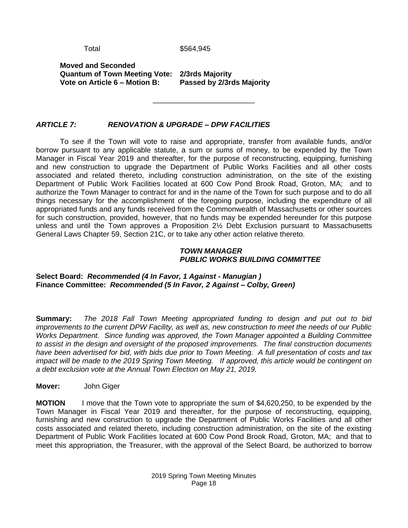Total \$564,945

\_\_\_\_\_\_\_\_\_\_\_\_\_\_\_\_\_\_\_\_\_\_\_\_\_

**Moved and Seconded Quantum of Town Meeting Vote: 2/3rds Majority Vote on Article 6 – Motion B:** 

### *ARTICLE 7: RENOVATION & UPGRADE – DPW FACILITIES*

To see if the Town will vote to raise and appropriate, transfer from available funds, and/or borrow pursuant to any applicable statute, a sum or sums of money, to be expended by the Town Manager in Fiscal Year 2019 and thereafter, for the purpose of reconstructing, equipping, furnishing and new construction to upgrade the Department of Public Works Facilities and all other costs associated and related thereto, including construction administration, on the site of the existing Department of Public Work Facilities located at 600 Cow Pond Brook Road, Groton, MA; and to authorize the Town Manager to contract for and in the name of the Town for such purpose and to do all things necessary for the accomplishment of the foregoing purpose, including the expenditure of all appropriated funds and any funds received from the Commonwealth of Massachusetts or other sources for such construction, provided, however, that no funds may be expended hereunder for this purpose unless and until the Town approves a Proposition 2½ Debt Exclusion pursuant to Massachusetts General Laws Chapter 59, Section 21C, or to take any other action relative thereto.

#### *TOWN MANAGER PUBLIC WORKS BUILDING COMMITTEE*

**Select Board:** *Recommended (4 In Favor, 1 Against - Manugian )* **Finance Committee:** *Recommended (5 In Favor, 2 Against – Colby, Green)*

**Summary:** *The 2018 Fall Town Meeting appropriated funding to design and put out to bid improvements to the current DPW Facility, as well as, new construction to meet the needs of our Public Works Department. Since funding was approved, the Town Manager appointed a Building Committee to assist in the design and oversight of the proposed improvements. The final construction documents have been advertised for bid, with bids due prior to Town Meeting. A full presentation of costs and tax impact will be made to the 2019 Spring Town Meeting. If approved, this article would be contingent on a debt exclusion vote at the Annual Town Election on May 21, 2019.*

**Mover:** John Giger

**MOTION** I move that the Town vote to appropriate the sum of \$4,620,250, to be expended by the Town Manager in Fiscal Year 2019 and thereafter, for the purpose of reconstructing, equipping, furnishing and new construction to upgrade the Department of Public Works Facilities and all other costs associated and related thereto, including construction administration, on the site of the existing Department of Public Work Facilities located at 600 Cow Pond Brook Road, Groton, MA; and that to meet this appropriation, the Treasurer, with the approval of the Select Board, be authorized to borrow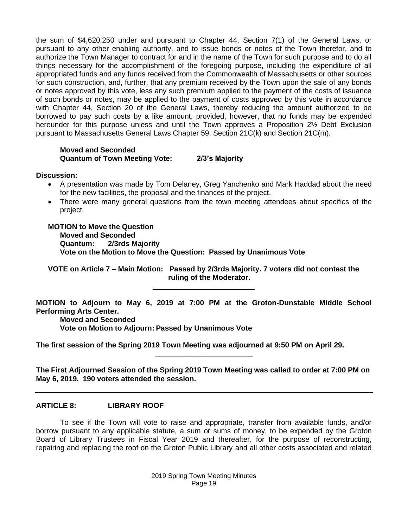the sum of \$4,620,250 under and pursuant to Chapter 44, Section 7(1) of the General Laws, or pursuant to any other enabling authority, and to issue bonds or notes of the Town therefor, and to authorize the Town Manager to contract for and in the name of the Town for such purpose and to do all things necessary for the accomplishment of the foregoing purpose, including the expenditure of all appropriated funds and any funds received from the Commonwealth of Massachusetts or other sources for such construction, and, further, that any premium received by the Town upon the sale of any bonds or notes approved by this vote, less any such premium applied to the payment of the costs of issuance of such bonds or notes, may be applied to the payment of costs approved by this vote in accordance with Chapter 44, Section 20 of the General Laws, thereby reducing the amount authorized to be borrowed to pay such costs by a like amount, provided, however, that no funds may be expended hereunder for this purpose unless and until the Town approves a Proposition 2½ Debt Exclusion pursuant to Massachusetts General Laws Chapter 59, Section 21C(k) and Section 21C(m).

#### **Moved and Seconded Quantum of Town Meeting Vote: 2/3's Majority**

**Discussion:**

- A presentation was made by Tom Delaney, Greg Yanchenko and Mark Haddad about the need for the new facilities, the proposal and the finances of the project.
- There were many general questions from the town meeting attendees about specifics of the project.

**MOTION to Move the Question Moved and Seconded Quantum: 2/3rds Majority Vote on the Motion to Move the Question: Passed by Unanimous Vote**

**VOTE on Article 7 – Main Motion: Passed by 2/3rds Majority. 7 voters did not contest the ruling of the Moderator.**

\_\_\_\_\_\_\_\_\_\_\_\_\_\_\_\_\_\_\_\_\_\_\_\_\_

**MOTION to Adjourn to May 6, 2019 at 7:00 PM at the Groton-Dunstable Middle School Performing Arts Center.**

**Moved and Seconded**

**Vote on Motion to Adjourn: Passed by Unanimous Vote**

**The first session of the Spring 2019 Town Meeting was adjourned at 9:50 PM on April 29.**

**The First Adjourned Session of the Spring 2019 Town Meeting was called to order at 7:00 PM on May 6, 2019. 190 voters attended the session.**

**\_\_\_\_\_\_\_\_\_\_\_\_\_\_\_\_\_\_\_\_\_\_\_\_**

#### **ARTICLE 8: LIBRARY ROOF**

To see if the Town will vote to raise and appropriate, transfer from available funds, and/or borrow pursuant to any applicable statute, a sum or sums of money, to be expended by the Groton Board of Library Trustees in Fiscal Year 2019 and thereafter, for the purpose of reconstructing, repairing and replacing the roof on the Groton Public Library and all other costs associated and related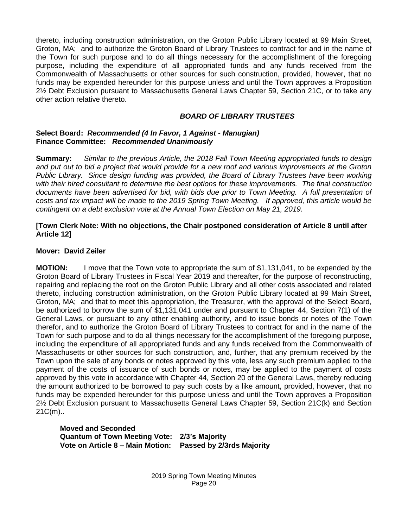thereto, including construction administration, on the Groton Public Library located at 99 Main Street, Groton, MA; and to authorize the Groton Board of Library Trustees to contract for and in the name of the Town for such purpose and to do all things necessary for the accomplishment of the foregoing purpose, including the expenditure of all appropriated funds and any funds received from the Commonwealth of Massachusetts or other sources for such construction, provided, however, that no funds may be expended hereunder for this purpose unless and until the Town approves a Proposition 2½ Debt Exclusion pursuant to Massachusetts General Laws Chapter 59, Section 21C, or to take any other action relative thereto.

#### *BOARD OF LIBRARY TRUSTEES*

#### **Select Board:** *Recommended (4 In Favor, 1 Against - Manugian)* **Finance Committee:** *Recommended Unanimously*

**Summary:** *Similar to the previous Article, the 2018 Fall Town Meeting appropriated funds to design and put out to bid a project that would provide for a new roof and various improvements at the Groton Public Library. Since design funding was provided, the Board of Library Trustees have been working with their hired consultant to determine the best options for these improvements. The final construction documents have been advertised for bid, with bids due prior to Town Meeting. A full presentation of costs and tax impact will be made to the 2019 Spring Town Meeting. If approved, this article would be contingent on a debt exclusion vote at the Annual Town Election on May 21, 2019.*

#### **[Town Clerk Note: With no objections, the Chair postponed consideration of Article 8 until after Article 12]**

#### **Mover: David Zeiler**

**MOTION:** I move that the Town vote to appropriate the sum of \$1,131,041, to be expended by the Groton Board of Library Trustees in Fiscal Year 2019 and thereafter, for the purpose of reconstructing, repairing and replacing the roof on the Groton Public Library and all other costs associated and related thereto, including construction administration, on the Groton Public Library located at 99 Main Street, Groton, MA; and that to meet this appropriation, the Treasurer, with the approval of the Select Board, be authorized to borrow the sum of \$1,131,041 under and pursuant to Chapter 44, Section 7(1) of the General Laws, or pursuant to any other enabling authority, and to issue bonds or notes of the Town therefor, and to authorize the Groton Board of Library Trustees to contract for and in the name of the Town for such purpose and to do all things necessary for the accomplishment of the foregoing purpose, including the expenditure of all appropriated funds and any funds received from the Commonwealth of Massachusetts or other sources for such construction, and, further, that any premium received by the Town upon the sale of any bonds or notes approved by this vote, less any such premium applied to the payment of the costs of issuance of such bonds or notes, may be applied to the payment of costs approved by this vote in accordance with Chapter 44, Section 20 of the General Laws, thereby reducing the amount authorized to be borrowed to pay such costs by a like amount, provided, however, that no funds may be expended hereunder for this purpose unless and until the Town approves a Proposition 2½ Debt Exclusion pursuant to Massachusetts General Laws Chapter 59, Section 21C(k) and Section 21C(m)..

#### **Moved and Seconded Quantum of Town Meeting Vote: 2/3's Majority Vote on Article 8 – Main Motion: Passed by 2/3rds Majority**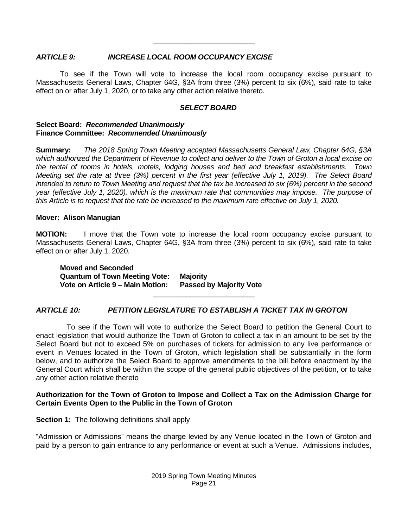#### *ARTICLE 9: INCREASE LOCAL ROOM OCCUPANCY EXCISE*

To see if the Town will vote to increase the local room occupancy excise pursuant to Massachusetts General Laws, Chapter 64G, §3A from three (3%) percent to six (6%), said rate to take effect on or after July 1, 2020, or to take any other action relative thereto.

\_\_\_\_\_\_\_\_\_\_\_\_\_\_\_\_\_\_\_\_\_\_\_\_\_

#### *SELECT BOARD*

#### **Select Board:** *Recommended Unanimously* **Finance Committee:** *Recommended Unanimously*

**Summary:** *The 2018 Spring Town Meeting accepted Massachusetts General Law, Chapter 64G, §3A which authorized the Department of Revenue to collect and deliver to the Town of Groton a local excise on the rental of rooms in hotels, motels, lodging houses and bed and breakfast establishments. Town Meeting set the rate at three (3%) percent in the first year (effective July 1, 2019). The Select Board intended to return to Town Meeting and request that the tax be increased to six (6%) percent in the second year (effective July 1, 2020), which is the maximum rate that communities may impose. The purpose of this Article is to request that the rate be increased to the maximum rate effective on July 1, 2020.*

#### **Mover: Alison Manugian**

**MOTION:** I move that the Town vote to increase the local room occupancy excise pursuant to Massachusetts General Laws, Chapter 64G, §3A from three (3%) percent to six (6%), said rate to take effect on or after July 1, 2020.

\_\_\_\_\_\_\_\_\_\_\_\_\_\_\_\_\_\_\_\_\_\_\_\_\_

**Moved and Seconded Quantum of Town Meeting Vote: Majority Vote on Article 9 – Main Motion: Passed by Majority Vote**

### *ARTICLE 10: PETITION LEGISLATURE TO ESTABLISH A TICKET TAX IN GROTON*

 To see if the Town will vote to authorize the Select Board to petition the General Court to enact legislation that would authorize the Town of Groton to collect a tax in an amount to be set by the Select Board but not to exceed 5% on purchases of tickets for admission to any live performance or event in Venues located in the Town of Groton, which legislation shall be substantially in the form below, and to authorize the Select Board to approve amendments to the bill before enactment by the General Court which shall be within the scope of the general public objectives of the petition, or to take any other action relative thereto

#### **Authorization for the Town of Groton to Impose and Collect a Tax on the Admission Charge for Certain Events Open to the Public in the Town of Groton**

**Section 1:** The following definitions shall apply

"Admission or Admissions" means the charge levied by any Venue located in the Town of Groton and paid by a person to gain entrance to any performance or event at such a Venue. Admissions includes,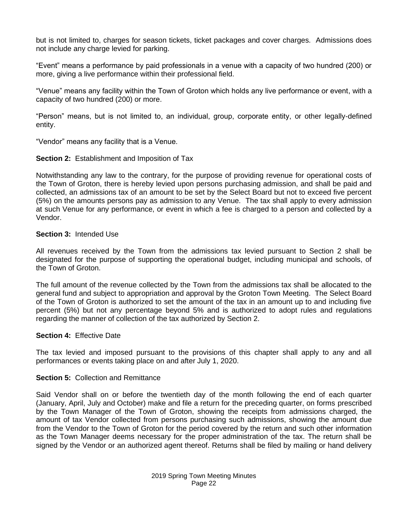but is not limited to, charges for season tickets, ticket packages and cover charges. Admissions does not include any charge levied for parking.

"Event" means a performance by paid professionals in a venue with a capacity of two hundred (200) or more, giving a live performance within their professional field.

"Venue" means any facility within the Town of Groton which holds any live performance or event, with a capacity of two hundred (200) or more.

"Person" means, but is not limited to, an individual, group, corporate entity, or other legally-defined entity.

"Vendor" means any facility that is a Venue.

**Section 2:** Establishment and Imposition of Tax

Notwithstanding any law to the contrary, for the purpose of providing revenue for operational costs of the Town of Groton, there is hereby levied upon persons purchasing admission, and shall be paid and collected, an admissions tax of an amount to be set by the Select Board but not to exceed five percent (5%) on the amounts persons pay as admission to any Venue. The tax shall apply to every admission at such Venue for any performance, or event in which a fee is charged to a person and collected by a Vendor.

#### **Section 3:** Intended Use

All revenues received by the Town from the admissions tax levied pursuant to Section 2 shall be designated for the purpose of supporting the operational budget, including municipal and schools, of the Town of Groton.

The full amount of the revenue collected by the Town from the admissions tax shall be allocated to the general fund and subject to appropriation and approval by the Groton Town Meeting. The Select Board of the Town of Groton is authorized to set the amount of the tax in an amount up to and including five percent (5%) but not any percentage beyond 5% and is authorized to adopt rules and regulations regarding the manner of collection of the tax authorized by Section 2.

#### **Section 4:** Effective Date

The tax levied and imposed pursuant to the provisions of this chapter shall apply to any and all performances or events taking place on and after July 1, 2020.

#### **Section 5: Collection and Remittance**

Said Vendor shall on or before the twentieth day of the month following the end of each quarter (January, April, July and October) make and file a return for the preceding quarter, on forms prescribed by the Town Manager of the Town of Groton, showing the receipts from admissions charged, the amount of tax Vendor collected from persons purchasing such admissions, showing the amount due from the Vendor to the Town of Groton for the period covered by the return and such other information as the Town Manager deems necessary for the proper administration of the tax. The return shall be signed by the Vendor or an authorized agent thereof. Returns shall be filed by mailing or hand delivery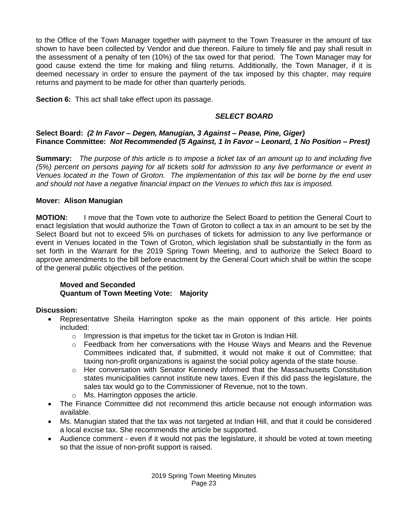to the Office of the Town Manager together with payment to the Town Treasurer in the amount of tax shown to have been collected by Vendor and due thereon. Failure to timely file and pay shall result in the assessment of a penalty of ten (10%) of the tax owed for that period. The Town Manager may for good cause extend the time for making and filing returns. Additionally, the Town Manager, if it is deemed necessary in order to ensure the payment of the tax imposed by this chapter, may require returns and payment to be made for other than quarterly periods.

**Section 6:** This act shall take effect upon its passage.

### *SELECT BOARD*

#### **Select Board:** *(2 In Favor – Degen, Manugian, 3 Against – Pease, Pine, Giger)* **Finance Committee:** *Not Recommended (5 Against, 1 In Favor – Leonard, 1 No Position – Prest)*

**Summary:** *The purpose of this article is to impose a ticket tax of an amount up to and including five (5%) percent on persons paying for all tickets sold for admission to any live performance or event in Venues located in the Town of Groton. The implementation of this tax will be borne by the end user and should not have a negative financial impact on the Venues to which this tax is imposed.*

### **Mover: Alison Manugian**

**MOTION:** I move that the Town vote to authorize the Select Board to petition the General Court to enact legislation that would authorize the Town of Groton to collect a tax in an amount to be set by the Select Board but not to exceed 5% on purchases of tickets for admission to any live performance or event in Venues located in the Town of Groton, which legislation shall be substantially in the form as set forth in the Warrant for the 2019 Spring Town Meeting, and to authorize the Select Board to approve amendments to the bill before enactment by the General Court which shall be within the scope of the general public objectives of the petition.

#### **Moved and Seconded Quantum of Town Meeting Vote: Majority**

#### **Discussion:**

- Representative Sheila Harrington spoke as the main opponent of this article. Her points included:
	- $\circ$  Impression is that impetus for the ticket tax in Groton is Indian Hill.
	- $\circ$  Feedback from her conversations with the House Ways and Means and the Revenue Committees indicated that, if submitted, it would not make it out of Committee; that taxing non-profit organizations is against the social policy agenda of the state house.
	- $\circ$  Her conversation with Senator Kennedy informed that the Massachusetts Constitution states municipalities cannot institute new taxes. Even if this did pass the legislature, the sales tax would go to the Commissioner of Revenue, not to the town.
	- o Ms. Harrington opposes the article.
- The Finance Committee did not recommend this article because not enough information was available.
- Ms. Manugian stated that the tax was not targeted at Indian Hill, and that it could be considered a local excise tax. She recommends the article be supported.
- Audience comment even if it would not pas the legislature, it should be voted at town meeting so that the issue of non-profit support is raised.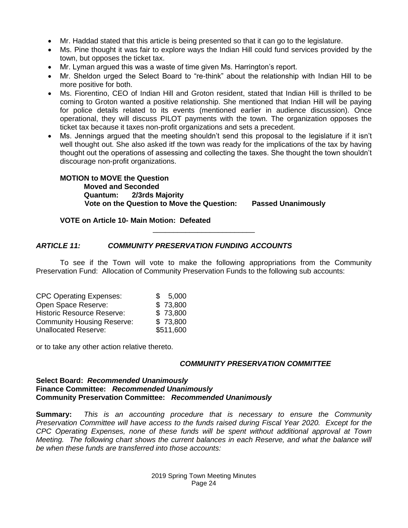- Mr. Haddad stated that this article is being presented so that it can go to the legislature.
- Ms. Pine thought it was fair to explore ways the Indian Hill could fund services provided by the town, but opposes the ticket tax.
- Mr. Lyman argued this was a waste of time given Ms. Harrington's report.
- Mr. Sheldon urged the Select Board to "re-think" about the relationship with Indian Hill to be more positive for both.
- Ms. Fiorentino, CEO of Indian Hill and Groton resident, stated that Indian Hill is thrilled to be coming to Groton wanted a positive relationship. She mentioned that Indian Hill will be paying for police details related to its events (mentioned earlier in audience discussion). Once operational, they will discuss PILOT payments with the town. The organization opposes the ticket tax because it taxes non-profit organizations and sets a precedent.
- Ms. Jennings argued that the meeting shouldn't send this proposal to the legislature if it isn't well thought out. She also asked itf the town was ready for the implications of the tax by having thought out the operations of assessing and collecting the taxes. She thought the town shouldn't discourage non-profit organizations.

**MOTION to MOVE the Question Moved and Seconded Quantum: 2/3rds Majority Vote on the Question to Move the Question: Passed Unanimously**

#### **VOTE on Article 10- Main Motion: Defeated**

#### *ARTICLE 11: COMMUNITY PRESERVATION FUNDING ACCOUNTS*

To see if the Town will vote to make the following appropriations from the Community Preservation Fund: Allocation of Community Preservation Funds to the following sub accounts:

\_\_\_\_\_\_\_\_\_\_\_\_\_\_\_\_\_\_\_\_\_\_\_\_\_

| <b>CPC Operating Expenses:</b>    | \$5,000   |
|-----------------------------------|-----------|
| Open Space Reserve:               | \$73,800  |
| <b>Historic Resource Reserve:</b> | \$73,800  |
| <b>Community Housing Reserve:</b> | \$73,800  |
| <b>Unallocated Reserve:</b>       | \$511,600 |

or to take any other action relative thereto.

#### *COMMUNITY PRESERVATION COMMITTEE*

#### **Select Board:** *Recommended Unanimously* **Finance Committee:** *Recommended Unanimously* **Community Preservation Committee:** *Recommended Unanimously*

**Summary:** *This is an accounting procedure that is necessary to ensure the Community Preservation Committee will have access to the funds raised during Fiscal Year 2020. Except for the CPC Operating Expenses, none of these funds will be spent without additional approval at Town Meeting. The following chart shows the current balances in each Reserve, and what the balance will be when these funds are transferred into those accounts:*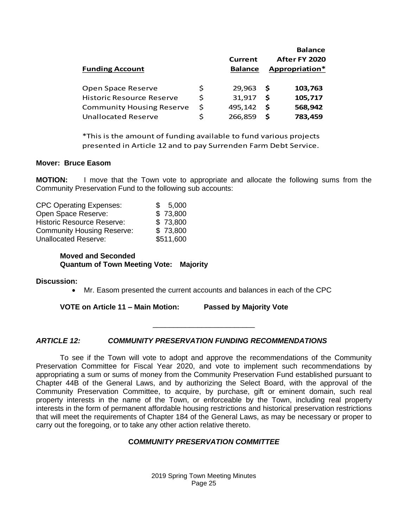|                                  |         |                | <b>Balance</b> |                |
|----------------------------------|---------|----------------|----------------|----------------|
|                                  | Current | After FY 2020  |                |                |
| <b>Funding Account</b>           |         | <b>Balance</b> |                | Appropriation* |
|                                  |         |                |                |                |
| Open Space Reserve               | \$      | 29.963         | - S            | 103,763        |
| <b>Historic Resource Reserve</b> | \$      | 31,917         | -S             | 105,717        |
| <b>Community Housing Reserve</b> | \$      | 495,142        | - S            | 568,942        |
| <b>Unallocated Reserve</b>       | ς       | 266,859        | S.             | 783,459        |

\*This is the amount of funding available to fund various projects presented in Article 12 and to pay Surrenden Farm Debt Service.

#### **Mover: Bruce Easom**

**MOTION:** I move that the Town vote to appropriate and allocate the following sums from the Community Preservation Fund to the following sub accounts:

| <b>CPC Operating Expenses:</b>    | 5,000<br>SS. |
|-----------------------------------|--------------|
| Open Space Reserve:               | \$73,800     |
| <b>Historic Resource Reserve:</b> | \$73,800     |
| <b>Community Housing Reserve:</b> | \$73,800     |
| <b>Unallocated Reserve:</b>       | \$511,600    |

#### **Moved and Seconded Quantum of Town Meeting Vote: Majority**

#### **Discussion:**

• Mr. Easom presented the current accounts and balances in each of the CPC

\_\_\_\_\_\_\_\_\_\_\_\_\_\_\_\_\_\_\_\_\_\_\_\_\_

**VOTE on Article 11 – Main Motion: Passed by Majority Vote**

#### *ARTICLE 12: COMMUNITY PRESERVATION FUNDING RECOMMENDATIONS*

Balance<br>
Balance<br>
Balance<br>
Balance<br>
Balance<br>
Appropriation\*<br>
5 29,963 **5 103,763**<br>
5 31,917 **\$ 105,718**<br>
6 495,142 **\$ 568,942**<br>
7 266,859 **7 783,459**<br>
gavailable to fund various projects<br>
pay Surrenden Farm Debt Service.<br> To see if the Town will vote to adopt and approve the recommendations of the Community Preservation Committee for Fiscal Year 2020, and vote to implement such recommendations by appropriating a sum or sums of money from the Community Preservation Fund established pursuant to Chapter 44B of the General Laws, and by authorizing the Select Board, with the approval of the Community Preservation Committee, to acquire, by purchase, gift or eminent domain, such real property interests in the name of the Town, or enforceable by the Town, including real property interests in the form of permanent affordable housing restrictions and historical preservation restrictions that will meet the requirements of Chapter 184 of the General Laws, as may be necessary or proper to carry out the foregoing, or to take any other action relative thereto.

#### **C***OMMUNITY PRESERVATION COMMITTEE*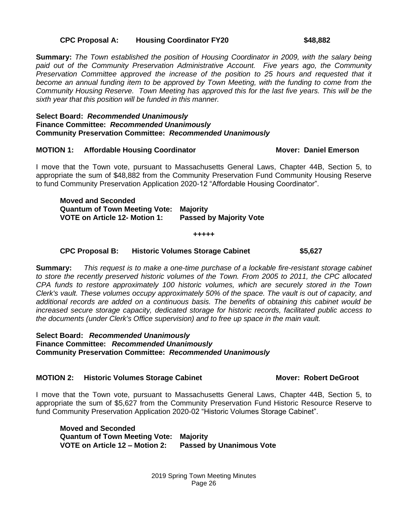#### **CPC Proposal A: Housing Coordinator FY20 \$48,882**

**Summary:** *The Town established the position of Housing Coordinator in 2009, with the salary being paid out of the Community Preservation Administrative Account. Five years ago, the Community Preservation Committee approved the increase of the position to 25 hours and requested that it become an annual funding item to be approved by Town Meeting, with the funding to come from the Community Housing Reserve. Town Meeting has approved this for the last five years. This will be the sixth year that this position will be funded in this manner.*

#### **Select Board:** *Recommended Unanimously* **Finance Committee:** *Recommended Unanimously* **Community Preservation Committee:** *Recommended Unanimously*

#### **MOTION 1: Affordable Housing Coordinator Mover: Daniel Emerson**

I move that the Town vote, pursuant to Massachusetts General Laws, Chapter 44B, Section 5, to appropriate the sum of \$48,882 from the Community Preservation Fund Community Housing Reserve to fund Community Preservation Application 2020-12 "Affordable Housing Coordinator".

**Moved and Seconded Quantum of Town Meeting Vote: Majority VOTE on Article 12- Motion 1: Passed by Majority Vote**

**+++++**

#### **CPC Proposal B: Historic Volumes Storage Cabinet \$5,627**

**Summary:** *This request is to make a one-time purchase of a lockable fire-resistant storage cabinet to store the recently preserved historic volumes of the Town. From 2005 to 2011, the CPC allocated CPA funds to restore approximately 100 historic volumes, which are securely stored in the Town Clerk's vault. These volumes occupy approximately 50% of the space. The vault is out of capacity, and additional records are added on a continuous basis. The benefits of obtaining this cabinet would be increased secure storage capacity, dedicated storage for historic records, facilitated public access to the documents (under Clerk's Office supervision) and to free up space in the main vault.*

**Select Board:** *Recommended Unanimously* **Finance Committee:** *Recommended Unanimously* **Community Preservation Committee:** *Recommended Unanimously*

#### **MOTION 2:** Historic Volumes Storage Cabinet **MOTION 2: Historic Volumes Storage Cabinet Mover: Robert DeGroot**

I move that the Town vote, pursuant to Massachusetts General Laws, Chapter 44B, Section 5, to appropriate the sum of \$5,627 from the Community Preservation Fund Historic Resource Reserve to fund Community Preservation Application 2020-02 "Historic Volumes Storage Cabinet".

**Moved and Seconded Quantum of Town Meeting Vote: Majority Passed by Unanimous Vote** 

> 2019 Spring Town Meeting Minutes Page 26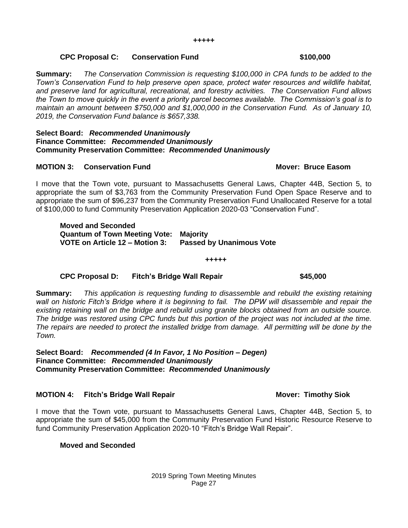#### **CPC Proposal C: Conservation Fund \$100,000**

**Summary:** *The Conservation Commission is requesting \$100,000 in CPA funds to be added to the Town's Conservation Fund to help preserve open space, protect water resources and wildlife habitat, and preserve land for agricultural, recreational, and forestry activities. The Conservation Fund allows the Town to move quickly in the event a priority parcel becomes available. The Commission's goal is to maintain an amount between \$750,000 and \$1,000,000 in the Conservation Fund. As of January 10, 2019, the Conservation Fund balance is \$657,338.*

#### **Select Board:** *Recommended Unanimously* **Finance Committee:** *Recommended Unanimously* **Community Preservation Committee:** *Recommended Unanimously*

#### **MOTION 3: Conservation Fund Mover: Bruce Easom**

I move that the Town vote, pursuant to Massachusetts General Laws, Chapter 44B, Section 5, to appropriate the sum of \$3,763 from the Community Preservation Fund Open Space Reserve and to appropriate the sum of \$96,237 from the Community Preservation Fund Unallocated Reserve for a total of \$100,000 to fund Community Preservation Application 2020-03 "Conservation Fund".

**Moved and Seconded Quantum of Town Meeting Vote: Majority VOTE on Article 12 – Motion 3: Passed by Unanimous Vote**

#### **CPC Proposal D: Fitch's Bridge Wall Repair \$45,000**

**Summary:** *This application is requesting funding to disassemble and rebuild the existing retaining wall on historic Fitch's Bridge where it is beginning to fail. The DPW will disassemble and repair the existing retaining wall on the bridge and rebuild using granite blocks obtained from an outside source. The bridge was restored using CPC funds but this portion of the project was not included at the time. The repairs are needed to protect the installed bridge from damage. All permitting will be done by the Town.*

**+++++**

**Select Board:** *Recommended (4 In Favor, 1 No Position – Degen)* **Finance Committee:** *Recommended Unanimously* **Community Preservation Committee:** *Recommended Unanimously*

#### **MOTION 4: Fitch's Bridge Wall Repair Mover: Timothy Siok**

I move that the Town vote, pursuant to Massachusetts General Laws, Chapter 44B, Section 5, to appropriate the sum of \$45,000 from the Community Preservation Fund Historic Resource Reserve to fund Community Preservation Application 2020-10 "Fitch's Bridge Wall Repair".

#### **Moved and Seconded**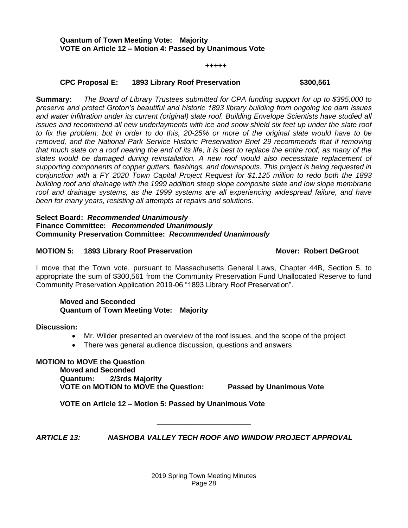#### **+++++**

#### **CPC Proposal E: 1893 Library Roof Preservation \$300,561**

**Summary:** *The Board of Library Trustees submitted for CPA funding support for up to \$395,000 to preserve and protect Groton's beautiful and historic 1893 library building from ongoing ice dam issues and water infiltration under its current (original) slate roof. Building Envelope Scientists have studied all issues and recommend all new underlayments with ice and snow shield six feet up under the slate roof to fix the problem; but in order to do this, 20-25% or more of the original slate would have to be removed, and the National Park Service Historic Preservation Brief 29 recommends that if removing that much slate on a roof nearing the end of its life, it is best to replace the entire roof, as many of the slates would be damaged during reinstallation. A new roof would also necessitate replacement of supporting components of copper gutters, flashings, and downspouts. This project is being requested in conjunction with a FY 2020 Town Capital Project Request for \$1.125 million to redo both the 1893 building roof and drainage with the 1999 addition steep slope composite slate and low slope membrane roof and drainage systems, as the 1999 systems are all experiencing widespread failure, and have been for many years, resisting all attempts at repairs and solutions.*

#### **Select Board:** *Recommended Unanimously* **Finance Committee:** *Recommended Unanimously* **Community Preservation Committee:** *Recommended Unanimously*

#### **MOTION 5: 1893 Library Roof Preservation Mover: Robert DeGroot**

I move that the Town vote, pursuant to Massachusetts General Laws, Chapter 44B, Section 5, to appropriate the sum of \$300,561 from the Community Preservation Fund Unallocated Reserve to fund Community Preservation Application 2019-06 "1893 Library Roof Preservation".

#### **Moved and Seconded Quantum of Town Meeting Vote: Majority**

**Discussion:**

- Mr. Wilder presented an overview of the roof issues, and the scope of the project
- There was general audience discussion, questions and answers

**MOTION to MOVE the Question Moved and Seconded Quantum: 2/3rds Majority VOTE on MOTION to MOVE the Question: Passed by Unanimous Vote**

**VOTE on Article 12 – Motion 5: Passed by Unanimous Vote**

*ARTICLE 13: NASHOBA VALLEY TECH ROOF AND WINDOW PROJECT APPROVAL*

\_\_\_\_\_\_\_\_\_\_\_\_\_\_\_\_\_\_\_\_\_\_\_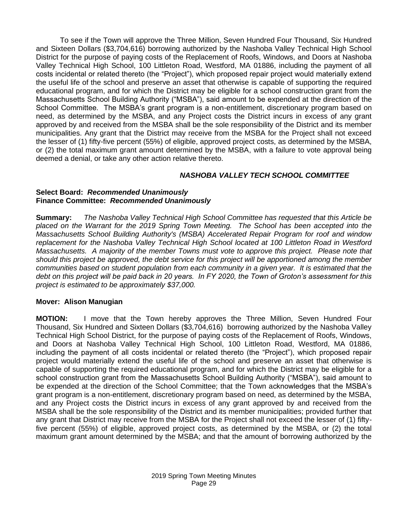To see if the Town will approve the Three Million, Seven Hundred Four Thousand, Six Hundred and Sixteen Dollars (\$3,704,616) borrowing authorized by the Nashoba Valley Technical High School District for the purpose of paying costs of the Replacement of Roofs, Windows, and Doors at Nashoba Valley Technical High School, 100 Littleton Road, Westford, MA 01886, including the payment of all costs incidental or related thereto (the "Project"), which proposed repair project would materially extend the useful life of the school and preserve an asset that otherwise is capable of supporting the required educational program, and for which the District may be eligible for a school construction grant from the Massachusetts School Building Authority ("MSBA"), said amount to be expended at the direction of the School Committee. The MSBA's grant program is a non-entitlement, discretionary program based on need, as determined by the MSBA, and any Project costs the District incurs in excess of any grant approved by and received from the MSBA shall be the sole responsibility of the District and its member municipalities. Any grant that the District may receive from the MSBA for the Project shall not exceed the lesser of (1) fifty-five percent (55%) of eligible, approved project costs, as determined by the MSBA, or (2) the total maximum grant amount determined by the MSBA, with a failure to vote approval being deemed a denial, or take any other action relative thereto.

### *NASHOBA VALLEY TECH SCHOOL COMMITTEE*

#### **Select Board:** *Recommended Unanimously* **Finance Committee:** *Recommended Unanimously*

**Summary:** *The Nashoba Valley Technical High School Committee has requested that this Article be placed on the Warrant for the 2019 Spring Town Meeting. The School has been accepted into the Massachusetts School Building Authority's (MSBA) Accelerated Repair Program for roof and window replacement for the Nashoba Valley Technical High School located at 100 Littleton Road in Westford Massachusetts. A majority of the member Towns must vote to approve this project. Please note that should this project be approved, the debt service for this project will be apportioned among the member communities based on student population from each community in a given year. It is estimated that the debt on this project will be paid back in 20 years. In FY 2020, the Town of Groton's assessment for this project is estimated to be approximately \$37,000.*

### **Mover: Alison Manugian**

**MOTION:** I move that the Town hereby approves the Three Million, Seven Hundred Four Thousand, Six Hundred and Sixteen Dollars (\$3,704,616) borrowing authorized by the Nashoba Valley Technical High School District, for the purpose of paying costs of the Replacement of Roofs, Windows, and Doors at Nashoba Valley Technical High School, 100 Littleton Road, Westford, MA 01886, including the payment of all costs incidental or related thereto (the "Project"), which proposed repair project would materially extend the useful life of the school and preserve an asset that otherwise is capable of supporting the required educational program, and for which the District may be eligible for a school construction grant from the Massachusetts School Building Authority ("MSBA"), said amount to be expended at the direction of the School Committee; that the Town acknowledges that the MSBA's grant program is a non-entitlement, discretionary program based on need, as determined by the MSBA, and any Project costs the District incurs in excess of any grant approved by and received from the MSBA shall be the sole responsibility of the District and its member municipalities; provided further that any grant that District may receive from the MSBA for the Project shall not exceed the lesser of (1) fiftyfive percent (55%) of eligible, approved project costs, as determined by the MSBA, or (2) the total maximum grant amount determined by the MSBA; and that the amount of borrowing authorized by the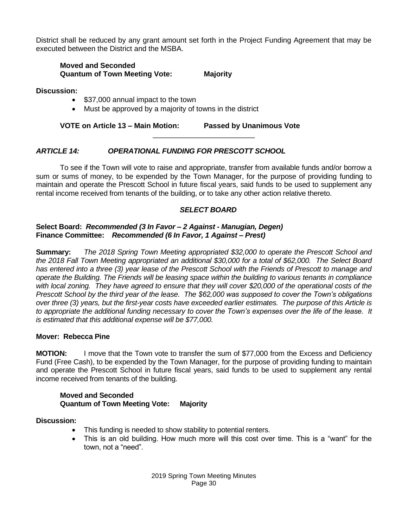District shall be reduced by any grant amount set forth in the Project Funding Agreement that may be executed between the District and the MSBA.

#### **Moved and Seconded Quantum of Town Meeting Vote: Majority**

**Discussion:**

- \$37,000 annual impact to the town
- Must be approved by a majority of towns in the district

**VOTE on Article 13 – Main Motion: Passed by Unanimous Vote**

#### *ARTICLE 14: OPERATIONAL FUNDING FOR PRESCOTT SCHOOL*

To see if the Town will vote to raise and appropriate, transfer from available funds and/or borrow a sum or sums of money, to be expended by the Town Manager, for the purpose of providing funding to maintain and operate the Prescott School in future fiscal years, said funds to be used to supplement any rental income received from tenants of the building, or to take any other action relative thereto.

\_\_\_\_\_\_\_\_\_\_\_\_\_\_\_\_\_\_\_\_\_\_\_\_\_

#### *SELECT BOARD*

#### **Select Board:** *Recommended (3 In Favor – 2 Against - Manugian, Degen)* **Finance Committee:** *Recommended (6 In Favor, 1 Against – Prest)*

**Summary:** *The 2018 Spring Town Meeting appropriated \$32,000 to operate the Prescott School and the 2018 Fall Town Meeting appropriated an additional \$30,000 for a total of \$62,000. The Select Board has entered into a three (3) year lease of the Prescott School with the Friends of Prescott to manage and operate the Building. The Friends will be leasing space within the building to various tenants in compliance with local zoning. They have agreed to ensure that they will cover \$20,000 of the operational costs of the Prescott School by the third year of the lease. The \$62,000 was supposed to cover the Town's obligations over three (3) years, but the first-year costs have exceeded earlier estimates. The purpose of this Article is to appropriate the additional funding necessary to cover the Town's expenses over the life of the lease. It is estimated that this additional expense will be \$77,000.* 

#### **Mover: Rebecca Pine**

**MOTION:** I move that the Town vote to transfer the sum of \$77,000 from the Excess and Deficiency Fund (Free Cash), to be expended by the Town Manager, for the purpose of providing funding to maintain and operate the Prescott School in future fiscal years, said funds to be used to supplement any rental income received from tenants of the building.

#### **Moved and Seconded Quantum of Town Meeting Vote: Majority**

#### **Discussion:**

- This funding is needed to show stability to potential renters.
- This is an old building. How much more will this cost over time. This is a "want" for the town, not a "need".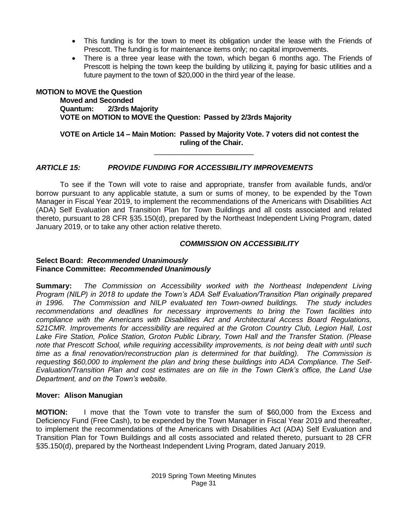- This funding is for the town to meet its obligation under the lease with the Friends of Prescott. The funding is for maintenance items only; no capital improvements.
- There is a three year lease with the town, which began 6 months ago. The Friends of Prescott is helping the town keep the building by utilizing it, paying for basic utilities and a future payment to the town of \$20,000 in the third year of the lease.

#### **MOTION to MOVE the Question Moved and Seconded Quantum: 2/3rds Majority VOTE on MOTION to MOVE the Question: Passed by 2/3rds Majority**

### **VOTE on Article 14 – Main Motion: Passed by Majority Vote. 7 voters did not contest the ruling of the Chair.**

\_\_\_\_\_\_\_\_\_\_\_\_\_\_\_\_\_\_\_\_\_\_\_\_\_

### *ARTICLE 15: PROVIDE FUNDING FOR ACCESSIBILITY IMPROVEMENTS*

To see if the Town will vote to raise and appropriate, transfer from available funds, and/or borrow pursuant to any applicable statute, a sum or sums of money, to be expended by the Town Manager in Fiscal Year 2019, to implement the recommendations of the Americans with Disabilities Act (ADA) Self Evaluation and Transition Plan for Town Buildings and all costs associated and related thereto, pursuant to 28 CFR §35.150(d), prepared by the Northeast Independent Living Program, dated January 2019, or to take any other action relative thereto.

#### *COMMISSION ON ACCESSIBILITY*

#### **Select Board:** *Recommended Unanimously* **Finance Committee:** *Recommended Unanimously*

**Summary:** *The Commission on Accessibility worked with the Northeast Independent Living Program (NILP) in 2018 to update the Town's ADA Self Evaluation/Transition Plan originally prepared in 1996. The Commission and NILP evaluated ten Town-owned buildings. The study includes recommendations and deadlines for necessary improvements to bring the Town facilities into compliance with the Americans with Disabilities Act and Architectural Access Board Regulations, 521CMR. Improvements for accessibility are required at the Groton Country Club, Legion Hall, Lost Lake Fire Station, Police Station, Groton Public Library, Town Hall and the Transfer Station. (Please note that Prescott School, while requiring accessibility improvements, is not being dealt with until such time as a final renovation/reconstruction plan is determined for that building). The Commission is requesting \$60,000 to implement the plan and bring these buildings into ADA Compliance. The Self-Evaluation/Transition Plan and cost estimates are on file in the Town Clerk's office, the Land Use Department, and on the Town's website.*

#### **Mover: Alison Manugian**

**MOTION:** I move that the Town vote to transfer the sum of \$60,000 from the Excess and Deficiency Fund (Free Cash), to be expended by the Town Manager in Fiscal Year 2019 and thereafter, to implement the recommendations of the Americans with Disabilities Act (ADA) Self Evaluation and Transition Plan for Town Buildings and all costs associated and related thereto, pursuant to 28 CFR §35.150(d), prepared by the Northeast Independent Living Program, dated January 2019.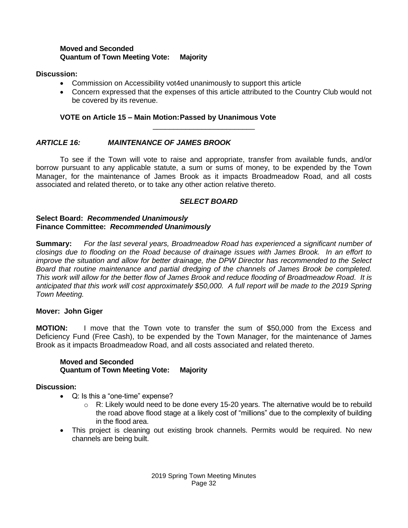#### **Moved and Seconded Quantum of Town Meeting Vote: Majority**

#### **Discussion:**

- Commission on Accessibility vot4ed unanimously to support this article
- Concern expressed that the expenses of this article attributed to the Country Club would not be covered by its revenue.

### **VOTE on Article 15 – Main Motion:Passed by Unanimous Vote**

### *ARTICLE 16: MAINTENANCE OF JAMES BROOK*

To see if the Town will vote to raise and appropriate, transfer from available funds, and/or borrow pursuant to any applicable statute, a sum or sums of money, to be expended by the Town Manager, for the maintenance of James Brook as it impacts Broadmeadow Road, and all costs associated and related thereto, or to take any other action relative thereto.

\_\_\_\_\_\_\_\_\_\_\_\_\_\_\_\_\_\_\_\_\_\_\_\_\_

### *SELECT BOARD*

#### **Select Board:** *Recommended Unanimously* **Finance Committee:** *Recommended Unanimously*

**Summary:** *For the last several years, Broadmeadow Road has experienced a significant number of closings due to flooding on the Road because of drainage issues with James Brook. In an effort to improve the situation and allow for better drainage, the DPW Director has recommended to the Select Board that routine maintenance and partial dredging of the channels of James Brook be completed. This work will allow for the better flow of James Brook and reduce flooding of Broadmeadow Road. It is anticipated that this work will cost approximately \$50,000. A full report will be made to the 2019 Spring Town Meeting.*

#### **Mover: John Giger**

**MOTION:** I move that the Town vote to transfer the sum of \$50,000 from the Excess and Deficiency Fund (Free Cash), to be expended by the Town Manager, for the maintenance of James Brook as it impacts Broadmeadow Road, and all costs associated and related thereto.

#### **Moved and Seconded Quantum of Town Meeting Vote: Majority**

#### **Discussion:**

- Q: Is this a "one-time" expense?
	- $\circ$  R: Likely would need to be done every 15-20 years. The alternative would be to rebuild the road above flood stage at a likely cost of "millions" due to the complexity of building in the flood area.
- This project is cleaning out existing brook channels. Permits would be required. No new channels are being built.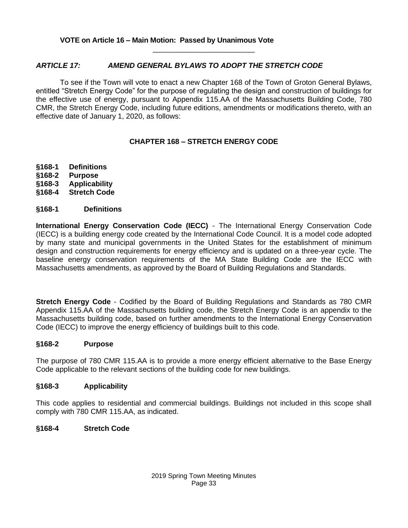### *ARTICLE 17: AMEND GENERAL BYLAWS TO ADOPT THE STRETCH CODE*

To see if the Town will vote to enact a new Chapter 168 of the Town of Groton General Bylaws, entitled "Stretch Energy Code" for the purpose of regulating the design and construction of buildings for the effective use of energy, pursuant to Appendix 115.AA of the Massachusetts Building Code, 780 CMR, the Stretch Energy Code, including future editions, amendments or modifications thereto, with an effective date of January 1, 2020, as follows:

\_\_\_\_\_\_\_\_\_\_\_\_\_\_\_\_\_\_\_\_\_\_\_\_\_

### **CHAPTER 168 – STRETCH ENERGY CODE**

- **§168-1 Definitions**
- **§168-2 Purpose**
- **§168-3 Applicability**
- **§168-4 Stretch Code**

### **§168-1 Definitions**

**International Energy Conservation Code (IECC)** - The International Energy Conservation Code (IECC) is a building energy code created by the International Code Council. It is a model code adopted by many state and municipal governments in the United States for the establishment of minimum design and construction requirements for energy efficiency and is updated on a three-year cycle. The baseline energy conservation requirements of the MA State Building Code are the IECC with Massachusetts amendments, as approved by the Board of Building Regulations and Standards.

**Stretch Energy Code** - Codified by the Board of Building Regulations and Standards as 780 CMR Appendix 115.AA of the Massachusetts building code, the Stretch Energy Code is an appendix to the Massachusetts building code, based on further amendments to the International Energy Conservation Code (IECC) to improve the energy efficiency of buildings built to this code.

#### **§168-2 Purpose**

The purpose of 780 CMR 115.AA is to provide a more energy efficient alternative to the Base Energy Code applicable to the relevant sections of the building code for new buildings.

#### **§168-3 Applicability**

This code applies to residential and commercial buildings. Buildings not included in this scope shall comply with 780 CMR 115.AA, as indicated.

#### **§168-4 Stretch Code**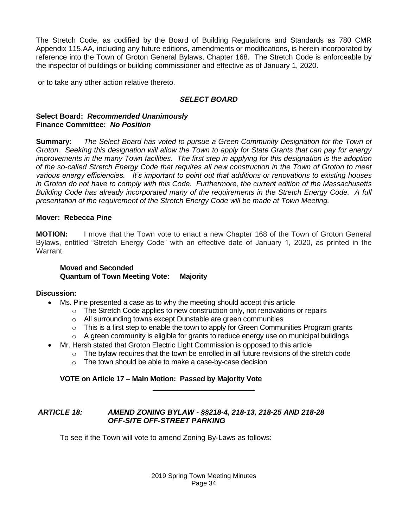The Stretch Code, as codified by the Board of Building Regulations and Standards as 780 CMR Appendix 115.AA, including any future editions, amendments or modifications, is herein incorporated by reference into the Town of Groton General Bylaws, Chapter 168. The Stretch Code is enforceable by the inspector of buildings or building commissioner and effective as of January 1, 2020.

or to take any other action relative thereto.

#### *SELECT BOARD*

#### **Select Board:** *Recommended Unanimously* **Finance Committee:** *No Position*

**Summary:** *The Select Board has voted to pursue a Green Community Designation for the Town of Groton. Seeking this designation will allow the Town to apply for State Grants that can pay for energy improvements in the many Town facilities. The first step in applying for this designation is the adoption of the so-called Stretch Energy Code that requires all new construction in the Town of Groton to meet various energy efficiencies. It's important to point out that additions or renovations to existing houses in Groton do not have to comply with this Code. Furthermore, the current edition of the Massachusetts Building Code has already incorporated many of the requirements in the Stretch Energy Code. A full presentation of the requirement of the Stretch Energy Code will be made at Town Meeting.*

#### **Mover: Rebecca Pine**

**MOTION:** I move that the Town vote to enact a new Chapter 168 of the Town of Groton General Bylaws, entitled "Stretch Energy Code" with an effective date of January 1, 2020, as printed in the Warrant.

#### **Moved and Seconded Quantum of Town Meeting Vote: Majority**

#### **Discussion:**

- Ms. Pine presented a case as to why the meeting should accept this article
	- $\circ$  The Stretch Code applies to new construction only, not renovations or repairs
	- o All surrounding towns except Dunstable are green communities
	- $\circ$  This is a first step to enable the town to apply for Green Communities Program grants
	- o A green community is eligible for grants to reduce energy use on municipal buildings
- Mr. Hersh stated that Groton Electric Light Commission is opposed to this article
	- $\circ$  The bylaw requires that the town be enrolled in all future revisions of the stretch code

\_\_\_\_\_\_\_\_\_\_\_\_\_\_\_\_\_\_\_\_\_\_\_\_\_

o The town should be able to make a case-by-case decision

#### **VOTE on Article 17 – Main Motion: Passed by Majority Vote**

#### *ARTICLE 18: AMEND ZONING BYLAW - §§218-4, 218-13, 218-25 AND 218-28 OFF-SITE OFF-STREET PARKING*

To see if the Town will vote to amend Zoning By-Laws as follows: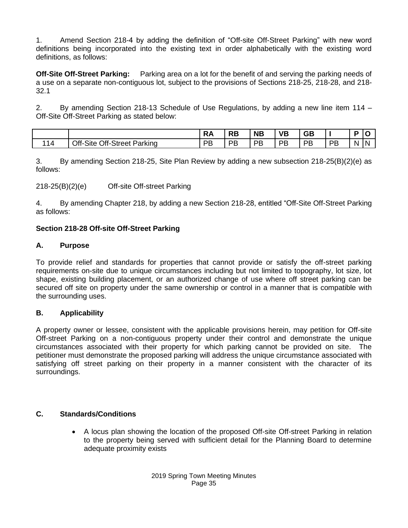1. Amend Section 218-4 by adding the definition of "Off-site Off-Street Parking" with new word definitions being incorporated into the existing text in order alphabetically with the existing word definitions, as follows:

**Off-Site Off-Street Parking:** Parking area on a lot for the benefit of and serving the parking needs of a use on a separate non-contiguous lot, subject to the provisions of Sections 218-25, 218-28, and 218- 32.1

2. By amending Section 218-13 Schedule of Use Regulations, by adding a new line item 114 – Off-Site Off-Street Parking as stated below:

|     |                                       | NA | D D<br>RР | <b>NB</b> | VB | GB      |    | в |     |
|-----|---------------------------------------|----|-----------|-----------|----|---------|----|---|-----|
| 1 A | Off-Street<br>Off-<br>Site<br>Parking | PB | DP<br>ь   | PB        | PB | DR<br>╺ | PB | N | 'N. |

3. By amending Section 218-25, Site Plan Review by adding a new subsection 218-25(B)(2)(e) as follows:

218-25(B)(2)(e) Off-site Off-street Parking

4. By amending Chapter 218, by adding a new Section 218-28, entitled "Off-Site Off-Street Parking as follows:

### **Section 218-28 Off-site Off-Street Parking**

#### **A. Purpose**

To provide relief and standards for properties that cannot provide or satisfy the off-street parking requirements on-site due to unique circumstances including but not limited to topography, lot size, lot shape, existing building placement, or an authorized change of use where off street parking can be secured off site on property under the same ownership or control in a manner that is compatible with the surrounding uses.

#### **B. Applicability**

A property owner or lessee, consistent with the applicable provisions herein, may petition for Off-site Off-street Parking on a non-contiguous property under their control and demonstrate the unique circumstances associated with their property for which parking cannot be provided on site. The petitioner must demonstrate the proposed parking will address the unique circumstance associated with satisfying off street parking on their property in a manner consistent with the character of its surroundings.

#### **C. Standards/Conditions**

• A locus plan showing the location of the proposed Off-site Off-street Parking in relation to the property being served with sufficient detail for the Planning Board to determine adequate proximity exists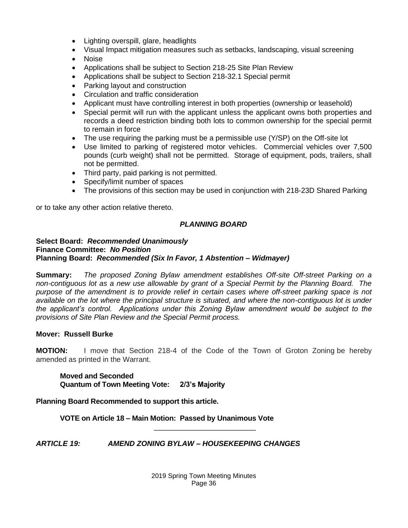- Lighting overspill, glare, headlights
- Visual Impact mitigation measures such as setbacks, landscaping, visual screening
- Noise
- Applications shall be subject to Section 218-25 Site Plan Review
- Applications shall be subject to Section 218-32.1 Special permit
- Parking layout and construction
- Circulation and traffic consideration
- Applicant must have controlling interest in both properties (ownership or leasehold)
- Special permit will run with the applicant unless the applicant owns both properties and records a deed restriction binding both lots to common ownership for the special permit to remain in force
- The use requiring the parking must be a permissible use (Y/SP) on the Off-site lot
- Use limited to parking of registered motor vehicles. Commercial vehicles over 7,500 pounds (curb weight) shall not be permitted. Storage of equipment, pods, trailers, shall not be permitted.
- Third party, paid parking is not permitted.
- Specify/limit number of spaces
- The provisions of this section may be used in conjunction with 218-23D Shared Parking

or to take any other action relative thereto.

## *PLANNING BOARD*

#### **Select Board:** *Recommended Unanimously* **Finance Committee:** *No Position* **Planning Board:** *Recommended (Six In Favor, 1 Abstention – Widmayer)*

**Summary:** *The proposed Zoning Bylaw amendment establishes Off-site Off-street Parking on a non-contiguous lot as a new use allowable by grant of a Special Permit by the Planning Board. The purpose of the amendment is to provide relief in certain cases where off-street parking space is not available on the lot where the principal structure is situated, and where the non-contiguous lot is under the applicant's control. Applications under this Zoning Bylaw amendment would be subject to the provisions of Site Plan Review and the Special Permit process.*

## **Mover: Russell Burke**

**MOTION:** I move that Section 218-4 of the Code of the Town of Groton Zoning be hereby amended as printed in the Warrant.

**Moved and Seconded Quantum of Town Meeting Vote: 2/3's Majority**

## **Planning Board Recommended to support this article.**

**VOTE on Article 18 – Main Motion: Passed by Unanimous Vote**

*ARTICLE 19: AMEND ZONING BYLAW – HOUSEKEEPING CHANGES*

\_\_\_\_\_\_\_\_\_\_\_\_\_\_\_\_\_\_\_\_\_\_\_\_\_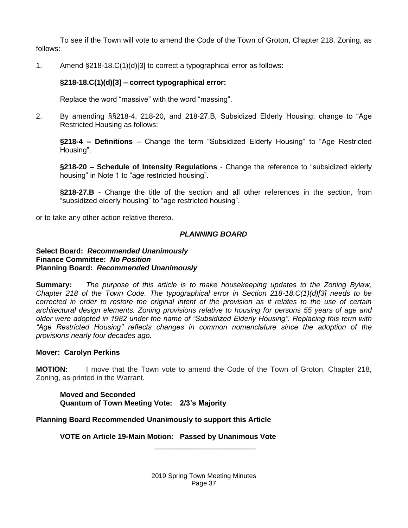To see if the Town will vote to amend the Code of the Town of Groton, Chapter 218, Zoning, as follows:

1. Amend §218-18.C(1)(d)[3] to correct a typographical error as follows:

## **§218-18.C(1)(d)[3] – correct typographical error:**

Replace the word "massive" with the word "massing".

2. By amending §§218-4, 218-20, and 218-27.B, Subsidized Elderly Housing; change to "Age Restricted Housing as follows:

**§218-4 – Definitions** – Change the term "Subsidized Elderly Housing" to "Age Restricted Housing".

**§218-20 – Schedule of Intensity Regulations** - Change the reference to "subsidized elderly housing" in Note 1 to "age restricted housing".

**§218-27.B -** Change the title of the section and all other references in the section, from "subsidized elderly housing" to "age restricted housing".

or to take any other action relative thereto.

## *PLANNING BOARD*

#### **Select Board:** *Recommended Unanimously* **Finance Committee:** *No Position* **Planning Board:** *Recommended Unanimously*

**Summary:** *The purpose of this article is to make housekeeping updates to the Zoning Bylaw, Chapter 218 of the Town Code. The typographical error in Section 218-18.C(1)(d)[3] needs to be corrected in order to restore the original intent of the provision as it relates to the use of certain architectural design elements. Zoning provisions relative to housing for persons 55 years of age and older were adopted in 1982 under the name of "Subsidized Elderly Housing". Replacing this term with "Age Restricted Housing" reflects changes in common nomenclature since the adoption of the provisions nearly four decades ago.*

#### **Mover: Carolyn Perkins**

**MOTION:** I move that the Town vote to amend the Code of the Town of Groton, Chapter 218, Zoning, as printed in the Warrant.

**Moved and Seconded Quantum of Town Meeting Vote: 2/3's Majority**

## **Planning Board Recommended Unanimously to support this Article**

**VOTE on Article 19-Main Motion: Passed by Unanimous Vote**

2019 Spring Town Meeting Minutes Page 37

\_\_\_\_\_\_\_\_\_\_\_\_\_\_\_\_\_\_\_\_\_\_\_\_\_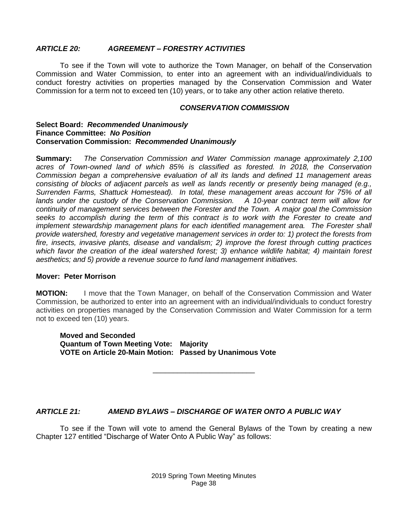## *ARTICLE 20: AGREEMENT – FORESTRY ACTIVITIES*

To see if the Town will vote to authorize the Town Manager, on behalf of the Conservation Commission and Water Commission, to enter into an agreement with an individual/individuals to conduct forestry activities on properties managed by the Conservation Commission and Water Commission for a term not to exceed ten (10) years, or to take any other action relative thereto.

#### *CONSERVATION COMMISSION*

#### **Select Board:** *Recommended Unanimously* **Finance Committee:** *No Position* **Conservation Commission:** *Recommended Unanimously*

**Summary:** *The Conservation Commission and Water Commission manage approximately 2,100 acres of Town-owned land of which 85% is classified as forested. In 2018, the Conservation Commission began a comprehensive evaluation of all its lands and defined 11 management areas consisting of blocks of adjacent parcels as well as lands recently or presently being managed (e.g., Surrenden Farms, Shattuck Homestead). In total, these management areas account for 75% of all lands under the custody of the Conservation Commission. A 10-year contract term will allow for continuity of management services between the Forester and the Town. A major goal the Commission seeks to accomplish during the term of this contract is to work with the Forester to create and implement stewardship management plans for each identified management area. The Forester shall provide watershed, forestry and vegetative management services in order to: 1) protect the forests from fire, insects, invasive plants, disease and vandalism; 2) improve the forest through cutting practices which favor the creation of the ideal watershed forest; 3) enhance wildlife habitat; 4) maintain forest aesthetics; and 5) provide a revenue source to fund land management initiatives.*

#### **Mover: Peter Morrison**

**MOTION:** I move that the Town Manager, on behalf of the Conservation Commission and Water Commission, be authorized to enter into an agreement with an individual/individuals to conduct forestry activities on properties managed by the Conservation Commission and Water Commission for a term not to exceed ten (10) years.

\_\_\_\_\_\_\_\_\_\_\_\_\_\_\_\_\_\_\_\_\_\_\_\_\_

**Moved and Seconded Quantum of Town Meeting Vote: Majority VOTE on Article 20-Main Motion: Passed by Unanimous Vote**

## *ARTICLE 21: AMEND BYLAWS – DISCHARGE OF WATER ONTO A PUBLIC WAY*

To see if the Town will vote to amend the General Bylaws of the Town by creating a new Chapter 127 entitled "Discharge of Water Onto A Public Way" as follows: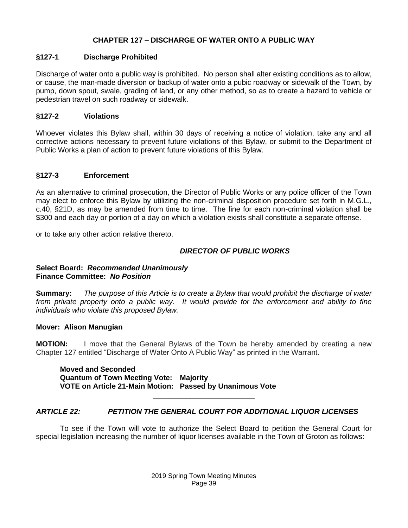# **CHAPTER 127 – DISCHARGE OF WATER ONTO A PUBLIC WAY**

## **§127-1 Discharge Prohibited**

Discharge of water onto a public way is prohibited. No person shall alter existing conditions as to allow, or cause, the man-made diversion or backup of water onto a pubic roadway or sidewalk of the Town, by pump, down spout, swale, grading of land, or any other method, so as to create a hazard to vehicle or pedestrian travel on such roadway or sidewalk.

## **§127-2 Violations**

Whoever violates this Bylaw shall, within 30 days of receiving a notice of violation, take any and all corrective actions necessary to prevent future violations of this Bylaw, or submit to the Department of Public Works a plan of action to prevent future violations of this Bylaw.

## **§127-3 Enforcement**

As an alternative to criminal prosecution, the Director of Public Works or any police officer of the Town may elect to enforce this Bylaw by utilizing the non-criminal disposition procedure set forth in M.G.L., c.40, §21D, as may be amended from time to time. The fine for each non-criminal violation shall be \$300 and each day or portion of a day on which a violation exists shall constitute a separate offense.

or to take any other action relative thereto.

## *DIRECTOR OF PUBLIC WORKS*

#### **Select Board:** *Recommended Unanimously* **Finance Committee:** *No Position*

**Summary:** *The purpose of this Article is to create a Bylaw that would prohibit the discharge of water from private property onto a public way. It would provide for the enforcement and ability to fine individuals who violate this proposed Bylaw.*

#### **Mover: Alison Manugian**

**MOTION:** I move that the General Bylaws of the Town be hereby amended by creating a new Chapter 127 entitled "Discharge of Water Onto A Public Way" as printed in the Warrant.

**Moved and Seconded Quantum of Town Meeting Vote: Majority VOTE on Article 21-Main Motion: Passed by Unanimous Vote** 

## *ARTICLE 22: PETITION THE GENERAL COURT FOR ADDITIONAL LIQUOR LICENSES*

To see if the Town will vote to authorize the Select Board to petition the General Court for special legislation increasing the number of liquor licenses available in the Town of Groton as follows:

\_\_\_\_\_\_\_\_\_\_\_\_\_\_\_\_\_\_\_\_\_\_\_\_\_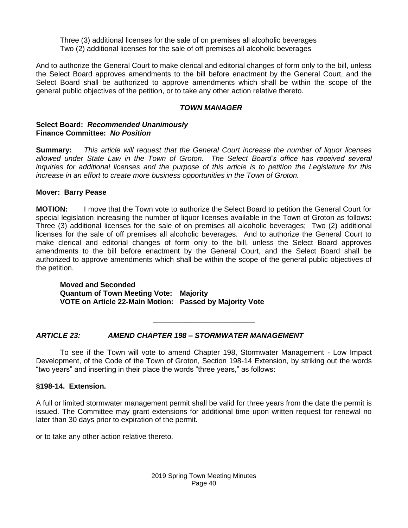Three (3) additional licenses for the sale of on premises all alcoholic beverages Two (2) additional licenses for the sale of off premises all alcoholic beverages

And to authorize the General Court to make clerical and editorial changes of form only to the bill, unless the Select Board approves amendments to the bill before enactment by the General Court, and the Select Board shall be authorized to approve amendments which shall be within the scope of the general public objectives of the petition, or to take any other action relative thereto.

#### *TOWN MANAGER*

#### **Select Board:** *Recommended Unanimously* **Finance Committee:** *No Position*

**Summary:** *This article will request that the General Court increase the number of liquor licenses allowed under State Law in the Town of Groton. The Select Board's office has received several inquiries for additional licenses and the purpose of this article is to petition the Legislature for this increase in an effort to create more business opportunities in the Town of Groton.*

## **Mover: Barry Pease**

**MOTION:** I move that the Town vote to authorize the Select Board to petition the General Court for special legislation increasing the number of liquor licenses available in the Town of Groton as follows: Three (3) additional licenses for the sale of on premises all alcoholic beverages; Two (2) additional licenses for the sale of off premises all alcoholic beverages. And to authorize the General Court to make clerical and editorial changes of form only to the bill, unless the Select Board approves amendments to the bill before enactment by the General Court, and the Select Board shall be authorized to approve amendments which shall be within the scope of the general public objectives of the petition.

**Moved and Seconded Quantum of Town Meeting Vote: Majority VOTE on Article 22-Main Motion: Passed by Majority Vote**

## *ARTICLE 23: AMEND CHAPTER 198 – STORMWATER MANAGEMENT*

To see if the Town will vote to amend Chapter 198, Stormwater Management - Low Impact Development, of the Code of the Town of Groton, Section 198-14 Extension, by striking out the words "two years" and inserting in their place the words "three years," as follows:

\_\_\_\_\_\_\_\_\_\_\_\_\_\_\_\_\_\_\_\_\_\_\_\_\_

#### **§198-14. Extension.**

A full or limited stormwater management permit shall be valid for three years from the date the permit is issued. The Committee may grant extensions for additional time upon written request for renewal no later than 30 days prior to expiration of the permit.

or to take any other action relative thereto.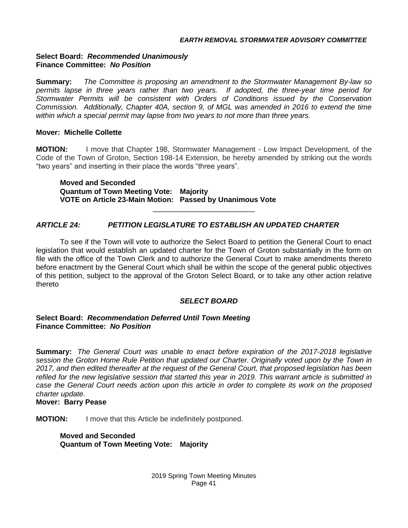## **Select Board:** *Recommended Unanimously* **Finance Committee:** *No Position*

**Summary:** *The Committee is proposing an amendment to the Stormwater Management By-law so permits lapse in three years rather than two years. If adopted, the three-year time period for Stormwater Permits will be consistent with Orders of Conditions issued by the Conservation Commission. Additionally, Chapter 40A, section 9, of MGL was amended in 2016 to extend the time within which a special permit may lapse from two years to not more than three years.* 

## **Mover: Michelle Collette**

**MOTION:** I move that Chapter 198, Stormwater Management - Low Impact Development, of the Code of the Town of Groton, Section 198-14 Extension, be hereby amended by striking out the words "two years" and inserting in their place the words "three years".

\_\_\_\_\_\_\_\_\_\_\_\_\_\_\_\_\_\_\_\_\_\_\_\_\_

**Moved and Seconded Quantum of Town Meeting Vote: Majority VOTE on Article 23-Main Motion: Passed by Unanimous Vote**

# *ARTICLE 24: PETITION LEGISLATURE TO ESTABLISH AN UPDATED CHARTER*

To see if the Town will vote to authorize the Select Board to petition the General Court to enact legislation that would establish an updated charter for the Town of Groton substantially in the form on file with the office of the Town Clerk and to authorize the General Court to make amendments thereto before enactment by the General Court which shall be within the scope of the general public objectives of this petition, subject to the approval of the Groton Select Board, or to take any other action relative thereto

# *SELECT BOARD*

## **Select Board:** *Recommendation Deferred Until Town Meeting* **Finance Committee:** *No Position*

**Summary:** *The General Court was unable to enact before expiration of the 2017-2018 legislative session the Groton Home Rule Petition that updated our Charter. Originally voted upon by the Town in 2017, and then edited thereafter at the request of the General Court, that proposed legislation has been refiled for the new legislative session that started this year in 2019. This warrant article is submitted in case the General Court needs action upon this article in order to complete its work on the proposed charter update.* 

#### **Mover: Barry Pease**

**MOTION:** I move that this Article be indefinitely postponed.

**Moved and Seconded Quantum of Town Meeting Vote: Majority**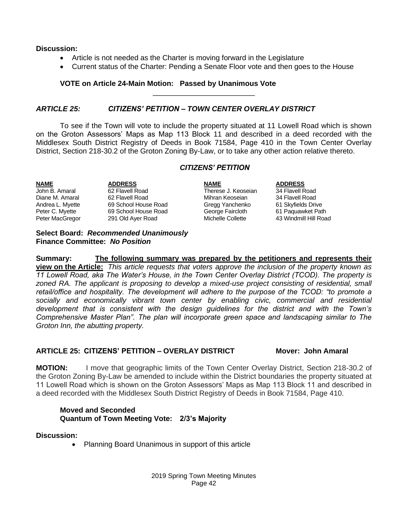#### **Discussion:**

- Article is not needed as the Charter is moving forward in the Legislature
- Current status of the Charter: Pending a Senate Floor vote and then goes to the House

\_\_\_\_\_\_\_\_\_\_\_\_\_\_\_\_\_\_\_\_\_\_\_\_\_

#### **VOTE on Article 24-Main Motion: Passed by Unanimous Vote**

#### *ARTICLE 25: CITIZENS' PETITION – TOWN CENTER OVERLAY DISTRICT*

To see if the Town will vote to include the property situated at 11 Lowell Road which is shown on the Groton Assessors' Maps as Map 113 Block 11 and described in a deed recorded with the Middlesex South District Registry of Deeds in Book 71584, Page 410 in the Town Center Overlay District, Section 218-30.2 of the Groton Zoning By-Law, or to take any other action relative thereto.

#### *CITIZENS' PETITION*

**ADDRESS**<br> **NAME ADDRESS**<br> **ADDRESS**<br> **ADDRESS**<br> **ADDRESS**<br> **ADDRESS**<br> **ADDRESS**<br> **ADDRESS**<br> **ADDRESS**<br> **ADDRESS**<br> **ADDRESS**<br> **ADDRESS**<br> **ADDRESS**<br> **ADDRESS**<br> **ADDRESS** John B. Amaral 62 Flavell Road Therese J. Keoseian 34 Flavell Road Diane M. Amaral 62 Flavell Road Mihran Keoseian 34 Flavell Road Andrea L. Myette 69 School House Road Gregg Yanchenko 61 Skyfields Drive Peter C. Myette 69 School House Road George Faircloth 61 Paquawket Path Peter MacGregor 291 Old Ayer Road Michelle Collette 43 Windmill Hill Road

#### **Select Board:** *Recommended Unanimously* **Finance Committee:** *No Position*

**Summary:****The following summary was prepared by the petitioners and represents their view on the Article:** *This article requests that voters approve the inclusion of the property known as 11 Lowell Road, aka The Water's House, in the Town Center Overlay District (TCOD). The property is*  zoned RA. The applicant is proposing to develop a mixed-use project consisting of residential, small *retail/office and hospitality. The development will adhere to the purpose of the TCOD: "to promote a socially and economically vibrant town center by enabling civic, commercial and residential development that is consistent with the design guidelines for the district and with the Town's Comprehensive Master Plan". The plan will incorporate green space and landscaping similar to The Groton Inn, the abutting property.* 

#### **ARTICLE 25: CITIZENS' PETITION – OVERLAY DISTRICT Mover: John Amaral**

**MOTION:** I move that geographic limits of the Town Center Overlay District, Section 218-30.2 of the Groton Zoning By-Law be amended to include within the District boundaries the property situated at 11 Lowell Road which is shown on the Groton Assessors' Maps as Map 113 Block 11 and described in a deed recorded with the Middlesex South District Registry of Deeds in Book 71584, Page 410.

## **Moved and Seconded Quantum of Town Meeting Vote: 2/3's Majority**

#### **Discussion:**

• Planning Board Unanimous in support of this article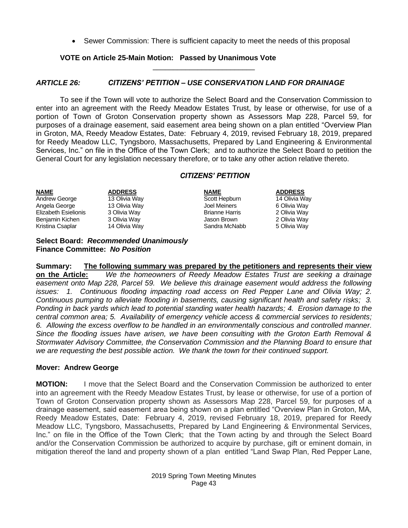• Sewer Commission: There is sufficient capacity to meet the needs of this proposal

\_\_\_\_\_\_\_\_\_\_\_\_\_\_\_\_\_\_\_\_\_\_\_\_\_

## **VOTE on Article 25-Main Motion: Passed by Unanimous Vote**

## *ARTICLE 26: CITIZENS' PETITION – USE CONSERVATION LAND FOR DRAINAGE*

To see if the Town will vote to authorize the Select Board and the Conservation Commission to enter into an agreement with the Reedy Meadow Estates Trust, by lease or otherwise, for use of a portion of Town of Groton Conservation property shown as Assessors Map 228, Parcel 59, for purposes of a drainage easement, said easement area being shown on a plan entitled "Overview Plan in Groton, MA, Reedy Meadow Estates, Date: February 4, 2019, revised February 18, 2019, prepared for Reedy Meadow LLC, Tyngsboro, Massachusetts, Prepared by Land Engineering & Environmental Services, Inc." on file in the Office of the Town Clerk; and to authorize the Select Board to petition the General Court for any legislation necessary therefore, or to take any other action relative thereto.

## *CITIZENS' PETITION*

| <b>ADDRESS</b> | <b>NAME</b>           | <b>ADDRESS</b> |
|----------------|-----------------------|----------------|
| 13 Olivia Way  | Scott Hepburn         | 14 Olivia Way  |
| 13 Olivia Way  | Joel Meiners          | 6 Olivia Way   |
| 3 Olivia Way   | <b>Brianne Harris</b> | 2 Olivia Way   |
| 3 Olivia Way   | Jason Brown           | 2 Olivia Way   |
| 14 Olivia Way  | Sandra McNabb         | 5 Olivia Way   |
|                |                       |                |

#### **Select Board:** *Recommended Unanimously* **Finance Committee:** *No Position*

**Summary: The following summary was prepared by the petitioners and represents their view on the Article:** *We the homeowners of Reedy Meadow Estates Trust are seeking a drainage*  easement onto Map 228, Parcel 59. We believe this drainage easement would address the following *issues: 1. Continuous flooding impacting road access on Red Pepper Lane and Olivia Way; 2. Continuous pumping to alleviate flooding in basements, causing significant health and safety risks; 3. Ponding in back yards which lead to potential standing water health hazards; 4. Erosion damage to the central common area; 5. Availability of emergency vehicle access & commercial services to residents; 6. Allowing the excess overflow to be handled in an environmentally conscious and controlled manner. Since the flooding issues have arisen, we have been consulting with the Groton Earth Removal & Stormwater Advisory Committee, the Conservation Commission and the Planning Board to ensure that we are requesting the best possible action. We thank the town for their continued support.*

#### **Mover: Andrew George**

**MOTION:** I move that the Select Board and the Conservation Commission be authorized to enter into an agreement with the Reedy Meadow Estates Trust, by lease or otherwise, for use of a portion of Town of Groton Conservation property shown as Assessors Map 228, Parcel 59, for purposes of a drainage easement, said easement area being shown on a plan entitled "Overview Plan in Groton, MA, Reedy Meadow Estates, Date: February 4, 2019, revised February 18, 2019, prepared for Reedy Meadow LLC, Tyngsboro, Massachusetts, Prepared by Land Engineering & Environmental Services, Inc." on file in the Office of the Town Clerk; that the Town acting by and through the Select Board and/or the Conservation Commission be authorized to acquire by purchase, gift or eminent domain, in mitigation thereof the land and property shown of a plan entitled "Land Swap Plan, Red Pepper Lane,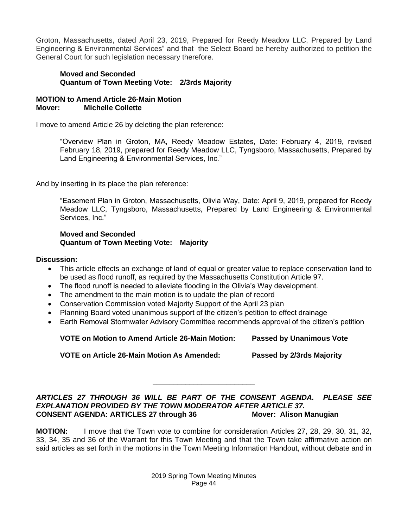Groton, Massachusetts, dated April 23, 2019, Prepared for Reedy Meadow LLC, Prepared by Land Engineering & Environmental Services" and that the Select Board be hereby authorized to petition the General Court for such legislation necessary therefore.

## **Moved and Seconded Quantum of Town Meeting Vote: 2/3rds Majority**

## **MOTION to Amend Article 26-Main Motion Mover: Michelle Collette**

I move to amend Article 26 by deleting the plan reference:

"Overview Plan in Groton, MA, Reedy Meadow Estates, Date: February 4, 2019, revised February 18, 2019, prepared for Reedy Meadow LLC, Tyngsboro, Massachusetts, Prepared by Land Engineering & Environmental Services, Inc."

And by inserting in its place the plan reference:

"Easement Plan in Groton, Massachusetts, Olivia Way, Date: April 9, 2019, prepared for Reedy Meadow LLC, Tyngsboro, Massachusetts, Prepared by Land Engineering & Environmental Services, Inc."

#### **Moved and Seconded Quantum of Town Meeting Vote: Majority**

## **Discussion:**

- This article effects an exchange of land of equal or greater value to replace conservation land to be used as flood runoff, as required by the Massachusetts Constitution Article 97.
- The flood runoff is needed to alleviate flooding in the Olivia's Way development.
- The amendment to the main motion is to update the plan of record
- Conservation Commission voted Majority Support of the April 23 plan
- Planning Board voted unanimous support of the citizen's petition to effect drainage
- Earth Removal Stormwater Advisory Committee recommends approval of the citizen's petition

**VOTE on Motion to Amend Article 26-Main Motion: Passed by Unanimous Vote**

**VOTE on Article 26-Main Motion As Amended: Passed by 2/3rds Majority** 

*ARTICLES 27 THROUGH 36 WILL BE PART OF THE CONSENT AGENDA. PLEASE SEE EXPLANATION PROVIDED BY THE TOWN MODERATOR AFTER ARTICLE 37.* **CONSENT AGENDA: ARTICLES 27 through 36 Mover: Alison Manugian**

\_\_\_\_\_\_\_\_\_\_\_\_\_\_\_\_\_\_\_\_\_\_\_\_\_

**MOTION:** I move that the Town vote to combine for consideration Articles 27, 28, 29, 30, 31, 32, 33, 34, 35 and 36 of the Warrant for this Town Meeting and that the Town take affirmative action on said articles as set forth in the motions in the Town Meeting Information Handout, without debate and in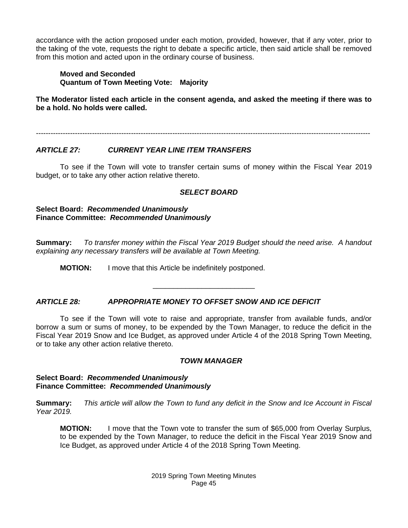accordance with the action proposed under each motion, provided, however, that if any voter, prior to the taking of the vote, requests the right to debate a specific article, then said article shall be removed from this motion and acted upon in the ordinary course of business.

**Moved and Seconded Quantum of Town Meeting Vote: Majority**

**The Moderator listed each article in the consent agenda, and asked the meeting if there was to be a hold. No holds were called.**

-----------------------------------------------------------------------------------------------------------------------------------------

## *ARTICLE 27: CURRENT YEAR LINE ITEM TRANSFERS*

To see if the Town will vote to transfer certain sums of money within the Fiscal Year 2019 budget, or to take any other action relative thereto.

## *SELECT BOARD*

**Select Board:** *Recommended Unanimously* **Finance Committee:** *Recommended Unanimously*

**Summary:** *To transfer money within the Fiscal Year 2019 Budget should the need arise. A handout explaining any necessary transfers will be available at Town Meeting.*

\_\_\_\_\_\_\_\_\_\_\_\_\_\_\_\_\_\_\_\_\_\_\_\_\_

**MOTION:** I move that this Article be indefinitely postponed.

## *ARTICLE 28: APPROPRIATE MONEY TO OFFSET SNOW AND ICE DEFICIT*

To see if the Town will vote to raise and appropriate, transfer from available funds, and/or borrow a sum or sums of money, to be expended by the Town Manager, to reduce the deficit in the Fiscal Year 2019 Snow and Ice Budget, as approved under Article 4 of the 2018 Spring Town Meeting, or to take any other action relative thereto.

#### *TOWN MANAGER*

#### **Select Board:** *Recommended Unanimously* **Finance Committee:** *Recommended Unanimously*

**Summary:** *This article will allow the Town to fund any deficit in the Snow and Ice Account in Fiscal Year 2019.*

**MOTION:** I move that the Town vote to transfer the sum of \$65,000 from Overlay Surplus, to be expended by the Town Manager, to reduce the deficit in the Fiscal Year 2019 Snow and Ice Budget, as approved under Article 4 of the 2018 Spring Town Meeting.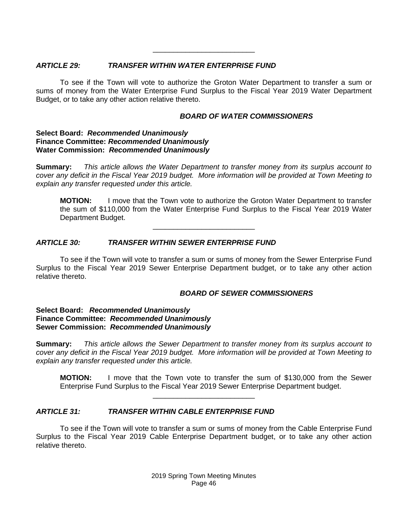## *ARTICLE 29: TRANSFER WITHIN WATER ENTERPRISE FUND*

To see if the Town will vote to authorize the Groton Water Department to transfer a sum or sums of money from the Water Enterprise Fund Surplus to the Fiscal Year 2019 Water Department Budget, or to take any other action relative thereto.

\_\_\_\_\_\_\_\_\_\_\_\_\_\_\_\_\_\_\_\_\_\_\_\_\_

# *BOARD OF WATER COMMISSIONERS*

## **Select Board:** *Recommended Unanimously* **Finance Committee:** *Recommended Unanimously* **Water Commission:** *Recommended Unanimously*

**Summary:** *This article allows the Water Department to transfer money from its surplus account to cover any deficit in the Fiscal Year 2019 budget. More information will be provided at Town Meeting to explain any transfer requested under this article.*

**MOTION:** I move that the Town vote to authorize the Groton Water Department to transfer the sum of \$110,000 from the Water Enterprise Fund Surplus to the Fiscal Year 2019 Water Department Budget.

# *ARTICLE 30: TRANSFER WITHIN SEWER ENTERPRISE FUND*

To see if the Town will vote to transfer a sum or sums of money from the Sewer Enterprise Fund Surplus to the Fiscal Year 2019 Sewer Enterprise Department budget, or to take any other action relative thereto.

\_\_\_\_\_\_\_\_\_\_\_\_\_\_\_\_\_\_\_\_\_\_\_\_\_

## *BOARD OF SEWER COMMISSIONERS*

#### **Select Board:** *Recommended Unanimously* **Finance Committee:** *Recommended Unanimously* **Sewer Commission:** *Recommended Unanimously*

**Summary:** *This article allows the Sewer Department to transfer money from its surplus account to cover any deficit in the Fiscal Year 2019 budget. More information will be provided at Town Meeting to explain any transfer requested under this article.*

**MOTION:** I move that the Town vote to transfer the sum of \$130,000 from the Sewer Enterprise Fund Surplus to the Fiscal Year 2019 Sewer Enterprise Department budget.

## *ARTICLE 31: TRANSFER WITHIN CABLE ENTERPRISE FUND*

To see if the Town will vote to transfer a sum or sums of money from the Cable Enterprise Fund Surplus to the Fiscal Year 2019 Cable Enterprise Department budget, or to take any other action relative thereto.

\_\_\_\_\_\_\_\_\_\_\_\_\_\_\_\_\_\_\_\_\_\_\_\_\_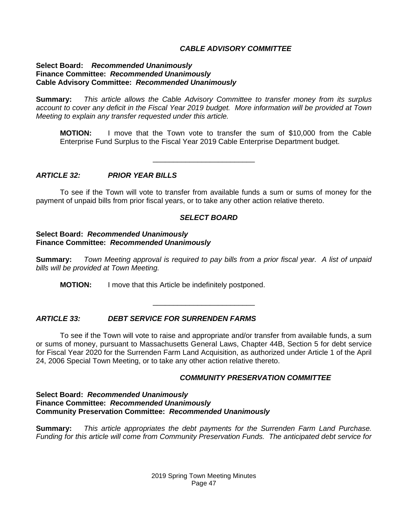## *CABLE ADVISORY COMMITTEE*

#### **Select Board:** *Recommended Unanimously* **Finance Committee:** *Recommended Unanimously* **Cable Advisory Committee:** *Recommended Unanimously*

**Summary:** *This article allows the Cable Advisory Committee to transfer money from its surplus account to cover any deficit in the Fiscal Year 2019 budget. More information will be provided at Town Meeting to explain any transfer requested under this article.*

**MOTION:** I move that the Town vote to transfer the sum of \$10,000 from the Cable Enterprise Fund Surplus to the Fiscal Year 2019 Cable Enterprise Department budget.

#### *ARTICLE 32: PRIOR YEAR BILLS*

To see if the Town will vote to transfer from available funds a sum or sums of money for the payment of unpaid bills from prior fiscal years, or to take any other action relative thereto.

\_\_\_\_\_\_\_\_\_\_\_\_\_\_\_\_\_\_\_\_\_\_\_\_\_

#### *SELECT BOARD*

#### **Select Board:** *Recommended Unanimously* **Finance Committee:** *Recommended Unanimously*

**Summary:** *Town Meeting approval is required to pay bills from a prior fiscal year. A list of unpaid bills will be provided at Town Meeting.*

\_\_\_\_\_\_\_\_\_\_\_\_\_\_\_\_\_\_\_\_\_\_\_\_\_

**MOTION:** I move that this Article be indefinitely postponed.

## *ARTICLE 33: DEBT SERVICE FOR SURRENDEN FARMS*

To see if the Town will vote to raise and appropriate and/or transfer from available funds, a sum or sums of money, pursuant to Massachusetts General Laws, Chapter 44B, Section 5 for debt service for Fiscal Year 2020 for the Surrenden Farm Land Acquisition, as authorized under Article 1 of the April 24, 2006 Special Town Meeting, or to take any other action relative thereto.

#### *COMMUNITY PRESERVATION COMMITTEE*

#### **Select Board:** *Recommended Unanimously* **Finance Committee:** *Recommended Unanimously* **Community Preservation Committee:** *Recommended Unanimously*

**Summary:** *This article appropriates the debt payments for the Surrenden Farm Land Purchase. Funding for this article will come from Community Preservation Funds. The anticipated debt service for*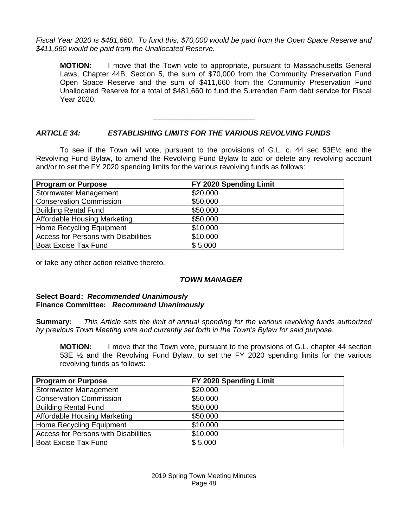*Fiscal Year 2020 is \$481,660. To fund this, \$70,000 would be paid from the Open Space Reserve and \$411,660 would be paid from the Unallocated Reserve.*

**MOTION:** I move that the Town vote to appropriate, pursuant to Massachusetts General Laws, Chapter 44B, Section 5, the sum of \$70,000 from the Community Preservation Fund Open Space Reserve and the sum of \$411,660 from the Community Preservation Fund Unallocated Reserve for a total of \$481,660 to fund the Surrenden Farm debt service for Fiscal Year 2020.

## *ARTICLE 34: ESTABLISHING LIMITS FOR THE VARIOUS REVOLVING FUNDS*

To see if the Town will vote, pursuant to the provisions of G.L. c. 44 sec  $53E\%$  and the Revolving Fund Bylaw, to amend the Revolving Fund Bylaw to add or delete any revolving account and/or to set the FY 2020 spending limits for the various revolving funds as follows:

\_\_\_\_\_\_\_\_\_\_\_\_\_\_\_\_\_\_\_\_\_\_\_\_\_

| <b>Program or Purpose</b>                   | FY 2020 Spending Limit |
|---------------------------------------------|------------------------|
| <b>Stormwater Management</b>                | \$20,000               |
| <b>Conservation Commission</b>              | \$50,000               |
| <b>Building Rental Fund</b>                 | \$50,000               |
| Affordable Housing Marketing                | \$50,000               |
| <b>Home Recycling Equipment</b>             | \$10,000               |
| <b>Access for Persons with Disabilities</b> | \$10,000               |
| <b>Boat Excise Tax Fund</b>                 | \$5,000                |

or take any other action relative thereto.

## *TOWN MANAGER*

## **Select Board:** *Recommended Unanimously* **Finance Committee:** *Recommend Unanimously*

**Summary:** *This Article sets the limit of annual spending for the various revolving funds authorized by previous Town Meeting vote and currently set forth in the Town's Bylaw for said purpose.*

**MOTION:** I move that the Town vote, pursuant to the provisions of G.L. chapter 44 section 53E ½ and the Revolving Fund Bylaw, to set the FY 2020 spending limits for the various revolving funds as follows:

| <b>Program or Purpose</b>                   | FY 2020 Spending Limit |
|---------------------------------------------|------------------------|
| <b>Stormwater Management</b>                | \$20,000               |
| <b>Conservation Commission</b>              | \$50,000               |
| <b>Building Rental Fund</b>                 | \$50,000               |
| Affordable Housing Marketing                | \$50,000               |
| Home Recycling Equipment                    | \$10,000               |
| <b>Access for Persons with Disabilities</b> | \$10,000               |
| <b>Boat Excise Tax Fund</b>                 | \$5,000                |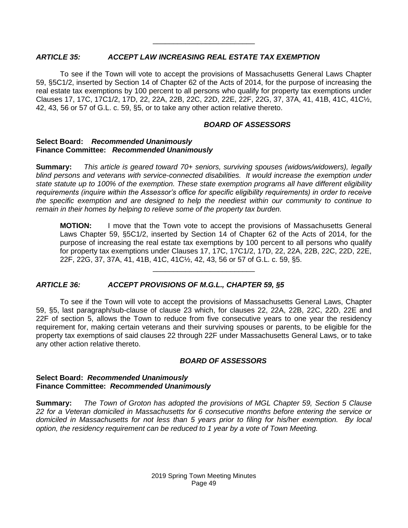## *ARTICLE 35: ACCEPT LAW INCREASING REAL ESTATE TAX EXEMPTION*

To see if the Town will vote to accept the provisions of Massachusetts General Laws Chapter 59, §5C1/2, inserted by Section 14 of Chapter 62 of the Acts of 2014, for the purpose of increasing the real estate tax exemptions by 100 percent to all persons who qualify for property tax exemptions under Clauses 17, 17C, 17C1/2, 17D, 22, 22A, 22B, 22C, 22D, 22E, 22F, 22G, 37, 37A, 41, 41B, 41C, 41C½, 42, 43, 56 or 57 of G.L. c. 59, §5, or to take any other action relative thereto.

\_\_\_\_\_\_\_\_\_\_\_\_\_\_\_\_\_\_\_\_\_\_\_\_\_

## *BOARD OF ASSESSORS*

#### **Select Board:** *Recommended Unanimously* **Finance Committee:** *Recommended Unanimously*

**Summary:** *This article is geared toward 70+ seniors, surviving spouses (widows/widowers), legally blind persons and veterans with service-connected disabilities. It would increase the exemption under state statute up to 100% of the exemption. These state exemption programs all have different eligibility requirements (inquire within the Assessor's office for specific eligibility requirements) in order to receive the specific exemption and are designed to help the neediest within our community to continue to remain in their homes by helping to relieve some of the property tax burden.*

**MOTION:** I move that the Town vote to accept the provisions of Massachusetts General Laws Chapter 59, §5C1/2, inserted by Section 14 of Chapter 62 of the Acts of 2014, for the purpose of increasing the real estate tax exemptions by 100 percent to all persons who qualify for property tax exemptions under Clauses 17, 17C, 17C1/2, 17D, 22, 22A, 22B, 22C, 22D, 22E, 22F, 22G, 37, 37A, 41, 41B, 41C, 41C½, 42, 43, 56 or 57 of G.L. c. 59, §5.

## *ARTICLE 36: ACCEPT PROVISIONS OF M.G.L., CHAPTER 59, §5*

To see if the Town will vote to accept the provisions of Massachusetts General Laws, Chapter 59, §5, last paragraph/sub-clause of clause 23 which, for clauses 22, 22A, 22B, 22C, 22D, 22E and 22F of section 5, allows the Town to reduce from five consecutive years to one year the residency requirement for, making certain veterans and their surviving spouses or parents, to be eligible for the property tax exemptions of said clauses 22 through 22F under Massachusetts General Laws, or to take any other action relative thereto.

\_\_\_\_\_\_\_\_\_\_\_\_\_\_\_\_\_\_\_\_\_\_\_\_\_

#### *BOARD OF ASSESSORS*

#### **Select Board:** *Recommended Unanimously* **Finance Committee:** *Recommended Unanimously*

**Summary:** *The Town of Groton has adopted the provisions of MGL Chapter 59, Section 5 Clause 22 for a Veteran domiciled in Massachusetts for 6 consecutive months before entering the service or domiciled in Massachusetts for not less than 5 years prior to filing for his/her exemption. By local option, the residency requirement can be reduced to 1 year by a vote of Town Meeting.*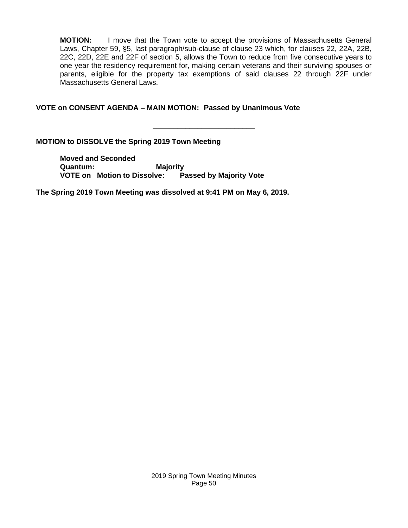**MOTION:** I move that the Town vote to accept the provisions of Massachusetts General Laws, Chapter 59, §5, last paragraph/sub-clause of clause 23 which, for clauses 22, 22A, 22B, 22C, 22D, 22E and 22F of section 5, allows the Town to reduce from five consecutive years to one year the residency requirement for, making certain veterans and their surviving spouses or parents, eligible for the property tax exemptions of said clauses 22 through 22F under Massachusetts General Laws.

\_\_\_\_\_\_\_\_\_\_\_\_\_\_\_\_\_\_\_\_\_\_\_\_\_

## **VOTE on CONSENT AGENDA – MAIN MOTION: Passed by Unanimous Vote**

**MOTION to DISSOLVE the Spring 2019 Town Meeting**

**Moved and Seconded Quantum: Majority VOTE on Motion to Dissolve: Passed by Majority Vote**

**The Spring 2019 Town Meeting was dissolved at 9:41 PM on May 6, 2019.**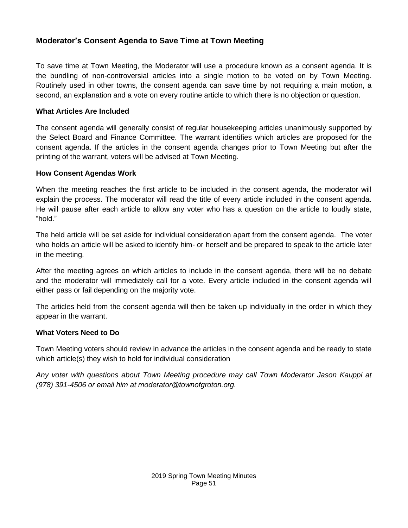# **Moderator's Consent Agenda to Save Time at Town Meeting**

To save time at Town Meeting, the Moderator will use a procedure known as a consent agenda. It is the bundling of non-controversial articles into a single motion to be voted on by Town Meeting. Routinely used in other towns, the consent agenda can save time by not requiring a main motion, a second, an explanation and a vote on every routine article to which there is no objection or question.

# **What Articles Are Included**

The consent agenda will generally consist of regular housekeeping articles unanimously supported by the Select Board and Finance Committee. The warrant identifies which articles are proposed for the consent agenda. If the articles in the consent agenda changes prior to Town Meeting but after the printing of the warrant, voters will be advised at Town Meeting.

# **How Consent Agendas Work**

When the meeting reaches the first article to be included in the consent agenda, the moderator will explain the process. The moderator will read the title of every article included in the consent agenda. He will pause after each article to allow any voter who has a question on the article to loudly state, "hold."

The held article will be set aside for individual consideration apart from the consent agenda. The voter who holds an article will be asked to identify him- or herself and be prepared to speak to the article later in the meeting.

After the meeting agrees on which articles to include in the consent agenda, there will be no debate and the moderator will immediately call for a vote. Every article included in the consent agenda will either pass or fail depending on the majority vote.

The articles held from the consent agenda will then be taken up individually in the order in which they appear in the warrant.

## **What Voters Need to Do**

Town Meeting voters should review in advance the articles in the consent agenda and be ready to state which article(s) they wish to hold for individual consideration

*Any voter with questions about Town Meeting procedure may call Town Moderator Jason Kauppi at (978) 391-4506 or email him at moderator@townofgroton.org.*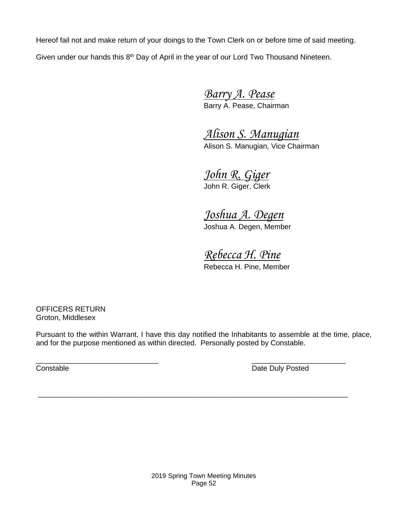Hereof fail not and make return of your doings to the Town Clerk on or before time of said meeting. Given under our hands this 8<sup>th</sup> Day of April in the year of our Lord Two Thousand Nineteen.

> *Barry A. Pease* Barry A. Pease, Chairman

*Alison S. Manugian* Alison S. Manugian, Vice Chairman

*John R. Giger* John R. Giger, Clerk

*Joshua A. Degen* Joshua A. Degen, Member

*Rebecca H. Pine* Rebecca H. Pine, Member

OFFICERS RETURN Groton, Middlesex

Pursuant to the within Warrant, I have this day notified the Inhabitants to assemble at the time, place, and for the purpose mentioned as within directed. Personally posted by Constable.

\_\_\_\_\_\_\_\_\_\_\_\_\_\_\_\_\_\_\_\_\_\_\_\_\_\_\_\_\_\_\_\_\_\_\_\_\_\_\_\_\_\_\_\_\_\_\_\_\_\_\_\_\_\_\_\_\_\_\_\_\_\_\_\_\_\_\_\_\_\_\_\_\_\_\_\_

 $\overline{\phantom{a}}$  , and the contract of the contract of the contract of the contract of the contract of the contract of the contract of the contract of the contract of the contract of the contract of the contract of the contrac **Constable Constable Date Duly Posted**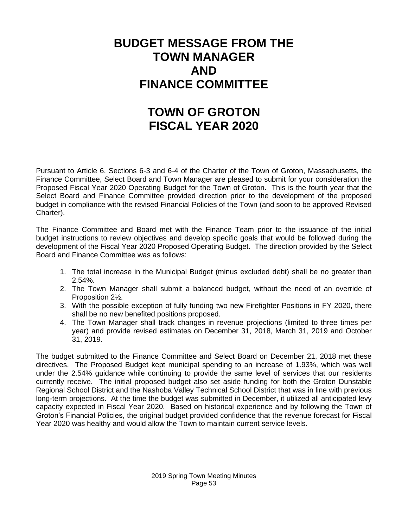# **BUDGET MESSAGE FROM THE TOWN MANAGER AND FINANCE COMMITTEE**

# **TOWN OF GROTON FISCAL YEAR 2020**

Pursuant to Article 6, Sections 6-3 and 6-4 of the Charter of the Town of Groton, Massachusetts, the Finance Committee, Select Board and Town Manager are pleased to submit for your consideration the Proposed Fiscal Year 2020 Operating Budget for the Town of Groton. This is the fourth year that the Select Board and Finance Committee provided direction prior to the development of the proposed budget in compliance with the revised Financial Policies of the Town (and soon to be approved Revised Charter).

The Finance Committee and Board met with the Finance Team prior to the issuance of the initial budget instructions to review objectives and develop specific goals that would be followed during the development of the Fiscal Year 2020 Proposed Operating Budget. The direction provided by the Select Board and Finance Committee was as follows:

- 1. The total increase in the Municipal Budget (minus excluded debt) shall be no greater than 2.54%.
- 2. The Town Manager shall submit a balanced budget, without the need of an override of Proposition 2½.
- 3. With the possible exception of fully funding two new Firefighter Positions in FY 2020, there shall be no new benefited positions proposed.
- 4. The Town Manager shall track changes in revenue projections (limited to three times per year) and provide revised estimates on December 31, 2018, March 31, 2019 and October 31, 2019.

The budget submitted to the Finance Committee and Select Board on December 21, 2018 met these directives. The Proposed Budget kept municipal spending to an increase of 1.93%, which was well under the 2.54% guidance while continuing to provide the same level of services that our residents currently receive. The initial proposed budget also set aside funding for both the Groton Dunstable Regional School District and the Nashoba Valley Technical School District that was in line with previous long-term projections. At the time the budget was submitted in December, it utilized all anticipated levy capacity expected in Fiscal Year 2020. Based on historical experience and by following the Town of Groton's Financial Policies, the original budget provided confidence that the revenue forecast for Fiscal Year 2020 was healthy and would allow the Town to maintain current service levels.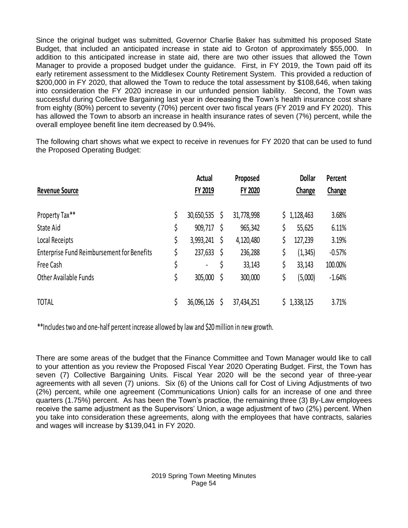Since the original budget was submitted, Governor Charlie Baker has submitted his proposed State Budget, that included an anticipated increase in state aid to Groton of approximately \$55,000. In addition to this anticipated increase in state aid, there are two other issues that allowed the Town Manager to provide a proposed budget under the guidance. First, in FY 2019, the Town paid off its early retirement assessment to the Middlesex County Retirement System. This provided a reduction of \$200,000 in FY 2020, that allowed the Town to reduce the total assessment by \$108,646, when taking into consideration the FY 2020 increase in our unfunded pension liability. Second, the Town was successful during Collective Bargaining last year in decreasing the Town's health insurance cost share from eighty (80%) percent to seventy (70%) percent over two fiscal years (FY 2019 and FY 2020). This has allowed the Town to absorb an increase in health insurance rates of seven (7%) percent, while the overall employee benefit line item decreased by 0.94%.

The following chart shows what we expect to receive in revenues for FY 2020 that can be used to fund the Proposed Operating Budget:

|                                                   |    | <b>Actual</b> |    | Proposed   |    | <b>Dollar</b> | Percent  |
|---------------------------------------------------|----|---------------|----|------------|----|---------------|----------|
| <b>Revenue Source</b>                             |    | FY 2019       |    | FY 2020    |    | Change        | Change   |
| Property Tax**                                    | \$ | 30,650,535    | \$ | 31,778,998 |    | \$1,128,463   | 3.68%    |
| State Aid                                         | \$ | 909,717       | Ŝ  | 965,342    | \$ | 55,625        | 6.11%    |
| Local Receipts                                    | \$ | 3,993,241     | \$ | 4,120,480  |    | 127,239       | 3.19%    |
| <b>Enterprise Fund Reimbursement for Benefits</b> | \$ | 237,633       | \$ | 236,288    | \$ | (1, 345)      | $-0.57%$ |
| Free Cash                                         | \$ |               | \$ | 33,143     | \$ | 33,143        | 100.00%  |
| <b>Other Available Funds</b>                      | \$ | 305,000       | \$ | 300,000    | \$ | (5,000)       | $-1.64%$ |
| <b>TOTAL</b>                                      | Ś  | 36,096,126    | Ś  | 37,434,251 | S. | 1,338,125     | 3.71%    |

\*\*Includes two and one-half percent increase allowed by law and \$20 million in new growth.

There are some areas of the budget that the Finance Committee and Town Manager would like to call to your attention as you review the Proposed Fiscal Year 2020 Operating Budget. First, the Town has seven (7) Collective Bargaining Units. Fiscal Year 2020 will be the second year of three-year agreements with all seven (7) unions. Six (6) of the Unions call for Cost of Living Adjustments of two (2%) percent, while one agreement (Communications Union) calls for an increase of one and three quarters (1.75%) percent. As has been the Town's practice, the remaining three (3) By-Law employees receive the same adjustment as the Supervisors' Union, a wage adjustment of two (2%) percent. When you take into consideration these agreements, along with the employees that have contracts, salaries and wages will increase by \$139,041 in FY 2020.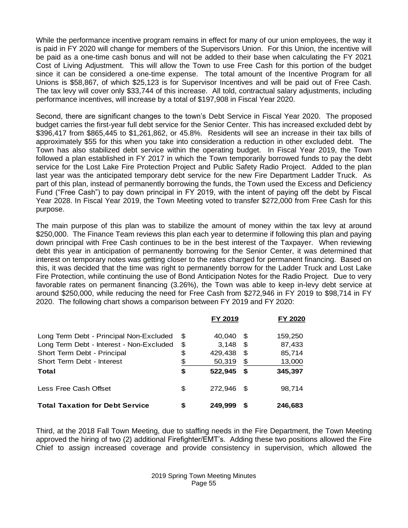While the performance incentive program remains in effect for many of our union employees, the way it is paid in FY 2020 will change for members of the Supervisors Union. For this Union, the incentive will be paid as a one-time cash bonus and will not be added to their base when calculating the FY 2021 Cost of Living Adjustment. This will allow the Town to use Free Cash for this portion of the budget since it can be considered a one-time expense. The total amount of the Incentive Program for all Unions is \$58,867, of which \$25,123 is for Supervisor Incentives and will be paid out of Free Cash. The tax levy will cover only \$33,744 of this increase. All told, contractual salary adjustments, including performance incentives, will increase by a total of \$197,908 in Fiscal Year 2020.

Second, there are significant changes to the town's Debt Service in Fiscal Year 2020. The proposed budget carries the first-year full debt service for the Senior Center. This has increased excluded debt by \$396,417 from \$865,445 to \$1,261,862, or 45.8%. Residents will see an increase in their tax bills of approximately \$55 for this when you take into consideration a reduction in other excluded debt. The Town has also stabilized debt service within the operating budget. In Fiscal Year 2019, the Town followed a plan established in FY 2017 in which the Town temporarily borrowed funds to pay the debt service for the Lost Lake Fire Protection Project and Public Safety Radio Project. Added to the plan last year was the anticipated temporary debt service for the new Fire Department Ladder Truck. As part of this plan, instead of permanently borrowing the funds, the Town used the Excess and Deficiency Fund ("Free Cash") to pay down principal in FY 2019, with the intent of paying off the debt by Fiscal Year 2028. In Fiscal Year 2019, the Town Meeting voted to transfer \$272,000 from Free Cash for this purpose.

The main purpose of this plan was to stabilize the amount of money within the tax levy at around \$250,000. The Finance Team reviews this plan each year to determine if following this plan and paying down principal with Free Cash continues to be in the best interest of the Taxpayer. When reviewing debt this year in anticipation of permanently borrowing for the Senior Center, it was determined that interest on temporary notes was getting closer to the rates charged for permanent financing. Based on this, it was decided that the time was right to permanently borrow for the Ladder Truck and Lost Lake Fire Protection, while continuing the use of Bond Anticipation Notes for the Radio Project. Due to very favorable rates on permanent financing (3.26%), the Town was able to keep in-levy debt service at around \$250,000, while reducing the need for Free Cash from \$272,946 in FY 2019 to \$98,714 in FY 2020. The following chart shows a comparison between FY 2019 and FY 2020:

|                                          | FY 2019       |      | FY 2020 |
|------------------------------------------|---------------|------|---------|
| Long Term Debt - Principal Non-Excluded  | \$<br>40,040  | -S   | 159,250 |
| Long Term Debt - Interest - Non-Excluded | \$<br>3.148   | \$   | 87,433  |
| Short Term Debt - Principal              | \$<br>429,438 | \$   | 85,714  |
| Short Term Debt - Interest               | \$<br>50,319  | \$   | 13,000  |
| Total                                    | \$<br>522.945 | S    | 345,397 |
| Less Free Cash Offset                    | \$<br>272.946 | - \$ | 98,714  |
| <b>Total Taxation for Debt Service</b>   | \$<br>249.999 | S    | 246,683 |

Third, at the 2018 Fall Town Meeting, due to staffing needs in the Fire Department, the Town Meeting approved the hiring of two (2) additional Firefighter/EMT's. Adding these two positions allowed the Fire Chief to assign increased coverage and provide consistency in supervision, which allowed the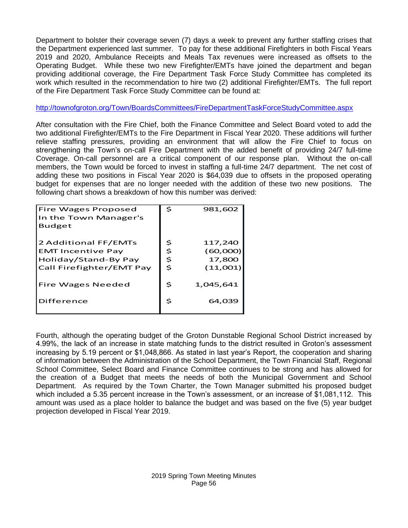Department to bolster their coverage seven (7) days a week to prevent any further staffing crises that the Department experienced last summer. To pay for these additional Firefighters in both Fiscal Years 2019 and 2020, Ambulance Receipts and Meals Tax revenues were increased as offsets to the Operating Budget. While these two new Firefighter/EMTs have joined the department and began providing additional coverage, the Fire Department Task Force Study Committee has completed its work which resulted in the recommendation to hire two (2) additional Firefighter/EMTs. The full report of the Fire Department Task Force Study Committee can be found at:

## <http://townofgroton.org/Town/BoardsCommittees/FireDepartmentTaskForceStudyCommittee.aspx>

After consultation with the Fire Chief, both the Finance Committee and Select Board voted to add the two additional Firefighter/EMTs to the Fire Department in Fiscal Year 2020. These additions will further relieve staffing pressures, providing an environment that will allow the Fire Chief to focus on strengthening the Town's on-call Fire Department with the added benefit of providing 24/7 full-time Coverage. On-call personnel are a critical component of our response plan. Without the on-call members, the Town would be forced to invest in staffing a full-time 24/7 department. The net cost of adding these two positions in Fiscal Year 2020 is \$64,039 due to offsets in the proposed operating budget for expenses that are no longer needed with the addition of these two new positions. The following chart shows a breakdown of how this number was derived:

| <b>Fire Wages Proposed</b> | \$ | 981,602   |
|----------------------------|----|-----------|
| In the Town Manager's      |    |           |
| <b>Budget</b>              |    |           |
|                            |    |           |
| 2 Additional FF/EMTs       | Ş  | 117,240   |
| <b>EMT Incentive Pay</b>   | \$ | (60,000)  |
| Holiday/Stand-By Pay       | \$ | 17,800    |
| Call Firefighter/EMT Pay   | \$ | (11,001)  |
|                            |    |           |
| Fire Wages Needed          | \$ | 1,045,641 |
|                            |    |           |
| Difference                 | S  | 64,039    |
|                            |    |           |

Fourth, although the operating budget of the Groton Dunstable Regional School District increased by 4.99%, the lack of an increase in state matching funds to the district resulted in Groton's assessment increasing by 5.19 percent or \$1,048,866. As stated in last year's Report, the cooperation and sharing of information between the Administration of the School Department, the Town Financial Staff, Regional School Committee, Select Board and Finance Committee continues to be strong and has allowed for the creation of a Budget that meets the needs of both the Municipal Government and School Department. As required by the Town Charter, the Town Manager submitted his proposed budget which included a 5.35 percent increase in the Town's assessment, or an increase of \$1,081,112. This amount was used as a place holder to balance the budget and was based on the five (5) year budget projection developed in Fiscal Year 2019.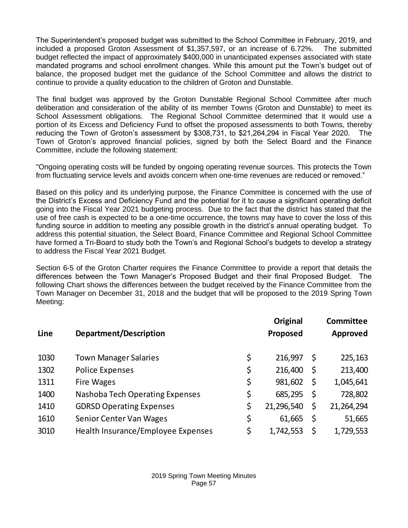The Superintendent's proposed budget was submitted to the School Committee in February, 2019, and included a proposed Groton Assessment of \$1,357,597, or an increase of 6.72%. The submitted budget reflected the impact of approximately \$400,000 in unanticipated expenses associated with state mandated programs and school enrollment changes. While this amount put the Town's budget out of balance, the proposed budget met the guidance of the School Committee and allows the district to continue to provide a quality education to the children of Groton and Dunstable.

The final budget was approved by the Groton Dunstable Regional School Committee after much deliberation and consideration of the ability of its member Towns (Groton and Dunstable) to meet its School Assessment obligations. The Regional School Committee determined that it would use a portion of its Excess and Deficiency Fund to offset the proposed assessments to both Towns, thereby reducing the Town of Groton's assessment by \$308,731, to \$21,264,294 in Fiscal Year 2020. The Town of Groton's approved financial policies, signed by both the Select Board and the Finance Committee, include the following statement:

"Ongoing operating costs will be funded by ongoing operating revenue sources. This protects the Town from fluctuating service levels and avoids concern when one-time revenues are reduced or removed."

Based on this policy and its underlying purpose, the Finance Committee is concerned with the use of the District's Excess and Deficiency Fund and the potential for it to cause a significant operating deficit going into the Fiscal Year 2021 budgeting process. Due to the fact that the district has stated that the use of free cash is expected to be a one-time occurrence, the towns may have to cover the loss of this funding source in addition to meeting any possible growth in the district's annual operating budget. To address this potential situation, the Select Board, Finance Committee and Regional School Committee have formed a Tri-Board to study both the Town's and Regional School's budgets to develop a strategy to address the Fiscal Year 2021 Budget.

Section 6-5 of the Groton Charter requires the Finance Committee to provide a report that details the differences between the Town Manager's Proposed Budget and their final Proposed Budget. The following Chart shows the differences between the budget received by the Finance Committee from the Town Manager on December 31, 2018 and the budget that will be proposed to the 2019 Spring Town Meeting:

| <b>Department/Description</b>      | Original<br>Proposed | <b>Committee</b><br><b>Approved</b> |
|------------------------------------|----------------------|-------------------------------------|
| <b>Town Manager Salaries</b>       | \$<br>216,997        | \$<br>225,163                       |
| <b>Police Expenses</b>             | \$<br>216,400        | \$<br>213,400                       |
| <b>Fire Wages</b>                  | \$<br>981,602        | \$<br>1,045,641                     |
| Nashoba Tech Operating Expenses    | \$<br>685,295        | \$<br>728,802                       |
| <b>GDRSD Operating Expenses</b>    | \$<br>21,296,540     | \$<br>21,264,294                    |
| Senior Center Van Wages            | \$<br>61,665         | \$<br>51,665                        |
| Health Insurance/Employee Expenses | \$<br>1,742,553      | \$<br>1,729,553                     |
|                                    |                      |                                     |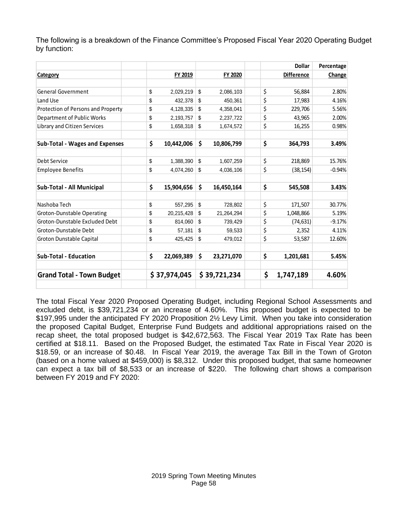The following is a breakdown of the Finance Committee's Proposed Fiscal Year 2020 Operating Budget by function:

|                                       |                  |                  | <b>Dollar</b>     | Percentage |
|---------------------------------------|------------------|------------------|-------------------|------------|
| Category                              | FY 2019          | FY 2020          | <b>Difference</b> | Change     |
|                                       |                  |                  |                   |            |
| General Government                    | \$<br>2,029,219  | \$<br>2,086,103  | \$<br>56,884      | 2.80%      |
| Land Use                              | \$<br>432,378    | \$<br>450.361    | \$<br>17,983      | 4.16%      |
| Protection of Persons and Property    | \$<br>4,128,335  | \$<br>4,358,041  | \$<br>229,706     | 5.56%      |
| Department of Public Works            | \$<br>2,193,757  | \$<br>2,237,722  | \$<br>43,965      | 2.00%      |
| Library and Citizen Services          | \$<br>1,658,318  | \$<br>1,674,572  | \$<br>16,255      | 0.98%      |
|                                       |                  |                  |                   |            |
| <b>Sub-Total - Wages and Expenses</b> | \$<br>10,442,006 | \$<br>10,806,799 | \$<br>364,793     | 3.49%      |
|                                       |                  |                  |                   |            |
| Debt Service                          | \$<br>1,388,390  | \$<br>1,607,259  | \$<br>218,869     | 15.76%     |
| <b>Employee Benefits</b>              | \$<br>4,074,260  | \$<br>4,036,106  | \$<br>(38, 154)   | $-0.94%$   |
|                                       |                  |                  |                   |            |
| Sub-Total - All Municipal             | \$<br>15,904,656 | \$<br>16,450,164 | \$<br>545,508     | 3.43%      |
|                                       |                  |                  |                   |            |
| Nashoba Tech                          | \$<br>557.295    | \$<br>728.802    | \$<br>171,507     | 30.77%     |
| Groton-Dunstable Operating            | \$<br>20,215,428 | \$<br>21,264,294 | \$<br>1,048,866   | 5.19%      |
| Groton-Dunstable Excluded Debt        | \$<br>814,060    | \$<br>739,429    | \$<br>(74, 631)   | $-9.17%$   |
| Groton-Dunstable Debt                 | \$<br>57,181     | \$<br>59,533     | \$<br>2,352       | 4.11%      |
| Groton Dunstable Capital              | \$<br>425,425    | \$<br>479,012    | \$<br>53,587      | 12.60%     |
|                                       |                  |                  |                   |            |
| <b>Sub-Total - Education</b>          | \$<br>22,069,389 | \$<br>23,271,070 | \$<br>1,201,681   | 5.45%      |
| <b>Grand Total - Town Budget</b>      | \$37,974,045     | \$39,721,234     | \$<br>1,747,189   | 4.60%      |
|                                       |                  |                  |                   |            |

The total Fiscal Year 2020 Proposed Operating Budget, including Regional School Assessments and excluded debt, is \$39,721,234 or an increase of 4.60%. This proposed budget is expected to be \$197,995 under the anticipated FY 2020 Proposition 2½ Levy Limit. When you take into consideration the proposed Capital Budget, Enterprise Fund Budgets and additional appropriations raised on the recap sheet, the total proposed budget is \$42,672,563. The Fiscal Year 2019 Tax Rate has been certified at \$18.11. Based on the Proposed Budget, the estimated Tax Rate in Fiscal Year 2020 is \$18.59, or an increase of \$0.48. In Fiscal Year 2019, the average Tax Bill in the Town of Groton (based on a home valued at \$459,000) is \$8,312. Under this proposed budget, that same homeowner can expect a tax bill of \$8,533 or an increase of \$220. The following chart shows a comparison between FY 2019 and FY 2020: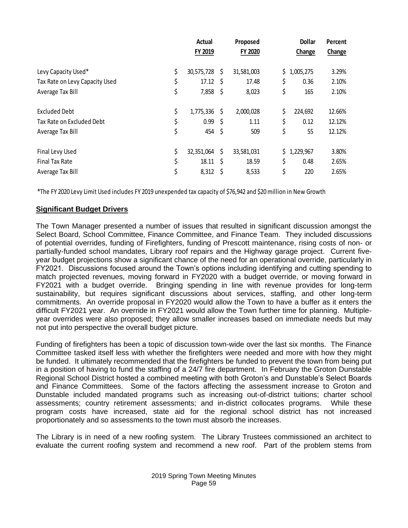|                                                                                                                                                                                                                                                                                                                                                                                                                                                                                                                                                                                                                                                                                                                                                                                                                                                                                                                                                                                                                                                         | <b>Actual</b>                               | Proposed |            | <b>Dollar</b> | Percent |
|---------------------------------------------------------------------------------------------------------------------------------------------------------------------------------------------------------------------------------------------------------------------------------------------------------------------------------------------------------------------------------------------------------------------------------------------------------------------------------------------------------------------------------------------------------------------------------------------------------------------------------------------------------------------------------------------------------------------------------------------------------------------------------------------------------------------------------------------------------------------------------------------------------------------------------------------------------------------------------------------------------------------------------------------------------|---------------------------------------------|----------|------------|---------------|---------|
|                                                                                                                                                                                                                                                                                                                                                                                                                                                                                                                                                                                                                                                                                                                                                                                                                                                                                                                                                                                                                                                         | FY 2019                                     |          | FY 2020    | Change        | Change  |
| Levy Capacity Used*                                                                                                                                                                                                                                                                                                                                                                                                                                                                                                                                                                                                                                                                                                                                                                                                                                                                                                                                                                                                                                     | \$<br>30,575,728 \$                         |          | 31,581,003 | \$1,005,275   | 3.29%   |
| Tax Rate on Levy Capacity Used                                                                                                                                                                                                                                                                                                                                                                                                                                                                                                                                                                                                                                                                                                                                                                                                                                                                                                                                                                                                                          | \$<br>$17.12 \div$                          |          | 17.48      | \$<br>0.36    | 2.10%   |
| Average Tax Bill                                                                                                                                                                                                                                                                                                                                                                                                                                                                                                                                                                                                                                                                                                                                                                                                                                                                                                                                                                                                                                        | \$<br>$7,858$ \$                            |          | 8,023      | \$<br>165     | 2.10%   |
| <b>Excluded Debt</b>                                                                                                                                                                                                                                                                                                                                                                                                                                                                                                                                                                                                                                                                                                                                                                                                                                                                                                                                                                                                                                    | \$<br>$1,775,336$ \$                        |          | 2,000,028  | \$<br>224,692 | 12.66%  |
| Tax Rate on Excluded Debt                                                                                                                                                                                                                                                                                                                                                                                                                                                                                                                                                                                                                                                                                                                                                                                                                                                                                                                                                                                                                               | \$<br>$0.99 \quad $$                        |          | 1.11       | \$<br>0.12    | 12.12%  |
| Average Tax Bill                                                                                                                                                                                                                                                                                                                                                                                                                                                                                                                                                                                                                                                                                                                                                                                                                                                                                                                                                                                                                                        | \$<br>454 \$                                |          | 509        | \$<br>55      | 12.12%  |
| Final Levy Used                                                                                                                                                                                                                                                                                                                                                                                                                                                                                                                                                                                                                                                                                                                                                                                                                                                                                                                                                                                                                                         | \$<br>$32,351,064$ \$                       |          | 33,581,031 | \$1,229,967   | 3.80%   |
| Final Tax Rate                                                                                                                                                                                                                                                                                                                                                                                                                                                                                                                                                                                                                                                                                                                                                                                                                                                                                                                                                                                                                                          | \$<br>$18.11 \quad $$                       |          | 18.59      | \$<br>0.48    | 2.65%   |
| Average Tax Bill                                                                                                                                                                                                                                                                                                                                                                                                                                                                                                                                                                                                                                                                                                                                                                                                                                                                                                                                                                                                                                        | \$<br>$8,312$ \$                            |          | 8,533      | \$<br>220     | 2.65%   |
| *The FY 2020 Levy Limit Used includes FY 2019 unexpended tax capacity of \$76,942 and \$20 million in New Growth                                                                                                                                                                                                                                                                                                                                                                                                                                                                                                                                                                                                                                                                                                                                                                                                                                                                                                                                        |                                             |          |            |               |         |
| <b>Significant Budget Drivers</b>                                                                                                                                                                                                                                                                                                                                                                                                                                                                                                                                                                                                                                                                                                                                                                                                                                                                                                                                                                                                                       |                                             |          |            |               |         |
| year budget projections show a significant chance of the need for an operational override, particu<br>FY2021. Discussions focused around the Town's options including identifying and cutting spen<br>match projected revenues, moving forward in FY2020 with a budget override, or moving for<br>FY2021 with a budget override. Bringing spending in line with revenue provides for lor<br>sustainability, but requires significant discussions about services, staffing, and other lor<br>commitments. An override proposal in FY2020 would allow the Town to have a buffer as it ent<br>difficult FY2021 year. An override in FY2021 would allow the Town further time for planning. M<br>year overrides were also proposed; they allow smaller increases based on immediate needs b<br>not put into perspective the overall budget picture.                                                                                                                                                                                                         |                                             |          |            |               |         |
| Funding of firefighters has been a topic of discussion town-wide over the last six months. The F<br>Committee tasked itself less with whether the firefighters were needed and more with how the<br>be funded. It ultimately recommended that the firefighters be funded to prevent the town from be<br>in a position of having to fund the staffing of a 24/7 fire department. In February the Groton Du<br>Regional School District hosted a combined meeting with both Groton's and Dunstable's Select<br>and Finance Committees. Some of the factors affecting the assessment increase to Grote<br>Dunstable included mandated programs such as increasing out-of-district tuitions; charter<br>assessments; country retirement assessments; and in-district collocates programs.<br>program costs have increased, state aid for the regional school district has not ind<br>proportionately and so assessments to the town must absorb the increases.<br>The Library is in need of a new roofing system. The Library Trustees commissioned an arch |                                             |          |            |               | While   |
| evaluate the current roofing system and recommend a new roof. Part of the problem stem                                                                                                                                                                                                                                                                                                                                                                                                                                                                                                                                                                                                                                                                                                                                                                                                                                                                                                                                                                  |                                             |          |            |               |         |
|                                                                                                                                                                                                                                                                                                                                                                                                                                                                                                                                                                                                                                                                                                                                                                                                                                                                                                                                                                                                                                                         | 2019 Spring Town Meeting Minutes<br>Page 59 |          |            |               |         |

## **Significant Budget Drivers**

The Town Manager presented a number of issues that resulted in significant discussion amongst the Select Board, School Committee, Finance Committee, and Finance Team. They included discussions of potential overrides, funding of Firefighters, funding of Prescott maintenance, rising costs of non- or partially-funded school mandates, Library roof repairs and the Highway garage project. Current fiveyear budget projections show a significant chance of the need for an operational override, particularly in FY2021. Discussions focused around the Town's options including identifying and cutting spending to match projected revenues, moving forward in FY2020 with a budget override, or moving forward in FY2021 with a budget override. Bringing spending in line with revenue provides for long-term sustainability, but requires significant discussions about services, staffing, and other long-term commitments. An override proposal in FY2020 would allow the Town to have a buffer as it enters the difficult FY2021 year. An override in FY2021 would allow the Town further time for planning. Multipleyear overrides were also proposed; they allow smaller increases based on immediate needs but may not put into perspective the overall budget picture.

Funding of firefighters has been a topic of discussion town-wide over the last six months. The Finance Committee tasked itself less with whether the firefighters were needed and more with how they might be funded. It ultimately recommended that the firefighters be funded to prevent the town from being put in a position of having to fund the staffing of a 24/7 fire department. In February the Groton Dunstable Regional School District hosted a combined meeting with both Groton's and Dunstable's Select Boards and Finance Committees. Some of the factors affecting the assessment increase to Groton and Dunstable included mandated programs such as increasing out-of-district tuitions; charter school assessments; country retirement assessments; and in-district collocates programs. While these program costs have increased, state aid for the regional school district has not increased proportionately and so assessments to the town must absorb the increases.

The Library is in need of a new roofing system. The Library Trustees commissioned an architect to evaluate the current roofing system and recommend a new roof. Part of the problem stems from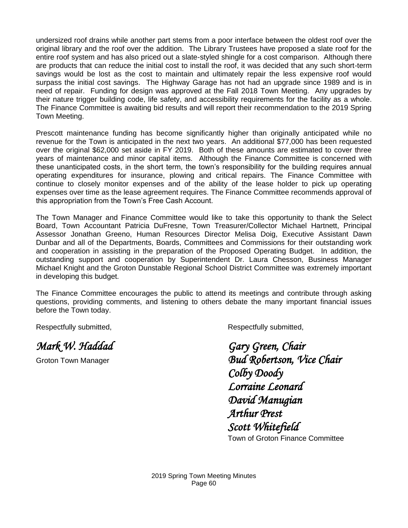undersized roof drains while another part stems from a poor interface between the oldest roof over the original library and the roof over the addition. The Library Trustees have proposed a slate roof for the entire roof system and has also priced out a slate-styled shingle for a cost comparison. Although there are products that can reduce the initial cost to install the roof, it was decided that any such short-term savings would be lost as the cost to maintain and ultimately repair the less expensive roof would surpass the initial cost savings. The Highway Garage has not had an upgrade since 1989 and is in need of repair. Funding for design was approved at the Fall 2018 Town Meeting. Any upgrades by their nature trigger building code, life safety, and accessibility requirements for the facility as a whole. The Finance Committee is awaiting bid results and will report their recommendation to the 2019 Spring Town Meeting.

Prescott maintenance funding has become significantly higher than originally anticipated while no revenue for the Town is anticipated in the next two years. An additional \$77,000 has been requested over the original \$62,000 set aside in FY 2019. Both of these amounts are estimated to cover three years of maintenance and minor capital items. Although the Finance Committee is concerned with these unanticipated costs, in the short term, the town's responsibility for the building requires annual operating expenditures for insurance, plowing and critical repairs. The Finance Committee with continue to closely monitor expenses and of the ability of the lease holder to pick up operating expenses over time as the lease agreement requires. The Finance Committee recommends approval of this appropriation from the Town's Free Cash Account.

The Town Manager and Finance Committee would like to take this opportunity to thank the Select Board, Town Accountant Patricia DuFresne, Town Treasurer/Collector Michael Hartnett, Principal Assessor Jonathan Greeno, Human Resources Director Melisa Doig, Executive Assistant Dawn Dunbar and all of the Departments, Boards, Committees and Commissions for their outstanding work and cooperation in assisting in the preparation of the Proposed Operating Budget. In addition, the outstanding support and cooperation by Superintendent Dr. Laura Chesson, Business Manager Michael Knight and the Groton Dunstable Regional School District Committee was extremely important in developing this budget.

The Finance Committee encourages the public to attend its meetings and contribute through asking questions, providing comments, and listening to others debate the many important financial issues before the Town today.

Respectfully submitted, The Controller Submitted, Respectfully submitted, Respectfully submitted,

*Mark W. Haddad Gary Green, Chair* 

Groton Town Manager *Bud Robertson, Vice Chair Colby Doody Lorraine Leonard David Manugian Arthur Prest Scott Whitefield* 

Town of Groton Finance Committee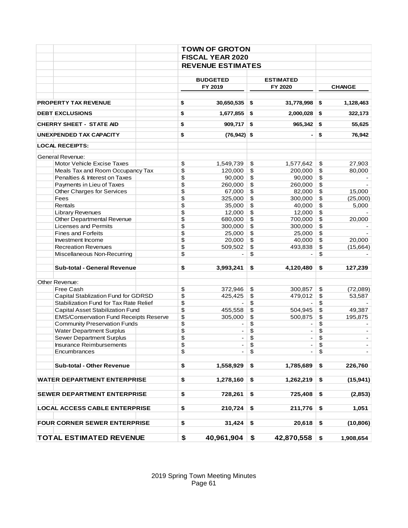|                                               |          | <b>TOWN OF GROTON</b>    |                          |                          |                          |
|-----------------------------------------------|----------|--------------------------|--------------------------|--------------------------|--------------------------|
|                                               |          | <b>FISCAL YEAR 2020</b>  |                          |                          |                          |
|                                               |          | <b>REVENUE ESTIMATES</b> |                          |                          |                          |
|                                               |          | <b>BUDGETED</b>          |                          | <b>ESTIMATED</b>         |                          |
|                                               |          | FY 2019                  |                          | FY 2020                  | <b>CHANGE</b>            |
| PROPERTY TAX REVENUE                          | \$       | 30,650,535               | \$                       | 31,778,998               | \$<br>1,128,463          |
| <b>DEBT EXCLUSIONS</b>                        | \$       | 1,677,855                | \$                       | 2,000,028                | \$<br>322,173            |
| <b>CHERRY SHEET - STATE AID</b>               | \$       | 909,717                  | \$                       | 965,342                  | \$<br>55,625             |
| UNEXPENDED TAX CAPACITY                       | \$       | $(76, 942)$ \$           |                          | -                        | \$<br>76,942             |
| <b>LOCAL RECEIPTS:</b>                        |          |                          |                          |                          |                          |
| General Revenue:                              |          |                          |                          |                          |                          |
| Motor Vehicle Excise Taxes                    | \$       | 1,549,739                | \$                       | 1,577,642                | \$<br>27,903             |
| Meals Tax and Room Occupancy Tax              | \$       | 120,000                  | \$                       | 200,000                  | \$<br>80,000             |
| Penalties & Interest on Taxes                 | \$       | 90,000                   | $\sqrt[6]{3}$            | 90,000                   | \$                       |
| Payments in Lieu of Taxes                     | \$       | 260,000                  | $\overline{\mathcal{L}}$ | 260,000                  | \$                       |
| Other Charges for Services                    | \$       | 67,000                   | $\pmb{\$}$               | 82,000                   | \$<br>15,000             |
|                                               |          |                          | \$                       |                          |                          |
| Fees                                          | \$       | 325,000                  |                          | 300,000                  | \$<br>(25,000)           |
| Rentals                                       | \$       | 35,000                   | \$                       | 40,000                   | \$<br>5,000              |
| Library Revenues                              | \$       | 12,000                   | $\sqrt[6]{3}$            | 12,000                   | \$                       |
| Other Departmental Revenue                    | \$       | 680,000                  | $\pmb{\$}$               | 700,000                  | \$<br>20,000             |
| <b>Licenses and Permits</b>                   | \$       | 300,000                  | $\pmb{\$}$               | 300,000                  | \$                       |
| <b>Fines and Forfeits</b>                     | \$       | 25,000                   | \$                       | 25,000                   | \$                       |
| Investment Income                             | \$       | 20,000                   | $\pmb{\$}$               | 40,000                   | \$<br>20,000             |
| <b>Recreation Revenues</b>                    | \$       | 509,502                  | $\pmb{\mathfrak{S}}$     | 493,838                  | \$<br>(15,664)           |
| Miscellaneous Non-Recurring                   | \$       |                          | \$                       |                          | \$                       |
| Sub-total - General Revenue                   | \$       | 3,993,241                | \$                       | 4,120,480                | \$<br>127,239            |
| Other Revenue:                                |          |                          |                          |                          |                          |
| Free Cash                                     | \$       | 372,946                  | \$                       | 300,857                  | \$<br>(72,089)           |
| Capital Stablization Fund for GDRSD           | \$       | 425,425                  | $\sqrt[6]{3}$            | 479,012                  | \$<br>53,587             |
| Stabilization Fund for Tax Rate Relief        | \$       |                          | \$                       |                          | \$                       |
| Capital Asset Stabilization Fund              | \$       | 455,558                  | $\,$                     | 504,945                  | \$<br>49,387             |
| <b>EMS/Conservation Fund Receipts Reserve</b> | \$       | 305,000                  | \$                       | 500,875                  | \$<br>195,875            |
|                                               |          |                          | $\pmb{\$}$               |                          | \$                       |
| <b>Community Preservation Funds</b>           | \$<br>\$ | $\overline{\phantom{a}}$ | \$                       |                          | \$                       |
| <b>Water Department Surplus</b>               | \$       | $\overline{\phantom{0}}$ |                          | $\overline{\phantom{a}}$ | $\overline{\phantom{0}}$ |
| Sewer Department Surplus                      |          |                          | \$                       |                          | \$                       |
| <b>Insurance Reimbursements</b>               | \$       |                          | \$                       | $\blacksquare$           | \$                       |
| Encumbrances                                  | \$       |                          | \$                       |                          | \$                       |
| Sub-total - Other Revenue                     | \$       | 1,558,929                | \$                       | 1,785,689                | \$<br>226,760            |
| <b>WATER DEPARTMENT ENTERPRISE</b>            | \$       | 1,278,160                | \$                       | 1,262,219                | \$<br>(15, 941)          |
| <b>SEWER DEPARTMENT ENTERPRISE</b>            | \$       | 728,261                  | \$                       | 725,408                  | \$<br>(2, 853)           |
| <b>LOCAL ACCESS CABLE ENTERPRISE</b>          | \$       | 210,724                  | \$                       | 211,776                  | \$<br>1,051              |
|                                               |          |                          |                          |                          |                          |
| <b>FOUR CORNER SEWER ENTERPRISE</b>           | \$       | 31,424                   | \$                       | 20,618                   | \$<br>(10, 806)          |
| <b>TOTAL ESTIMATED REVENUE</b>                | \$       | 40,961,904               | \$                       | 42,870,558               | \$<br>1,908,654          |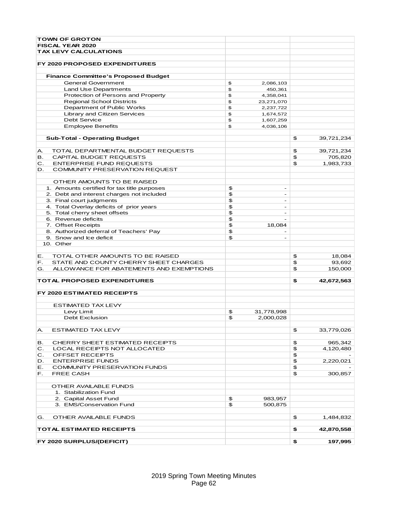| <b>TOWN OF GROTON</b>                         |                      |                |            |
|-----------------------------------------------|----------------------|----------------|------------|
| <b>FISCAL YEAR 2020</b>                       |                      |                |            |
| <b>TAX LEVY CALCULATIONS</b>                  |                      |                |            |
|                                               |                      |                |            |
| <b>FY 2020 PROPOSED EXPENDITURES</b>          |                      |                |            |
|                                               |                      |                |            |
| <b>Finance Committee's Proposed Budget</b>    |                      |                |            |
| <b>General Government</b>                     | \$<br>2,086,103      |                |            |
| Land Use Departments                          | \$<br>450,361        |                |            |
| Protection of Persons and Property            | \$<br>4,358,041      |                |            |
| <b>Regional School Districts</b>              | \$<br>23,271,070     |                |            |
| Department of Public Works                    | \$<br>2,237,722      |                |            |
| Library and Citizen Services                  | \$<br>1,674,572      |                |            |
| <b>Debt Service</b>                           | \$<br>1,607,259      |                |            |
| <b>Employee Benefits</b>                      | \$<br>4,036,106      |                |            |
| <b>Sub-Total - Operating Budget</b>           |                      | \$             | 39,721,234 |
|                                               |                      |                |            |
| TOTAL DEPARTMENTAL BUDGET REQUESTS<br>А.      |                      | \$             | 39,721,234 |
| CAPITAL BUDGET REQUESTS<br>в.                 |                      | $\mathfrak{P}$ | 705,820    |
| <b>ENTERPRISE FUND REQUESTS</b><br>C.         |                      | \$             | 1,983,733  |
| COMMUNITY PRESERVATION REQUEST<br>D.          |                      |                |            |
|                                               |                      |                |            |
| OTHER AMOUNTS TO BE RAISED                    |                      |                |            |
| 1. Amounts certified for tax title purposes   | \$<br>$\sim$         |                |            |
| 2. Debt and interest charges not included     | \$<br>$\blacksquare$ |                |            |
| 3. Final court judgments                      | \$                   |                |            |
| 4. Total Overlay deficits of prior years      | \$                   |                |            |
| 5. Total cherry sheet offsets                 | \$<br>٠              |                |            |
| 6. Revenue deficits                           | \$                   |                |            |
| 7. Offset Receipts                            | \$<br>18,084         |                |            |
| 8. Authorized deferral of Teachers' Pay       | \$                   |                |            |
| 9. Snow and Ice deficit                       | \$<br>$\sim$         |                |            |
| 10. Other                                     |                      |                |            |
|                                               |                      |                |            |
| TOTAL OTHER AMOUNTS TO BE RAISED<br>Е.        |                      | \$             | 18,084     |
| STATE AND COUNTY CHERRY SHEET CHARGES<br>F.   |                      | \$             | 93,692     |
| G.<br>ALLOWANCE FOR ABATEMENTS AND EXEMPTIONS |                      | \$             | 150,000    |
|                                               |                      |                |            |
| <b>TOTAL PROPOSED EXPENDITURES</b>            |                      | \$             | 42,672,563 |
| FY 2020 ESTIMATED RECEIPTS                    |                      |                |            |
| <b>ESTIMATED TAX LEVY</b>                     |                      |                |            |
| Levy Limit                                    | \$<br>31,778,998     |                |            |
| <b>Debt Exclusion</b>                         | \$<br>2,000,028      |                |            |
|                                               |                      |                |            |
| <b>ESTIMATED TAX LEVY</b><br>А.               |                      | \$             | 33,779,026 |
|                                               |                      |                |            |
| CHERRY SHEET ESTIMATED RECEIPTS<br>В.         |                      | \$             | 965,342    |
| LOCAL RECEIPTS NOT ALLOCATED<br>C.            |                      | \$             | 4,120,480  |
| OFFSET RECEIPTS<br>C.                         |                      | \$             |            |
| <b>ENTERPRISE FUNDS</b><br>D.                 |                      | \$             |            |
| <b>COMMUNITY PRESERVATION FUNDS</b><br>Е.     |                      |                | 2,220,021  |
| <b>FREE CASH</b>                              |                      | \$<br>\$       | 300,857    |
| F.                                            |                      |                |            |
| OTHER AVAILABLE FUNDS                         |                      |                |            |
|                                               |                      |                |            |
| 1. Stabilization Fund                         |                      |                |            |
| 2. Capital Asset Fund                         | \$<br>983,957        |                |            |
| 3. EMS/Conservation Fund                      | \$<br>500,875        |                |            |
| OTHER AVAILABLE FUNDS<br>G.                   |                      | \$             | 1,484,832  |
|                                               |                      |                |            |
| TOTAL ESTIMATED RECEIPTS                      |                      | \$             | 42,870,558 |
| FY 2020 SURPLUS/(DEFICIT)                     |                      | \$             | 197,995    |
|                                               |                      |                |            |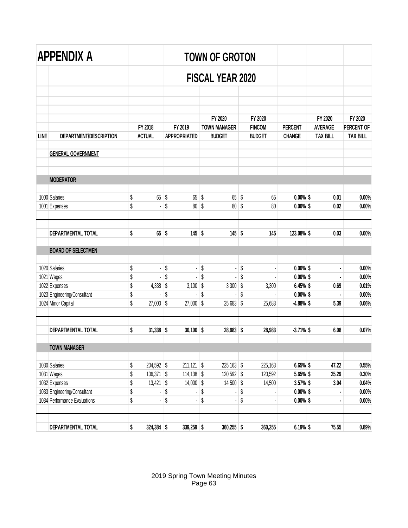|             | APPENDIX A                                   |          |                          |          |                                |              | <b>TOWN OF GROTON</b>                |    |                                |                                 |                                   |                               |
|-------------|----------------------------------------------|----------|--------------------------|----------|--------------------------------|--------------|--------------------------------------|----|--------------------------------|---------------------------------|-----------------------------------|-------------------------------|
|             |                                              |          |                          |          |                                |              | <b>FISCAL YEAR 2020</b>              |    |                                |                                 |                                   |                               |
|             |                                              |          |                          |          |                                |              |                                      |    |                                |                                 |                                   |                               |
|             |                                              |          |                          |          |                                |              | FY 2020                              |    | FY 2020                        |                                 | FY 2020                           | FY 2020                       |
| <b>LINE</b> | DEPARTMENT/DESCRIPTION                       |          | FY 2018<br><b>ACTUAL</b> |          | FY 2019<br><b>APPROPRIATED</b> |              | <b>TOWN MANAGER</b><br><b>BUDGET</b> |    | <b>FINCOM</b><br><b>BUDGET</b> | <b>PERCENT</b><br><b>CHANGE</b> | <b>AVERAGE</b><br><b>TAX BILL</b> | PERCENT OF<br><b>TAX BILL</b> |
|             | <b>GENERAL GOVERNMENT</b>                    |          |                          |          |                                |              |                                      |    |                                |                                 |                                   |                               |
|             | <b>MODERATOR</b>                             |          |                          |          |                                |              |                                      |    |                                |                                 |                                   |                               |
|             | 1000 Salaries                                |          | 65                       | \$       | 65                             | \$           | $65$ \$                              |    | 65                             | $0.00\%$ \$                     | 0.01                              | 0.00%                         |
|             | 1001 Expenses                                | \$<br>\$ |                          | \$       | 80                             | \$           | $80$ \$                              |    | 80                             | $0.00\%$ \$                     | 0.02                              | 0.00%                         |
|             | DEPARTMENTAL TOTAL                           | \$       | 65                       | \$       | $145$ \$                       |              | $145$ \$                             |    | 145                            | 123.08% \$                      | 0.03                              | 0.00%                         |
|             | <b>BOARD OF SELECTMEN</b>                    |          |                          |          |                                |              |                                      |    |                                |                                 |                                   |                               |
|             | 1020 Salaries                                | \$       | ÷,                       | \$       | ÷,                             | \$           | ÷                                    | \$ |                                | $0.00\%$ \$                     |                                   | 0.00%                         |
|             | 1021 Wages                                   | \$       |                          | \$       | ł,                             | \$           | ä,                                   | \$ |                                | $0.00\%$ \$                     |                                   | 0.00%                         |
|             | 1022 Expenses                                | \$       | 4,338                    | \$       | 3,100                          | \$           | $3,300$ \$                           |    | 3,300                          | 6.45% \$                        | 0.69                              | 0.01%                         |
|             | 1023 Engineering/Consultant                  | \$       |                          | \$       |                                | \$           |                                      | \$ |                                | $0.00\%$ \$                     |                                   | 0.00%                         |
|             | 1024 Minor Capital                           | \$       | 27,000                   | \$       | 27,000                         | \$           | $25,683$ \$                          |    | 25,683                         | $-4.88%$ \$                     | 5.39                              | 0.06%                         |
|             | <b>DEPARTMENTAL TOTAL</b>                    | \$       | 31,338                   | \$       | $30,100$ \$                    |              | $28,983$ \$                          |    | 28,983                         | $-3.71\%$ \$                    | 6.08                              | 0.07%                         |
|             | <b>TOWN MANAGER</b>                          |          |                          |          |                                |              |                                      |    |                                |                                 |                                   |                               |
|             |                                              |          |                          |          |                                |              |                                      |    |                                |                                 |                                   |                               |
|             | 1030 Salaries                                | \$       | 204,592 \$               |          | $211,121$ \$                   |              | $225,163$ \$                         |    | 225,163                        | 6.65% \$                        | 47.22                             | 0.55%                         |
|             | 1031 Wages                                   | \$       | 106,371                  | \$       | $114,138$ \$                   |              | 120,592 \$                           |    | 120,592                        | 5.65% \$                        | 25.29                             | 0.30%                         |
|             | 1032 Expenses<br>1033 Engineering/Consultant | \$<br>\$ | 13,421                   | \$<br>\$ | $14,000$ \$<br>÷,              | \$           | $14,500$ \$<br>ä,                    | \$ | 14,500                         | 3.57% \$<br>$0.00\%$ \$         | 3.04                              | 0.04%<br>$0.00\%$             |
|             | 1034 Performance Evaluations                 | \$       | $\blacksquare$           | \$       |                                | \$           | ٠                                    | \$ |                                | $0.00\%$ \$                     |                                   | $0.00\%$                      |
|             |                                              |          |                          |          |                                | $339,259$ \$ | $360,255$ \$                         |    | 360,255                        | 6.19% \$                        | 75.55                             | 0.89%                         |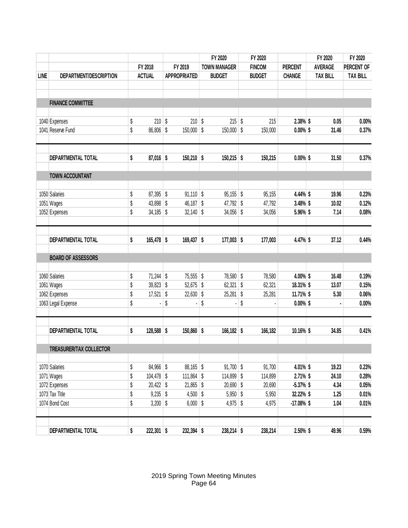|             |                           | FY 2018 |              | FY 2019       |              | FY 2020             |                     | FY 2020       |                |                                                                                                                                             | FY 2020         |                 |
|-------------|---------------------------|---------|--------------|---------------|--------------|---------------------|---------------------|---------------|----------------|---------------------------------------------------------------------------------------------------------------------------------------------|-----------------|-----------------|
|             | DEPARTMENT/DESCRIPTION    |         |              |               |              |                     | <b>TOWN MANAGER</b> | <b>FINCOM</b> | <b>PERCENT</b> |                                                                                                                                             | PERCENT OF      |                 |
| <b>LINE</b> |                           |         |              | <b>ACTUAL</b> |              | <b>APPROPRIATED</b> |                     | <b>BUDGET</b> | <b>BUDGET</b>  | <b>CHANGE</b>                                                                                                                               | <b>TAX BILL</b> | <b>TAX BILL</b> |
|             |                           |         |              |               |              |                     |                     |               |                | FY 2020<br><b>AVERAGE</b><br>0.05<br>31.46<br>31.50<br>19.96<br>10.02<br>7.14<br>37.12<br>16.48<br>13.07<br>5.30<br>34.85<br>19.23<br>24.10 |                 |                 |
|             | <b>FINANCE COMMITTEE</b>  |         |              |               |              |                     |                     |               |                |                                                                                                                                             |                 |                 |
|             | 1040 Expenses             | \$      | $210$ \$     |               | $210$ \$     |                     | 215                 | \$<br>215     | 2.38% \$       |                                                                                                                                             | 0.00%           |                 |
|             | 1041 Reserve Fund         | \$      | 86,806       | \$            | 150,000 \$   |                     | $150,000$ \$        | 150,000       | $0.00\%$ \$    |                                                                                                                                             | 0.37%           |                 |
|             | DEPARTMENTAL TOTAL        | \$      | $87,016$ \$  |               | $150,210$ \$ |                     | $150,215$ \$        | 150,215       | $0.00\%$ \$    |                                                                                                                                             | 0.37%           |                 |
|             |                           |         |              |               |              |                     |                     |               |                |                                                                                                                                             |                 |                 |
|             | <b>TOWN ACCOUNTANT</b>    |         |              |               |              |                     |                     |               |                |                                                                                                                                             |                 |                 |
|             | 1050 Salaries             | \$      | $87,395$ \$  |               | $91,110$ \$  |                     | $95,155$ \$         | 95,155        | 4.44% \$       |                                                                                                                                             | 0.23%           |                 |
|             | 1051 Wages                | \$      | 43,898       | \$            | $46,187$ \$  |                     | 47,792 \$           | 47,792        | 3.48% \$       |                                                                                                                                             | 0.12%           |                 |
|             | 1052 Expenses             | \$      | 34,185       | \$            | 32,140       | \$                  | $34,056$ \$         | 34,056        | 5.96% \$       |                                                                                                                                             | 0.08%           |                 |
|             | DEPARTMENTAL TOTAL        | \$      | $165,478$ \$ |               | $169,437$ \$ |                     | $177,003$ \$        | 177,003       | 4.47% \$       |                                                                                                                                             | 0.44%           |                 |
|             | <b>BOARD OF ASSESSORS</b> |         |              |               |              |                     |                     |               |                |                                                                                                                                             |                 |                 |
|             |                           |         |              |               |              |                     |                     |               |                |                                                                                                                                             |                 |                 |
|             | 1060 Salaries             | \$      | $71,244$ \$  |               | 75,555 \$    |                     | 78,580 \$           | 78,580        | 4.00% \$       |                                                                                                                                             | 0.19%           |                 |
|             | 1061 Wages                | \$      | $39,823$ \$  |               | $52,675$ \$  |                     | 62,321              | \$<br>62,321  | 18.31% \$      |                                                                                                                                             | 0.15%           |                 |
|             | 1062 Expenses             | \$      | 17,521       | \$            | 22,630       | \$                  | 25,281              | \$<br>25,281  | 11.71% \$      |                                                                                                                                             | 0.06%           |                 |
|             | 1063 Legal Expense        | \$      |              | \$            |              | \$                  |                     | \$            | $0.00\%$ \$    |                                                                                                                                             | 0.00%           |                 |
|             | DEPARTMENTAL TOTAL        | \$      | 128,588 \$   |               | $150,860$ \$ |                     | $166, 182$ \$       | 166,182       | 10.16% \$      |                                                                                                                                             | 0.41%           |                 |
|             | TREASURER/TAX COLLECTOR   |         |              |               |              |                     |                     |               |                |                                                                                                                                             |                 |                 |
|             |                           |         |              |               |              |                     |                     |               |                |                                                                                                                                             |                 |                 |
|             | 1070 Salaries             | \$      | 84,966 \$    |               | $88,165$ \$  |                     | $91,700$ \$         | 91,700        | 4.01% \$       |                                                                                                                                             | 0.23%           |                 |
|             | 1071 Wages                | \$      | $104,478$ \$ |               | $111,864$ \$ |                     | 114,899 \$          | 114,899       | $2.71\%$ \$    |                                                                                                                                             | 0.28%           |                 |
|             | 1072 Expenses             | \$      | $20,422$ \$  |               | $21,865$ \$  |                     | $20,690$ \$         | 20,690        | $-5.37%$ \$    | 4.34                                                                                                                                        | 0.05%           |                 |
|             | 1073 Tax Title            | \$      | $9,235$ \$   |               | $4,500$ \$   |                     | $5,950$ \$          | 5,950         | 32.22% \$      | 1.25                                                                                                                                        | 0.01%           |                 |
|             | 1074 Bond Cost            | \$      | $3,200$ \$   |               | $6,000$ \$   |                     | 4,975 $\frac{1}{2}$ | 4,975         | $-17.08\%$ \$  | 1.04                                                                                                                                        | 0.01%           |                 |
|             | DEPARTMENTAL TOTAL        | \$      | $222,301$ \$ |               | 232,394 \$   |                     | $238,214$ \$        | 238,214       | 2.50% \$       | 49.96                                                                                                                                       | 0.59%           |                 |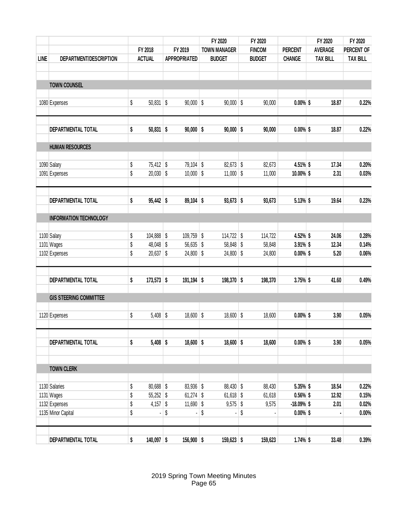|             |                               |                           |                      | FY 2020               | FY 2020 |               |                |  | FY 2020         | FY 2020         |  |
|-------------|-------------------------------|---------------------------|----------------------|-----------------------|---------|---------------|----------------|--|-----------------|-----------------|--|
|             |                               | FY 2018                   | FY 2019              | <b>TOWN MANAGER</b>   |         | <b>FINCOM</b> | <b>PERCENT</b> |  | <b>AVERAGE</b>  | PERCENT OF      |  |
| <b>LINE</b> | DEPARTMENT/DESCRIPTION        | <b>ACTUAL</b>             | <b>APPROPRIATED</b>  | <b>BUDGET</b>         |         | <b>BUDGET</b> | <b>CHANGE</b>  |  | <b>TAX BILL</b> | <b>TAX BILL</b> |  |
|             | <b>TOWN COUNSEL</b>           |                           |                      |                       |         |               |                |  |                 |                 |  |
|             | 1080 Expenses                 | \$<br>50,831              | \$<br>$90,000$ \$    | $90,000$ \$           |         | 90,000        | $0.00\%$ \$    |  | 18.87           | 0.22%           |  |
|             | DEPARTMENTAL TOTAL            | \$<br>$50,831$ \$         | $90,000$ \$          | $90,000$ \$           |         | 90,000        | $0.00\%$ \$    |  | 18.87           | 0.22%           |  |
|             | <b>HUMAN RESOURCES</b>        |                           |                      |                       |         |               |                |  |                 |                 |  |
|             | 1090 Salary                   | \$<br>$75,412$ \$         | $79,104$ \$          | 82,673 \$             |         | 82,673        | 4.51% \$       |  | 17.34           | 0.20%           |  |
|             | 1091 Expenses                 | \$<br>$20,030$ \$         | $10,000$ \$          | $11,000$ \$           |         | 11,000        | 10.00% \$      |  | 2.31            | 0.03%           |  |
|             | DEPARTMENTAL TOTAL            | \$<br>$95,442$ \$         | $89,104$ \$          | $93,673$ \$           |         | 93,673        | 5.13% \$       |  | 19.64           | 0.23%           |  |
|             | <b>INFORMATION TECHNOLOGY</b> |                           |                      |                       |         |               |                |  |                 |                 |  |
|             | 1100 Salary                   | \$<br>104,888             | \$<br>109,759 \$     | 114,722 $\frac{1}{2}$ |         | 114,722       | 4.52% \$       |  | 24.06           | 0.28%           |  |
|             | 1101 Wages                    | \$<br>48,048              | \$<br>$56,635$ \$    | 58,848 \$             |         | 58,848        | $3.91\%$ \$    |  | 12.34           | 0.14%           |  |
|             | 1102 Expenses                 | \$<br>$20,637$ \$         | $24,800$ \$          | $24,800$ \$           |         | 24,800        | $0.00\%$ \$    |  | 5.20            | 0.06%           |  |
|             | DEPARTMENTAL TOTAL            | \$<br>173,573 \$          | $191,194$ \$         | 198,370 \$            |         | 198,370       | 3.75% \$       |  | 41.60           | 0.49%           |  |
|             | <b>GIS STEERING COMMITTEE</b> |                           |                      |                       |         |               |                |  |                 |                 |  |
|             | 1120 Expenses                 | \$<br>5,408               | \$<br>18,600         | \$<br>$18,600$ \$     |         | 18,600        | $0.00\%$ \$    |  | 3.90            | 0.05%           |  |
|             | DEPARTMENTAL TOTAL            | \$<br>$5,408$ \$          | $18,600$ \$          | $18,600$ \$           |         | 18,600        | $0.00\%$ \$    |  | 3.90            | 0.05%           |  |
|             | <b>TOWN CLERK</b>             |                           |                      |                       |         |               |                |  |                 |                 |  |
|             | 1130 Salaries                 | \$<br>80,688 \$           | 83,936 \$            | 88,430 \$             |         | 88,430        | 5.35% \$       |  | 18.54           | 0.22%           |  |
|             | 1131 Wages                    | \$<br>$55,252$ \$         | $61,274$ \$          | $61,618$ \$           |         | 61,618        | $0.56\%$ \$    |  | 12.92           | 0.15%           |  |
|             | 1132 Expenses                 | \$<br>4,157 $\frac{1}{2}$ | $11,690$ \$          | $9,575$ \$            |         | 9,575         | $-18.09%$ \$   |  | 2.01            | 0.02%           |  |
|             | 1135 Minor Capital            | \$<br>٠                   | \$<br>$\blacksquare$ | \$<br>ä,              | \$      |               | $0.00\%$ \$    |  |                 | 0.00%           |  |
|             | DEPARTMENTAL TOTAL            | \$<br>$140,097$ \$        | 156,900 \$           | $159,623$ \$          |         | 159,623       | $1.74\%$ \$    |  | 33.48           | 0.39%           |  |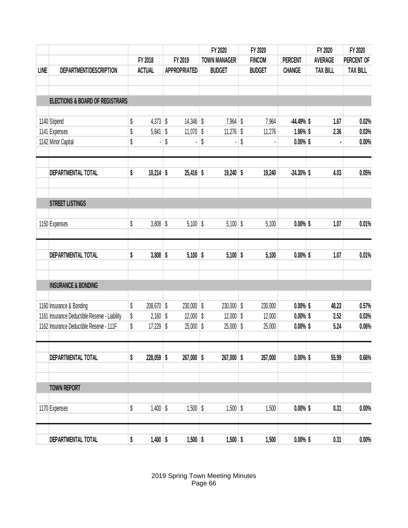| DEPARTMENT/DESCRIPTION                   |                                                                                                                                                                   |                                                                                |                     |                                                                                                                                             |        | FY 2020                                                                                                                        | FY 2020                                                                                                                                                   |                                                                           |                |                                                                                                                                                                                     |                                          |
|------------------------------------------|-------------------------------------------------------------------------------------------------------------------------------------------------------------------|--------------------------------------------------------------------------------|---------------------|---------------------------------------------------------------------------------------------------------------------------------------------|--------|--------------------------------------------------------------------------------------------------------------------------------|-----------------------------------------------------------------------------------------------------------------------------------------------------------|---------------------------------------------------------------------------|----------------|-------------------------------------------------------------------------------------------------------------------------------------------------------------------------------------|------------------------------------------|
|                                          |                                                                                                                                                                   | FY 2018                                                                        |                     | FY 2019                                                                                                                                     |        | <b>TOWN MANAGER</b>                                                                                                            | <b>FINCOM</b>                                                                                                                                             | <b>PERCENT</b>                                                            | <b>AVERAGE</b> |                                                                                                                                                                                     | FY 2020<br>PERCENT OF<br><b>TAX BILL</b> |
|                                          | <b>ACTUAL</b>                                                                                                                                                     |                                                                                | <b>APPROPRIATED</b> |                                                                                                                                             |        | <b>BUDGET</b>                                                                                                                  | <b>BUDGET</b>                                                                                                                                             | <b>CHANGE</b>                                                             |                | <b>TAX BILL</b>                                                                                                                                                                     |                                          |
|                                          |                                                                                                                                                                   |                                                                                |                     |                                                                                                                                             |        |                                                                                                                                |                                                                                                                                                           |                                                                           |                |                                                                                                                                                                                     |                                          |
|                                          |                                                                                                                                                                   |                                                                                |                     |                                                                                                                                             |        |                                                                                                                                |                                                                                                                                                           |                                                                           |                |                                                                                                                                                                                     |                                          |
|                                          |                                                                                                                                                                   |                                                                                |                     |                                                                                                                                             |        |                                                                                                                                |                                                                                                                                                           |                                                                           |                |                                                                                                                                                                                     |                                          |
| 1140 Stipend                             | \$                                                                                                                                                                |                                                                                | \$                  |                                                                                                                                             |        |                                                                                                                                | 7,964                                                                                                                                                     |                                                                           |                | 1.67                                                                                                                                                                                | 0.02%                                    |
| 1141 Expenses                            | \$                                                                                                                                                                |                                                                                | \$                  |                                                                                                                                             |        |                                                                                                                                | 11,276                                                                                                                                                    |                                                                           |                | 2.36                                                                                                                                                                                | 0.03%                                    |
| 1142 Minor Capital                       | \$                                                                                                                                                                |                                                                                | \$                  |                                                                                                                                             | \$     |                                                                                                                                | \$                                                                                                                                                        |                                                                           |                |                                                                                                                                                                                     | 0.00%                                    |
|                                          |                                                                                                                                                                   |                                                                                |                     |                                                                                                                                             |        |                                                                                                                                |                                                                                                                                                           |                                                                           |                |                                                                                                                                                                                     | 0.05%                                    |
|                                          |                                                                                                                                                                   |                                                                                |                     |                                                                                                                                             |        |                                                                                                                                |                                                                                                                                                           |                                                                           |                |                                                                                                                                                                                     |                                          |
| <b>STREET LISTINGS</b>                   |                                                                                                                                                                   |                                                                                |                     |                                                                                                                                             |        |                                                                                                                                |                                                                                                                                                           |                                                                           |                |                                                                                                                                                                                     |                                          |
|                                          |                                                                                                                                                                   |                                                                                |                     |                                                                                                                                             |        |                                                                                                                                |                                                                                                                                                           |                                                                           |                |                                                                                                                                                                                     |                                          |
| 1150 Expenses                            |                                                                                                                                                                   |                                                                                |                     |                                                                                                                                             |        |                                                                                                                                | 5,100                                                                                                                                                     |                                                                           |                | 1.07                                                                                                                                                                                | 0.01%                                    |
|                                          |                                                                                                                                                                   |                                                                                |                     |                                                                                                                                             |        |                                                                                                                                |                                                                                                                                                           |                                                                           |                |                                                                                                                                                                                     | 0.01%                                    |
|                                          |                                                                                                                                                                   |                                                                                |                     |                                                                                                                                             |        |                                                                                                                                |                                                                                                                                                           |                                                                           |                |                                                                                                                                                                                     |                                          |
| <b>INSURANCE &amp; BONDING</b>           |                                                                                                                                                                   |                                                                                |                     |                                                                                                                                             |        |                                                                                                                                |                                                                                                                                                           |                                                                           |                |                                                                                                                                                                                     |                                          |
|                                          |                                                                                                                                                                   |                                                                                |                     |                                                                                                                                             |        |                                                                                                                                |                                                                                                                                                           |                                                                           |                |                                                                                                                                                                                     | 0.57%                                    |
|                                          |                                                                                                                                                                   |                                                                                |                     |                                                                                                                                             |        |                                                                                                                                |                                                                                                                                                           |                                                                           |                |                                                                                                                                                                                     | 0.03%                                    |
| 1162 Insurance Deductible Reserve - 111F | \$                                                                                                                                                                |                                                                                | \$                  |                                                                                                                                             | \$     |                                                                                                                                | 25,000                                                                                                                                                    |                                                                           |                | 5.24                                                                                                                                                                                | 0.06%                                    |
|                                          |                                                                                                                                                                   |                                                                                |                     |                                                                                                                                             |        |                                                                                                                                |                                                                                                                                                           |                                                                           |                |                                                                                                                                                                                     |                                          |
| DEPARTMENTAL TOTAL                       | \$                                                                                                                                                                |                                                                                |                     |                                                                                                                                             |        |                                                                                                                                | 267,000                                                                                                                                                   |                                                                           |                | 55.99                                                                                                                                                                               | 0.66%                                    |
|                                          |                                                                                                                                                                   |                                                                                |                     |                                                                                                                                             |        |                                                                                                                                |                                                                                                                                                           |                                                                           |                |                                                                                                                                                                                     |                                          |
|                                          |                                                                                                                                                                   |                                                                                |                     |                                                                                                                                             |        |                                                                                                                                |                                                                                                                                                           |                                                                           |                |                                                                                                                                                                                     |                                          |
| 1170 Expenses                            | \$                                                                                                                                                                |                                                                                | \$                  |                                                                                                                                             | \$     |                                                                                                                                | 1,500                                                                                                                                                     |                                                                           |                | 0.31                                                                                                                                                                                | 0.00%                                    |
|                                          |                                                                                                                                                                   |                                                                                |                     |                                                                                                                                             |        |                                                                                                                                |                                                                                                                                                           |                                                                           |                |                                                                                                                                                                                     | 0.00%                                    |
|                                          | DEPARTMENTAL TOTAL<br>DEPARTMENTAL TOTAL<br>1160 Insurance & Bonding<br>1161 Insurance Deductible Reserve - Liability<br><b>TOWN REPORT</b><br>DEPARTMENTAL TOTAL | <b>ELECTIONS &amp; BOARD OF REGISTRARS</b><br>\$<br>\$<br>\$<br>\$<br>\$<br>\$ |                     | 4,373<br>5,841<br>$10,214$ \$<br>\$<br>3,808<br>3,808<br>\$<br>$208,670$ \$<br>\$<br>2,160<br>17,229<br>$228,059$ \$<br>1,400<br>$1,400$ \$ | 12,000 | $14,346$ \$<br>$11,070$ \$<br>$25,416$ \$<br>$5,100$ \$<br>$5,100$ \$<br>$230,000$ \$<br>\$<br>25,000<br>$267,000$ \$<br>1,500 | $7,964$ \$<br>11,276 $\frac{1}{2}$<br>$19,240$ \$<br>\$<br>5,100<br>$5,100$ \$<br>230,000 \$<br>\$<br>12,000<br>$25,000$ \$<br>$267,000$ \$<br>$1,500$ \$ | 19,240<br>5,100<br>230,000<br>12,000<br>$1,500$ \$<br>$1,500$ \$<br>1,500 |                | $-44.49%$ \$<br>$1.86\%$ \$<br>$0.00\%$ \$<br>$-24.30\%$ \$<br>$0.00\%$ \$<br>$0.00\%$ \$<br>$0.00\%$ \$<br>$0.00\%$ \$<br>$0.00\%$ \$<br>$0.00\%$ \$<br>$0.00\%$ \$<br>$0.00\%$ \$ | 4.03<br>1.07<br>48.23<br>2.52<br>0.31    |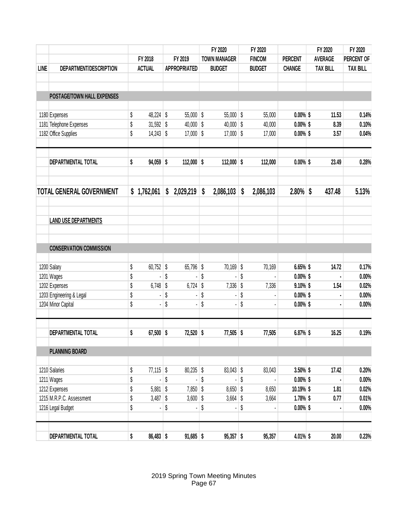|             |                                 |                                                                                                                                                                                                                                                                                                                                                                                                                                                                                                                                                                                                                                                                                                                                                                                                                                                                                                                                                                                                                                                                                                                                                                                                                                                                                                    |               |  |             |  | FY 2020       |  | FY 2020       |                | FY 2020        |                 | FY 2020         |  |
|-------------|---------------------------------|----------------------------------------------------------------------------------------------------------------------------------------------------------------------------------------------------------------------------------------------------------------------------------------------------------------------------------------------------------------------------------------------------------------------------------------------------------------------------------------------------------------------------------------------------------------------------------------------------------------------------------------------------------------------------------------------------------------------------------------------------------------------------------------------------------------------------------------------------------------------------------------------------------------------------------------------------------------------------------------------------------------------------------------------------------------------------------------------------------------------------------------------------------------------------------------------------------------------------------------------------------------------------------------------------|---------------|--|-------------|--|---------------|--|---------------|----------------|----------------|-----------------|-----------------|--|
|             |                                 | FY 2018                                                                                                                                                                                                                                                                                                                                                                                                                                                                                                                                                                                                                                                                                                                                                                                                                                                                                                                                                                                                                                                                                                                                                                                                                                                                                            |               |  | FY 2019     |  |               |  | <b>FINCOM</b> | <b>PERCENT</b> | <b>AVERAGE</b> |                 | PERCENT OF      |  |
| <b>LINE</b> | DEPARTMENT/DESCRIPTION          |                                                                                                                                                                                                                                                                                                                                                                                                                                                                                                                                                                                                                                                                                                                                                                                                                                                                                                                                                                                                                                                                                                                                                                                                                                                                                                    | <b>ACTUAL</b> |  |             |  | <b>BUDGET</b> |  | <b>BUDGET</b> | <b>CHANGE</b>  |                | <b>TAX BILL</b> | <b>TAX BILL</b> |  |
|             | POSTAGE/TOWN HALL EXPENSES      | <b>TOWN MANAGER</b><br><b>APPROPRIATED</b><br>$55,000$ \$<br>\$<br>48,224<br>\$<br>$55,000$ \$<br>$0.00\%$ \$<br>11.53<br>55,000<br>\$<br>\$<br>\$<br>\$<br>31,592<br>40,000<br>40,000<br>$0.00\%$ \$<br>8.39<br>40,000<br>\$<br>\$<br>\$<br>14,243<br>17,000<br>$17,000$ \$<br>$0.00\%$ \$<br>17,000<br>3.57<br>$94,059$ \$<br>$112,000$ \$<br>$112,000$ \$<br>112,000<br>$0.00\%$ \$<br>23.49<br>\$<br>2.80%<br>437.48<br>1,762,061<br>2,029,219<br>\$<br>2,086,103<br>\$<br>2,086,103<br>\$<br>\$<br>\$<br>\$<br>$70,169$ \$<br>14.72<br>\$<br>60,752<br>65,796 \$<br>70,169<br>6.65% \$<br>\$<br>\$<br>\$<br>\$<br>$0.00\%$ \$<br>\$<br>\$<br>\$<br>\$<br>6,748<br>6,724<br>7,336<br>$9.10\%$ \$<br>1.54<br>7,336<br>\$<br>\$<br>\$<br>1203 Engineering & Legal<br>\$<br>$0.00\%$ \$<br>\$<br>\$<br>\$<br>\$<br>$0.00\%$ \$<br>\$<br>16.25<br>67,500<br>\$<br>72,520<br>\$<br>$77,505$ \$<br>77,505<br>6.87% \$<br>$77,115$ \$<br>$80,235$ \$<br>17.42<br>\$<br>$83,043$ \$<br>$3.50\%$ \$<br>83,043<br>\$<br>\$<br>\$<br>\$<br>$0.00\%$ \$<br>$\blacksquare$<br>ł,<br>\$<br>\$<br>5,881<br>\$<br>$8,650$ \$<br>7,850<br>8,650<br>10.19% \$<br>1.81<br>\$<br>\$<br>\$<br>3,487<br>3,600<br>$3,664$ \$<br>$1.78\%$ \$<br>0.77<br>3,664<br>\$<br>\$<br>\$<br>\$<br>$0.00\%$ \$<br>$\blacksquare$ |               |  |             |  |               |  |               |                |                |                 |                 |  |
|             | 1180 Expenses                   |                                                                                                                                                                                                                                                                                                                                                                                                                                                                                                                                                                                                                                                                                                                                                                                                                                                                                                                                                                                                                                                                                                                                                                                                                                                                                                    |               |  |             |  |               |  |               |                |                |                 | 0.14%           |  |
|             | 1181 Telephone Expenses         |                                                                                                                                                                                                                                                                                                                                                                                                                                                                                                                                                                                                                                                                                                                                                                                                                                                                                                                                                                                                                                                                                                                                                                                                                                                                                                    |               |  |             |  |               |  |               |                |                |                 | 0.10%           |  |
|             | 1182 Office Supplies            |                                                                                                                                                                                                                                                                                                                                                                                                                                                                                                                                                                                                                                                                                                                                                                                                                                                                                                                                                                                                                                                                                                                                                                                                                                                                                                    |               |  |             |  |               |  |               |                |                |                 | 0.04%           |  |
|             | DEPARTMENTAL TOTAL              |                                                                                                                                                                                                                                                                                                                                                                                                                                                                                                                                                                                                                                                                                                                                                                                                                                                                                                                                                                                                                                                                                                                                                                                                                                                                                                    |               |  |             |  |               |  |               |                |                |                 | 0.28%           |  |
|             | <b>TOTAL GENERAL GOVERNMENT</b> |                                                                                                                                                                                                                                                                                                                                                                                                                                                                                                                                                                                                                                                                                                                                                                                                                                                                                                                                                                                                                                                                                                                                                                                                                                                                                                    |               |  |             |  |               |  |               |                |                |                 | 5.13%           |  |
|             | <b>LAND USE DEPARTMENTS</b>     |                                                                                                                                                                                                                                                                                                                                                                                                                                                                                                                                                                                                                                                                                                                                                                                                                                                                                                                                                                                                                                                                                                                                                                                                                                                                                                    |               |  |             |  |               |  |               |                |                |                 |                 |  |
|             | <b>CONSERVATION COMMISSION</b>  |                                                                                                                                                                                                                                                                                                                                                                                                                                                                                                                                                                                                                                                                                                                                                                                                                                                                                                                                                                                                                                                                                                                                                                                                                                                                                                    |               |  |             |  |               |  |               |                |                |                 |                 |  |
|             | 1200 Salary                     |                                                                                                                                                                                                                                                                                                                                                                                                                                                                                                                                                                                                                                                                                                                                                                                                                                                                                                                                                                                                                                                                                                                                                                                                                                                                                                    |               |  |             |  |               |  |               |                |                |                 | 0.17%           |  |
|             | 1201 Wages                      |                                                                                                                                                                                                                                                                                                                                                                                                                                                                                                                                                                                                                                                                                                                                                                                                                                                                                                                                                                                                                                                                                                                                                                                                                                                                                                    |               |  |             |  |               |  |               |                |                |                 | 0.00%           |  |
|             | 1202 Expenses                   |                                                                                                                                                                                                                                                                                                                                                                                                                                                                                                                                                                                                                                                                                                                                                                                                                                                                                                                                                                                                                                                                                                                                                                                                                                                                                                    |               |  |             |  |               |  |               |                |                |                 | 0.02%           |  |
|             |                                 |                                                                                                                                                                                                                                                                                                                                                                                                                                                                                                                                                                                                                                                                                                                                                                                                                                                                                                                                                                                                                                                                                                                                                                                                                                                                                                    |               |  |             |  |               |  |               |                |                |                 | 0.00%           |  |
|             | 1204 Minor Capital              |                                                                                                                                                                                                                                                                                                                                                                                                                                                                                                                                                                                                                                                                                                                                                                                                                                                                                                                                                                                                                                                                                                                                                                                                                                                                                                    |               |  |             |  |               |  |               |                |                |                 | 0.00%           |  |
|             | DEPARTMENTAL TOTAL              |                                                                                                                                                                                                                                                                                                                                                                                                                                                                                                                                                                                                                                                                                                                                                                                                                                                                                                                                                                                                                                                                                                                                                                                                                                                                                                    |               |  |             |  |               |  |               |                |                |                 | 0.19%           |  |
|             | <b>PLANNING BOARD</b>           |                                                                                                                                                                                                                                                                                                                                                                                                                                                                                                                                                                                                                                                                                                                                                                                                                                                                                                                                                                                                                                                                                                                                                                                                                                                                                                    |               |  |             |  |               |  |               |                |                |                 |                 |  |
|             | 1210 Salaries                   |                                                                                                                                                                                                                                                                                                                                                                                                                                                                                                                                                                                                                                                                                                                                                                                                                                                                                                                                                                                                                                                                                                                                                                                                                                                                                                    |               |  |             |  |               |  |               |                |                |                 | 0.20%           |  |
|             | 1211 Wages                      |                                                                                                                                                                                                                                                                                                                                                                                                                                                                                                                                                                                                                                                                                                                                                                                                                                                                                                                                                                                                                                                                                                                                                                                                                                                                                                    |               |  |             |  |               |  |               |                |                |                 | 0.00%           |  |
|             | 1212 Expenses                   |                                                                                                                                                                                                                                                                                                                                                                                                                                                                                                                                                                                                                                                                                                                                                                                                                                                                                                                                                                                                                                                                                                                                                                                                                                                                                                    |               |  |             |  |               |  |               |                |                |                 | 0.02%           |  |
|             | 1215 M.R.P.C. Assessment        |                                                                                                                                                                                                                                                                                                                                                                                                                                                                                                                                                                                                                                                                                                                                                                                                                                                                                                                                                                                                                                                                                                                                                                                                                                                                                                    |               |  |             |  |               |  |               |                |                |                 | 0.01%           |  |
|             | 1216 Legal Budget               |                                                                                                                                                                                                                                                                                                                                                                                                                                                                                                                                                                                                                                                                                                                                                                                                                                                                                                                                                                                                                                                                                                                                                                                                                                                                                                    |               |  |             |  |               |  |               |                |                |                 | 0.00%           |  |
|             | DEPARTMENTAL TOTAL              | \$                                                                                                                                                                                                                                                                                                                                                                                                                                                                                                                                                                                                                                                                                                                                                                                                                                                                                                                                                                                                                                                                                                                                                                                                                                                                                                 | $86,483$ \$   |  | $91,685$ \$ |  | $95,357$ \$   |  | 95,357        | 4.01% \$       |                | 20.00           | 0.23%           |  |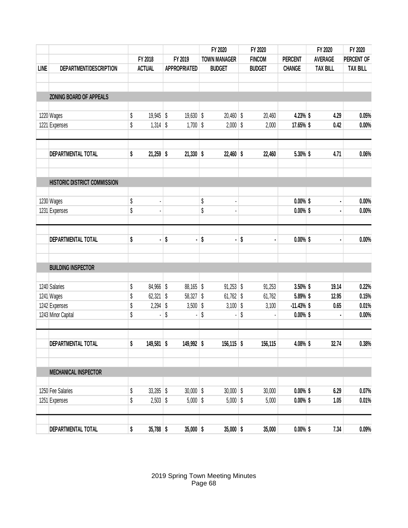|             |                              |    |               |    |                     |    | FY 2020                  | FY 2020 |               |                | FY 2020        |                 | FY 2020         |
|-------------|------------------------------|----|---------------|----|---------------------|----|--------------------------|---------|---------------|----------------|----------------|-----------------|-----------------|
|             |                              |    | FY 2018       |    | FY 2019             |    | <b>TOWN MANAGER</b>      |         | <b>FINCOM</b> | <b>PERCENT</b> | <b>AVERAGE</b> |                 | PERCENT OF      |
| <b>LINE</b> | DEPARTMENT/DESCRIPTION       |    | <b>ACTUAL</b> |    | <b>APPROPRIATED</b> |    | <b>BUDGET</b>            |         | <b>BUDGET</b> | <b>CHANGE</b>  |                | <b>TAX BILL</b> | <b>TAX BILL</b> |
|             | ZONING BOARD OF APPEALS      |    |               |    |                     |    |                          |         |               |                |                |                 |                 |
|             |                              |    |               |    |                     |    |                          |         |               |                |                |                 |                 |
|             | 1220 Wages                   | \$ | $19,945$ \$   |    | $19,630$ \$         |    | $20,460$ \$              |         | 20,460        | 4.23% \$       |                | 4.29            | 0.05%           |
|             | 1221 Expenses                | \$ | 1,314         | \$ | 1,700               | \$ | $2,000$ \$               |         | 2,000         | 17.65% \$      |                | 0.42            | 0.00%           |
|             | DEPARTMENTAL TOTAL           | \$ | $21,259$ \$   |    | $21,330$ \$         |    | $22,460$ \$              |         | 22,460        | 5.30% \$       |                | 4.71            | 0.06%           |
|             | HISTORIC DISTRICT COMMISSION |    |               |    |                     |    |                          |         |               |                |                |                 |                 |
|             |                              |    |               |    |                     |    |                          |         |               |                |                |                 |                 |
|             | 1230 Wages                   | \$ |               |    |                     | \$ | $\overline{\phantom{a}}$ |         |               | $0.00\%$ \$    |                | ä,              | 0.00%           |
|             | 1231 Expenses                | \$ |               |    |                     | \$ |                          |         |               | $0.00\%$ \$    |                |                 | 0.00%           |
|             | DEPARTMENTAL TOTAL           | \$ | ä             | \$ | $\blacksquare$      | \$ | ä,                       | \$      |               | $0.00\%$ \$    |                |                 | 0.00%           |
|             |                              |    |               |    |                     |    |                          |         |               |                |                |                 |                 |
|             | <b>BUILDING INSPECTOR</b>    |    |               |    |                     |    |                          |         |               |                |                |                 |                 |
|             | 1240 Salaries                | \$ | 84,966        | \$ | 88,165 \$           |    | $91,253$ \$              |         | 91,253        | 3.50% \$       |                | 19.14           | 0.22%           |
|             | 1241 Wages                   | \$ | 62,321        | \$ | $58,327$ \$         |    | $61,762$ \$              |         | 61,762        | 5.89% \$       |                | 12.95           | 0.15%           |
|             | 1242 Expenses                | \$ | 2,294         | \$ | 3,500               | \$ | $3,100$ \$               |         | 3,100         | $-11.43\%$ \$  |                | 0.65            | 0.01%           |
|             | 1243 Minor Capital           | \$ |               | \$ |                     | \$ |                          | \$      |               | $0.00\%$ \$    |                |                 | 0.00%           |
|             | DEPARTMENTAL TOTAL           | \$ | $149,581$ \$  |    | 149,992 \$          |    | $156, 115$ \$            |         | 156,115       | 4.08% \$       |                | 32.74           | 0.38%           |
|             |                              |    |               |    |                     |    |                          |         |               |                |                |                 |                 |
|             | <b>MECHANICAL INSPECTOR</b>  |    |               |    |                     |    |                          |         |               |                |                |                 |                 |
|             | 1250 Fee Salaries            | \$ | $33,285$ \$   |    | $30,000$ \$         |    | $30,000$ \$              |         | 30,000        | $0.00\%$ \$    |                | 6.29            | 0.07%           |
|             | 1251 Expenses                | \$ | $2,503$ \$    |    | $5,000$ \$          |    | $5,000$ \$               |         | 5,000         | $0.00\%$ \$    |                | 1.05            | 0.01%           |
|             | DEPARTMENTAL TOTAL           | \$ | $35,788$ \$   |    | $35,000$ \$         |    | $35,000$ \$              |         | 35,000        | $0.00\%$ \$    |                | 7.34            | 0.09%           |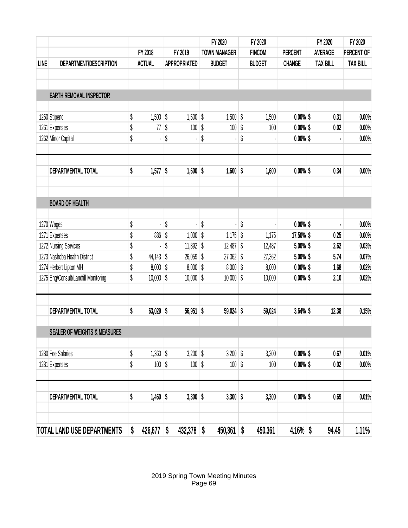|             |                                         |               |    |                     | FY 2020             | FY 2020 |               |                | FY 2020 |                                                                                                                           | FY 2020         |
|-------------|-----------------------------------------|---------------|----|---------------------|---------------------|---------|---------------|----------------|---------|---------------------------------------------------------------------------------------------------------------------------|-----------------|
|             |                                         | FY 2018       |    | FY 2019             | <b>TOWN MANAGER</b> |         | <b>FINCOM</b> | <b>PERCENT</b> |         | <b>AVERAGE</b>                                                                                                            | PERCENT OF      |
| <b>LINE</b> | DEPARTMENT/DESCRIPTION                  | <b>ACTUAL</b> |    | <b>APPROPRIATED</b> | <b>BUDGET</b>       |         | <b>BUDGET</b> | <b>CHANGE</b>  |         | <b>TAX BILL</b><br>0.31<br>0.02<br>0.34<br>0.25<br>2.62<br>5.74<br>1.68<br>2.10<br>12.38<br>0.67<br>0.02<br>0.69<br>94.45 | <b>TAX BILL</b> |
|             |                                         |               |    |                     |                     |         |               |                |         |                                                                                                                           |                 |
|             | <b>EARTH REMOVAL INSPECTOR</b>          |               |    |                     |                     |         |               |                |         |                                                                                                                           |                 |
|             | 1260 Stipend                            | \$<br>1,500   | \$ | 1,500               | \$<br>$1,500$ \$    |         | 1,500         | $0.00\%$ \$    |         |                                                                                                                           | 0.00%           |
|             | 1261 Expenses                           | \$<br>77      | \$ | 100                 | \$<br>100           | \$      | 100           | $0.00\%$ \$    |         |                                                                                                                           | 0.00%           |
|             | 1262 Minor Capital                      | \$            | \$ |                     | \$                  | \$      |               | $0.00\%$ \$    |         |                                                                                                                           | 0.00%           |
|             | DEPARTMENTAL TOTAL                      | \$<br>1,577   | \$ | $1,600$ \$          | $1,600$ \$          |         | 1,600         | $0.00\%$ \$    |         |                                                                                                                           | 0.00%           |
|             |                                         |               |    |                     |                     |         |               |                |         |                                                                                                                           |                 |
|             | <b>BOARD OF HEALTH</b>                  |               |    |                     |                     |         |               |                |         |                                                                                                                           |                 |
|             | 1270 Wages                              | \$            | \$ |                     | \$                  | \$      |               | $0.00\%$ \$    |         |                                                                                                                           | 0.00%           |
|             | 1271 Expenses                           | \$<br>886     | \$ | 1,000               | \$<br>1,175         | \$      | 1,175         | 17.50% \$      |         |                                                                                                                           | 0.00%           |
|             | 1272 Nursing Services                   | \$            | \$ | 11,892              | \$<br>$12,487$ \$   |         | 12,487        | 5.00% \$       |         |                                                                                                                           | 0.03%           |
|             | 1273 Nashoba Health District            | \$<br>44,143  | \$ | 26,059              | \$<br>$27,362$ \$   |         | 27,362        | 5.00% \$       |         |                                                                                                                           | 0.07%           |
|             | 1274 Herbert Lipton MH                  | \$<br>8,000   | \$ | 8,000               | \$<br>$8,000$ \$    |         | 8,000         | $0.00\%$ \$    |         |                                                                                                                           | 0.02%           |
|             | 1275 Eng/Consult/Landfill Monitoring    | \$<br>10,000  | \$ | 10,000              | \$<br>$10,000$ \$   |         | 10,000        | $0.00\%$ \$    |         |                                                                                                                           | 0.02%           |
|             | DEPARTMENTAL TOTAL                      | \$<br>63,029  | \$ | 56,951              | \$<br>$59,024$ \$   |         | 59,024        | $3.64\%$ \$    |         |                                                                                                                           | 0.15%           |
|             | <b>SEALER OF WEIGHTS &amp; MEASURES</b> |               |    |                     |                     |         |               |                |         |                                                                                                                           |                 |
|             |                                         |               |    |                     |                     |         |               |                |         |                                                                                                                           |                 |
|             | 1280 Fee Salaries                       | \$<br>1,360   | \$ | 3,200               | \$<br>$3,200$ \$    |         | 3,200         | $0.00\%$ \$    |         |                                                                                                                           | 0.01%           |
|             | 1281 Expenses                           | \$<br>100     | \$ | 100                 | \$<br>100           | \$      | 100           | $0.00\%$ \$    |         |                                                                                                                           | 0.00%           |
|             | DEPARTMENTAL TOTAL                      | \$<br>1,460   | \$ | $3,300$ \$          | $3,300$ \$          |         | 3,300         | $0.00\%$ \$    |         |                                                                                                                           | 0.01%           |
|             |                                         |               |    |                     |                     |         |               |                |         |                                                                                                                           |                 |
|             | TOTAL LAND USE DEPARTMENTS              | \$<br>426,677 | \$ | 432,378             | \$<br>450,361       | \$      | 450,361       | $4.16\%$ \$    |         |                                                                                                                           | 1.11%           |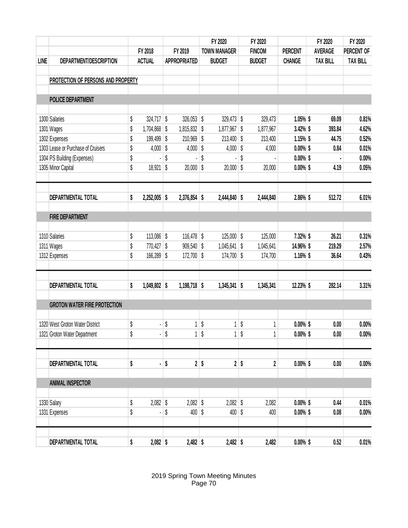|             |                                     |    |               |    |                     | FY 2020   |                     | FY 2020   |                         |                | FY 2020         | FY 2020         |  |
|-------------|-------------------------------------|----|---------------|----|---------------------|-----------|---------------------|-----------|-------------------------|----------------|-----------------|-----------------|--|
|             |                                     |    | FY 2018       |    | FY 2019             |           | <b>TOWN MANAGER</b> |           | <b>FINCOM</b>           | <b>PERCENT</b> | <b>AVERAGE</b>  | PERCENT OF      |  |
| <b>LINE</b> | DEPARTMENT/DESCRIPTION              |    | <b>ACTUAL</b> |    | <b>APPROPRIATED</b> |           | <b>BUDGET</b>       |           | <b>BUDGET</b>           | <b>CHANGE</b>  | <b>TAX BILL</b> | <b>TAX BILL</b> |  |
|             | PROTECTION OF PERSONS AND PROPERTY  |    |               |    |                     |           |                     |           |                         |                |                 |                 |  |
|             | <b>POLICE DEPARTMENT</b>            |    |               |    |                     |           |                     |           |                         |                |                 |                 |  |
|             | 1300 Salaries                       | \$ | 324,717       | \$ | 326,053             | \$        | 329,473 \$          |           | 329,473                 | $1.05\%$ \$    | 69.09           | 0.81%           |  |
|             | 1301 Wages                          | \$ | 1,704,868     | \$ | 1,815,832           | \$        | $1,877,967$ \$      |           | 1,877,967               | 3.42% \$       | 393.84          | 4.62%           |  |
|             | 1302 Expenses                       | \$ | 199,499       | \$ | 210,969             | \$        | 213,400 \$          |           | 213,400                 | 1.15% \$       | 44.75           | 0.52%           |  |
|             | 1303 Lease or Purchase of Cruisers  | \$ | 4,000         | \$ | 4,000               | \$        | 4,000               | \$        | 4,000                   | $0.00\%$ \$    | 0.84            | 0.01%           |  |
|             | 1304 PS Building (Expenses)         | \$ |               | \$ |                     | \$        |                     | \$        |                         | $0.00\%$ \$    |                 | 0.00%           |  |
|             | 1305 Minor Capital                  | \$ | 18,921        | \$ | 20,000              | \$        | 20,000              | \$        | 20,000                  | $0.00\%$ \$    | 4.19            | 0.05%           |  |
|             |                                     |    |               |    |                     |           |                     |           |                         |                |                 |                 |  |
|             | <b>DEPARTMENTAL TOTAL</b>           | \$ | 2,252,005     | \$ | 2,376,854           | \$        | $2,444,840$ \$      |           | 2,444,840               | 2.86% \$       | 512.72          | 6.01%           |  |
|             | <b>FIRE DEPARTMENT</b>              |    |               |    |                     |           |                     |           |                         |                |                 |                 |  |
|             | 1310 Salaries                       | \$ | 113,086       | \$ | $116,478$ \$        |           | $125,000$ \$        |           | 125,000                 | 7.32% \$       | 26.21           | 0.31%           |  |
|             | 1311 Wages                          | \$ | 770,427       | \$ | 909,540             | \$        | $1,045,641$ \$      |           | 1,045,641               | 14.96% \$      | 219.29          | 2.57%           |  |
|             | 1312 Expenses                       | \$ | 166,289       | \$ | 172,700             | \$        | 174,700 \$          |           | 174,700                 | $1.16\%$ \$    | 36.64           | 0.43%           |  |
|             | <b>DEPARTMENTAL TOTAL</b>           | \$ | 1,049,802     | \$ | $1,198,718$ \$      |           | 1,345,341           | \$        | 1,345,341               | 12.23% \$      | 282.14          | 3.31%           |  |
|             | <b>GROTON WATER FIRE PROTECTION</b> |    |               |    |                     |           |                     |           |                         |                |                 |                 |  |
|             | 1320 West Groton Water District     | \$ |               | \$ | 1                   | \$        | 1                   | \$        |                         | $0.00\%$ \$    | 0.00            | 0.00%           |  |
|             | 1321 Groton Water Department        | \$ |               | \$ |                     | $1 \,$ \$ |                     | $1 \,$ \$ | 1                       | $0.00\%$ \$    | 0.00            | 0.00%           |  |
|             | DEPARTMENTAL TOTAL                  | \$ |               | \$ |                     | $2$ \$    | 2                   | \$        | $\overline{\mathbf{2}}$ | $0.00\%$ \$    | 0.00            | 0.00%           |  |
|             |                                     |    |               |    |                     |           |                     |           |                         |                |                 |                 |  |
|             | <b>ANIMAL INSPECTOR</b>             |    |               |    |                     |           |                     |           |                         |                |                 |                 |  |
|             | 1330 Salary                         | \$ | $2,082$ \$    |    | $2,082$ \$          |           | $2,082$ \$          |           | 2,082                   | $0.00\%$ \$    | 0.44            | 0.01%           |  |
|             | 1331 Expenses                       | \$ |               | \$ | 400                 | \$        | $400$ \$            |           | 400                     | $0.00\%$ \$    | 0.08            | 0.00%           |  |
|             | DEPARTMENTAL TOTAL                  | \$ | $2,082$ \$    |    | $2,482$ \$          |           | $2,482$ \$          |           | 2,482                   | $0.00\%$ \$    | 0.52            | 0.01%           |  |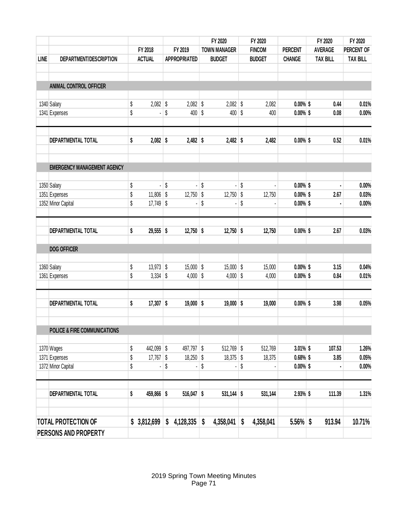|             |                                         |          |               |    |                     |    | FY 2020             |    | FY 2020       |                            | FY 2020 |                 | FY 2020         |  |
|-------------|-----------------------------------------|----------|---------------|----|---------------------|----|---------------------|----|---------------|----------------------------|---------|-----------------|-----------------|--|
|             |                                         |          | FY 2018       |    | FY 2019             |    | <b>TOWN MANAGER</b> |    | <b>FINCOM</b> | <b>PERCENT</b>             |         | <b>AVERAGE</b>  | PERCENT OF      |  |
| <b>LINE</b> | DEPARTMENT/DESCRIPTION                  |          | <b>ACTUAL</b> |    | <b>APPROPRIATED</b> |    | <b>BUDGET</b>       |    | <b>BUDGET</b> | <b>CHANGE</b>              |         | <b>TAX BILL</b> | <b>TAX BILL</b> |  |
|             |                                         |          |               |    |                     |    |                     |    |               |                            |         |                 |                 |  |
|             | ANIMAL CONTROL OFFICER                  |          |               |    |                     |    |                     |    |               |                            |         |                 |                 |  |
|             | 1340 Salary                             | \$       | 2,082         | \$ | 2,082               | \$ | $2,082$ \$          |    | 2,082         | $0.00\%$ \$                |         | 0.44            | 0.01%           |  |
|             | 1341 Expenses                           | \$       |               | \$ | 400                 | \$ | $400$ \$            |    | 400           | $0.00\%$ \$                |         | 0.08            | 0.00%           |  |
|             | DEPARTMENTAL TOTAL                      | \$       | 2,082         | \$ | $2,482$ \$          |    | $2,482$ \$          |    | 2,482         | $0.00\%$ \$                |         | 0.52            | 0.01%           |  |
|             | <b>EMERGENCY MANAGEMENT AGENCY</b>      |          |               |    |                     |    |                     |    |               |                            |         |                 |                 |  |
|             | 1350 Salary                             | \$       | ÷,            | \$ | $\blacksquare$      | \$ | ÷.                  | \$ |               | $0.00\%$ \$                |         |                 | 0.00%           |  |
|             | 1351 Expenses                           | \$       | 11,806        | \$ | 12,750              | \$ | $12,750$ \$         |    | 12,750        | $0.00\%$ \$                |         | 2.67            | 0.03%           |  |
|             | 1352 Minor Capital                      | \$       | 17,749        | \$ |                     | \$ |                     | \$ |               | $0.00\%$ \$                |         |                 | 0.00%           |  |
|             | DEPARTMENTAL TOTAL                      | \$       | $29,555$ \$   |    | $12,750$ \$         |    | $12,750$ \$         |    | 12,750        | $0.00\%$ \$                |         | 2.67            | 0.03%           |  |
|             | <b>DOG OFFICER</b>                      |          |               |    |                     |    |                     |    |               |                            |         |                 |                 |  |
|             | 1360 Salary                             | \$       | $13,973$ \$   |    | $15,000$ \$         |    | $15,000$ \$         |    | 15,000        | $0.00\%$ \$                |         | 3.15            | 0.04%           |  |
|             | 1361 Expenses                           | \$       | 3,334         | \$ | 4,000               | \$ | 4,000               | \$ | 4,000         | $0.00\%$ \$                |         | 0.84            | 0.01%           |  |
|             | DEPARTMENTAL TOTAL                      | \$       | $17,307$ \$   |    | $19,000$ \$         |    | $19,000$ \$         |    | 19,000        | $0.00\%$ \$                |         | 3.98            | 0.05%           |  |
|             | <b>POLICE &amp; FIRE COMMUNICATIONS</b> |          |               |    |                     |    |                     |    |               |                            |         |                 |                 |  |
|             |                                         |          |               |    |                     |    |                     |    |               |                            |         |                 |                 |  |
|             | 1370 Wages                              | \$       | 442,099       | \$ | 497,797 \$          |    | $512,769$ \$        |    | 512,769       | $3.01\%$ \$                |         | 107.53          | 1.26%           |  |
|             | 1371 Expenses<br>1372 Minor Capital     | \$<br>\$ | $17,767$ \$   | \$ | $18,250$ \$         | \$ | $18,375$ \$         | \$ | 18,375        | $0.68\%$ \$<br>$0.00\%$ \$ |         | 3.85            | 0.05%<br>0.00%  |  |
|             | DEPARTMENTAL TOTAL                      | \$       | 459,866 \$    |    | $516,047$ \$        |    | $531,144$ \$        |    | 531,144       | 2.93% \$                   |         | 111.39          | 1.31%           |  |
|             | <b>TOTAL PROTECTION OF</b>              |          | \$3,812,699   | \$ | 4,128,335           | \$ | 4,358,041           | \$ | 4,358,041     | $5.56\%$ \$                |         | 913.94          | 10.71%          |  |
|             | PERSONS AND PROPERTY                    |          |               |    |                     |    |                     |    |               |                            |         |                 |                 |  |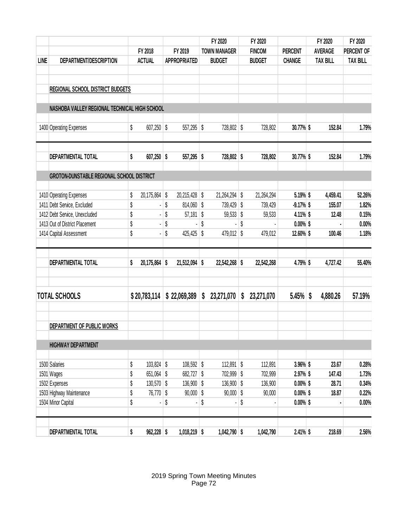|             |                                               |                    |                     |    | FY 2020                      | FY 2020          |                |   | FY 2020         | FY 2020         |
|-------------|-----------------------------------------------|--------------------|---------------------|----|------------------------------|------------------|----------------|---|-----------------|-----------------|
|             |                                               | FY 2018            | FY 2019             |    | <b>TOWN MANAGER</b>          | <b>FINCOM</b>    | <b>PERCENT</b> |   | <b>AVERAGE</b>  | PERCENT OF      |
| <b>LINE</b> | DEPARTMENT/DESCRIPTION                        | <b>ACTUAL</b>      | <b>APPROPRIATED</b> |    | <b>BUDGET</b>                | <b>BUDGET</b>    | <b>CHANGE</b>  |   | <b>TAX BILL</b> | <b>TAX BILL</b> |
|             |                                               |                    |                     |    |                              |                  |                |   |                 |                 |
|             | <b>REGIONAL SCHOOL DISTRICT BUDGETS</b>       |                    |                     |    |                              |                  |                |   |                 |                 |
|             | NASHOBA VALLEY REGIONAL TECHNICAL HIGH SCHOOL |                    |                     |    |                              |                  |                |   |                 |                 |
|             | 1400 Operating Expenses                       | \$<br>607,250      | \$<br>557,295       | \$ | 728,802 \$                   | 728,802          | 30.77% \$      |   | 152.84          | 1.79%           |
|             | DEPARTMENTAL TOTAL                            | \$<br>$607,250$ \$ | $557,295$ \$        |    | 728,802 \$                   | 728,802          | 30.77% \$      |   | 152.84          | 1.79%           |
|             | GROTON-DUNSTABLE REGIONAL SCHOOL DISTRICT     |                    |                     |    |                              |                  |                |   |                 |                 |
|             |                                               |                    |                     |    |                              |                  |                |   |                 |                 |
|             | 1410 Operating Expenses                       | \$<br>20,175,864   | \$<br>20,215,428    | \$ | 21,264,294 \$                | 21,264,294       | 5.19% \$       |   | 4,459.41        | 52.26%          |
|             | 1411 Debt Service, Excluded                   | \$                 | \$<br>$814,060$ \$  |    | 739,429 \$                   | 739,429          | $-9.17%$ \$    |   | 155.07          | 1.82%           |
|             | 1412 Debt Service, Unexcluded                 | \$                 | \$<br>57,181        | \$ | $59,533$ \$                  | 59,533           | 4.11% \$       |   | 12.48           | 0.15%           |
|             | 1413 Out of District Placement                | \$                 | \$                  | \$ |                              | \$               | $0.00\%$ \$    |   |                 | 0.00%           |
|             | 1414 Capital Assessment                       | \$                 | \$<br>425,425       | \$ | 479,012 \$                   | 479,012          | 12.60% \$      |   | 100.46          | 1.18%           |
|             | DEPARTMENTAL TOTAL                            | \$<br>20,175,864   | \$<br>21,512,094    | \$ | 22,542,268 \$                | 22,542,268       | 4.79% \$       |   | 4,727.42        | 55.40%          |
|             | <b>TOTAL SCHOOLS</b>                          | \$20,783,114       | \$22,069,389        | S  | 23,271,070                   | \$<br>23,271,070 | 5.45%          | S | 4,880.26        | 57.19%          |
|             | DEPARTMENT OF PUBLIC WORKS                    |                    |                     |    |                              |                  |                |   |                 |                 |
|             | <b>HIGHWAY DEPARTMENT</b>                     |                    |                     |    |                              |                  |                |   |                 |                 |
|             | 1500 Salaries                                 | \$<br>$103,824$ \$ | $108,592$ \$        |    | $112,891$ \$                 | 112,891          | 3.96% \$       |   | 23.67           | 0.28%           |
|             | 1501 Wages                                    | \$<br>$651,064$ \$ | 682,727 \$          |    | 702,999 \$                   | 702,999          | 2.97% \$       |   | 147.43          | 1.73%           |
|             | 1502 Expenses                                 | \$<br>$130,570$ \$ | 136,900             | \$ | 136,900                      | \$<br>136,900    | $0.00\%$ \$    |   | 28.71           | 0.34%           |
|             | 1503 Highway Maintenance                      | \$<br>76,770 \$    | $90,000$ \$         |    | $90,000$ \$                  | 90,000           | $0.00\%$ \$    |   | 18.87           | 0.22%           |
|             | 1504 Minor Capital                            | \$                 | \$                  | \$ | $\qquad \qquad \blacksquare$ | \$               | $0.00\%$ \$    |   |                 | 0.00%           |
|             | DEPARTMENTAL TOTAL                            | \$<br>$962,228$ \$ | $1,018,219$ \$      |    | 1,042,790 \$                 | 1,042,790        | $2.41\%$ \$    |   | 218.69          | 2.56%           |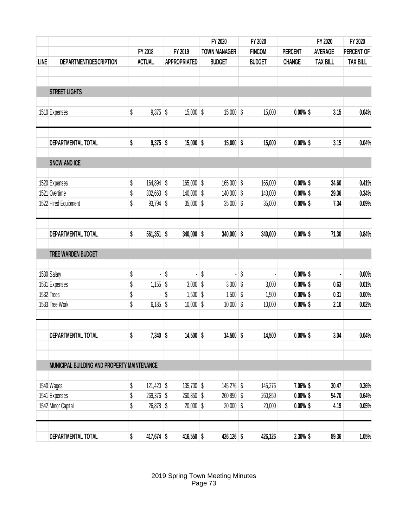|             |                                             |                    |         |                     | FY 2020             | FY 2020       |                | FY 2020         | FY 2020         |
|-------------|---------------------------------------------|--------------------|---------|---------------------|---------------------|---------------|----------------|-----------------|-----------------|
|             |                                             | FY 2018            | FY 2019 |                     | <b>TOWN MANAGER</b> | <b>FINCOM</b> | <b>PERCENT</b> | <b>AVERAGE</b>  | PERCENT OF      |
| <b>LINE</b> | DEPARTMENT/DESCRIPTION                      | <b>ACTUAL</b>      |         | <b>APPROPRIATED</b> | <b>BUDGET</b>       | <b>BUDGET</b> | <b>CHANGE</b>  | <b>TAX BILL</b> | <b>TAX BILL</b> |
|             |                                             |                    |         |                     |                     |               |                |                 |                 |
|             | <b>STREET LIGHTS</b>                        |                    |         |                     |                     |               |                |                 |                 |
|             | 1510 Expenses                               | \$<br>9,375        | \$      | 15,000              | \$<br>15,000        | \$<br>15,000  | $0.00\%$ \$    | 3.15            | 0.04%           |
|             | DEPARTMENTAL TOTAL                          | \$<br>$9,375$ \$   |         | 15,000              | \$<br>$15,000$ \$   | 15,000        | $0.00\%$ \$    | 3.15            | 0.04%           |
|             | <b>SNOW AND ICE</b>                         |                    |         |                     |                     |               |                |                 |                 |
|             | 1520 Expenses                               | \$<br>164,894      | \$      | 165,000             | \$<br>$165,000$ \$  | 165,000       | $0.00\%$ \$    | 34.60           | 0.41%           |
|             | 1521 Overtime                               | \$<br>302,663      | \$      | 140,000             | \$<br>$140,000$ \$  | 140,000       | $0.00\%$ \$    | 29.36           | 0.34%           |
|             | 1522 Hired Equipment                        | \$<br>93,794       | \$      | 35,000              | \$<br>35,000        | \$<br>35,000  | $0.00\%$ \$    | 7.34            | 0.09%           |
|             | DEPARTMENTAL TOTAL                          | \$<br>561,351      | \$      | 340,000             | \$<br>$340,000$ \$  | 340,000       | $0.00\%$ \$    | 71.30           | 0.84%           |
|             | TREE WARDEN BUDGET                          |                    |         |                     |                     |               |                |                 |                 |
|             | 1530 Salary                                 | \$                 | \$      |                     | \$                  | \$            | $0.00\%$ \$    |                 | 0.00%           |
|             | 1531 Expenses                               | \$<br>1,155        | \$      | 3,000               | \$<br>3,000         | \$<br>3,000   | $0.00\%$ \$    | 0.63            | 0.01%           |
|             | 1532 Trees                                  | \$                 | \$      | 1,500               | \$<br>1,500         | \$<br>1,500   | $0.00\%$ \$    | 0.31            | 0.00%           |
|             | 1533 Tree Work                              | \$<br>6,185        | \$      | 10,000              | \$<br>10,000        | \$<br>10,000  | $0.00\%$ \$    | 2.10            | 0.02%           |
|             | DEPARTMENTAL TOTAL                          | \$<br>$7,340$ \$   |         | $14,500$ \$         | $14,500$ \$         | 14,500        | $0.00\%$ \$    | 3.04            | 0.04%           |
|             | MUNICIPAL BUILDING AND PROPERTY MAINTENANCE |                    |         |                     |                     |               |                |                 |                 |
|             | 1540 Wages                                  | \$<br>$121,420$ \$ |         | $135,700$ \$        | $145,276$ \$        | 145,276       | 7.06% \$       | 30.47           | 0.36%           |
|             | 1541 Expenses                               | \$<br>269,376 \$   |         | $260,850$ \$        | 260,850 \$          | 260,850       | $0.00\%$ \$    | 54.70           | 0.64%           |
|             | 1542 Minor Capital                          | \$<br>$26,878$ \$  |         | $20,000$ \$         | $20,000$ \$         | 20,000        | $0.00\%$ \$    | 4.19            | 0.05%           |
|             | DEPARTMENTAL TOTAL                          | \$<br>417,674 \$   |         | $416,550$ \$        | $426,126$ \$        | 426,126       | $2.30\%$ \$    | 89.36           | 1.05%           |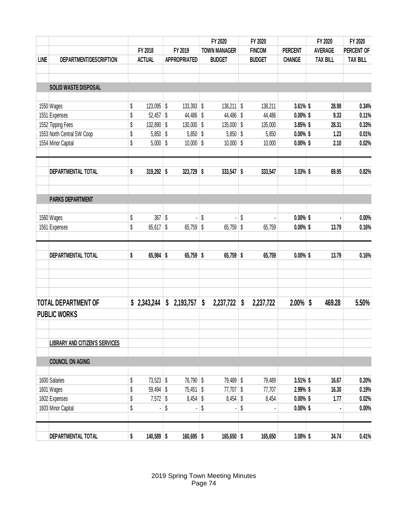|             |                                       |                    |                     | FY 2020             | FY 2020         |                | FY 2020         | FY 2020         |
|-------------|---------------------------------------|--------------------|---------------------|---------------------|-----------------|----------------|-----------------|-----------------|
|             |                                       | FY 2018            | FY 2019             | <b>TOWN MANAGER</b> | <b>FINCOM</b>   | <b>PERCENT</b> | <b>AVERAGE</b>  | PERCENT OF      |
| <b>LINE</b> | DEPARTMENT/DESCRIPTION                | <b>ACTUAL</b>      | <b>APPROPRIATED</b> | <b>BUDGET</b>       | <b>BUDGET</b>   | <b>CHANGE</b>  | <b>TAX BILL</b> | <b>TAX BILL</b> |
|             |                                       |                    |                     |                     |                 |                |                 |                 |
|             | SOLID WASTE DISPOSAL                  |                    |                     |                     |                 |                |                 |                 |
|             |                                       |                    |                     |                     |                 |                |                 |                 |
|             | 1550 Wages                            | \$<br>123,095      | \$<br>133,393 \$    | $138,211$ \$        | 138,211         | $3.61\%$ \$    | 28.98           | 0.34%           |
|             | 1551 Expenses                         | \$<br>52,457       | \$<br>44,486 \$     | $44,486$ \$         | 44,486          | $0.00\%$ \$    | 9.33            | 0.11%           |
|             | 1552 Tipping Fees                     | \$<br>132,890      | \$<br>130,000       | \$<br>$135,000$ \$  | 135,000         | 3.85% \$       | 28.31           | 0.33%           |
|             | 1553 North Central SW Coop            | \$<br>5,850        | \$<br>5,850         | \$<br>$5,850$ \$    | 5,850           | $0.00\%$ \$    | 1.23            | 0.01%           |
|             | 1554 Minor Capital                    | \$<br>5,000        | \$<br>10,000        | \$<br>$10,000$ \$   | 10,000          | $0.00\%$ \$    | 2.10            | 0.02%           |
|             | DEPARTMENTAL TOTAL                    | \$<br>$319,292$ \$ | $323,729$ \$        | 333,547 \$          | 333,547         | 3.03% \$       | 69.95           | 0.82%           |
|             | <b>PARKS DEPARTMENT</b>               |                    |                     |                     |                 |                |                 |                 |
|             | 1560 Wages                            | \$<br>367          | \$                  | \$<br>ä,            | \$              | $0.00\%$ \$    |                 | 0.00%           |
|             | 1561 Expenses                         | \$<br>65,617       | \$<br>65,759        | \$<br>65,759        | \$<br>65,759    | $0.00\%$ \$    | 13.79           | 0.16%           |
|             | DEPARTMENTAL TOTAL                    | \$<br>65,984       | \$<br>$65,759$ \$   | 65,759              | \$<br>65,759    | $0.00\%$ \$    | 13.79           | 0.16%           |
|             | <b>TOTAL DEPARTMENT OF</b>            | \$2,343,244        | \$<br>2,193,757     | \$<br>2,237,722     | \$<br>2,237,722 | 2.00%          | \$<br>469.28    | 5.50%           |
|             | <b>PUBLIC WORKS</b>                   |                    |                     |                     |                 |                |                 |                 |
|             | <b>LIBRARY AND CITIZEN'S SERVICES</b> |                    |                     |                     |                 |                |                 |                 |
|             | <b>COUNCIL ON AGING</b>               |                    |                     |                     |                 |                |                 |                 |
|             | 1600 Salaries                         | \$<br>$73,523$ \$  | 76,790 \$           | 79,489 \$           | 79,489          | $3.51\%$ \$    | 16.67           | 0.20%           |
|             | 1601 Wages                            | \$<br>59,494 \$    | $75,451$ \$         | $77,707$ \$         | 77,707          | 2.99% \$       | 16.30           | 0.19%           |
|             | 1602 Expenses                         | \$<br>$7,572$ \$   | $8,454$ \$          | $8,454$ \$          | 8,454           | $0.00\%$ \$    | 1.77            | 0.02%           |
|             | 1603 Minor Capital                    | \$                 | \$                  | \$                  | \$              | $0.00\%$ \$    |                 | 0.00%           |
|             |                                       |                    |                     |                     |                 |                |                 |                 |
|             | DEPARTMENTAL TOTAL                    | \$<br>140,589 \$   | $160,695$ \$        | $165,650$ \$        | 165,650         | $3.08\%$ \$    | 34.74           | 0.41%           |

2019 Spring Town Meeting Minutes Page 74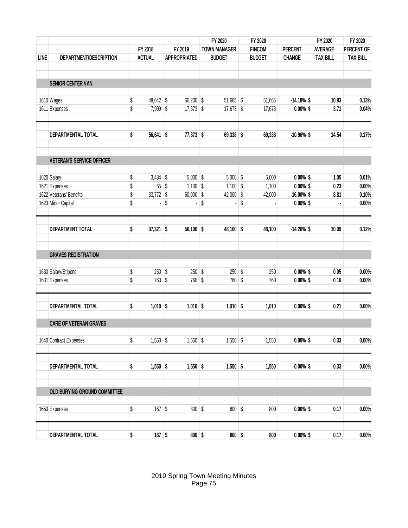|             |                                  |          |                  |         |                          | FY 2020                  | FY 2020        |                            | FY 2020         | FY 2020         |
|-------------|----------------------------------|----------|------------------|---------|--------------------------|--------------------------|----------------|----------------------------|-----------------|-----------------|
|             |                                  |          | FY 2018          | FY 2019 |                          | <b>TOWN MANAGER</b>      | <b>FINCOM</b>  | <b>PERCENT</b>             | <b>AVERAGE</b>  | PERCENT OF      |
| <b>LINE</b> | DEPARTMENT/DESCRIPTION           |          | <b>ACTUAL</b>    |         | <b>APPROPRIATED</b>      | <b>BUDGET</b>            | <b>BUDGET</b>  | <b>CHANGE</b>              | <b>TAX BILL</b> | <b>TAX BILL</b> |
|             |                                  |          |                  |         |                          |                          |                |                            |                 |                 |
|             | <b>SENIOR CENTER VAN</b>         |          |                  |         |                          |                          |                |                            |                 |                 |
|             | 1610 Wages                       | \$       | 48,642           | \$      | $60,200$ \$              | $51,665$ \$              | 51,665         | $-14.18%$ \$               | 10.83           | 0.13%           |
|             | 1611 Expenses                    | \$       | 7,999            | \$      | $17,673$ \$              | $17,673$ \$              | 17,673         | $0.00\%$ \$                | 3.71            | 0.04%           |
|             | DEPARTMENTAL TOTAL               | \$       | 56,641           | \$      | $77,873$ \$              | $69,338$ \$              | 69,338         | $-10.96\%$ \$              | 14.54           | 0.17%           |
|             | <b>VETERAN'S SERVICE OFFICER</b> |          |                  |         |                          |                          |                |                            |                 |                 |
|             |                                  |          |                  |         |                          |                          |                |                            |                 |                 |
|             | 1620 Salary<br>1621 Expenses     | \$<br>\$ | $3,484$ \$<br>65 | \$      | $5,000$ \$<br>$1,100$ \$ | $5,000$ \$<br>$1,100$ \$ | 5,000<br>1,100 | $0.00\%$ \$<br>$0.00\%$ \$ | 1.05<br>0.23    | 0.01%<br>0.00%  |
|             | 1622 Veterans' Benefits          | \$       | 33,772           | \$      | $50,000$ \$              | 42,000 $\frac{1}{9}$     | 42,000         | $-16.00\%$ \$              | 8.81            | 0.10%           |
|             | 1623 Minor Capital               | \$       |                  | \$      |                          | \$                       | \$             | $0.00\%$ \$                |                 | 0.00%           |
|             | <b>DEPARTMENT TOTAL</b>          | \$       | 37,321           | \$      | $56,100$ \$              | 48,100 \$                | 48,100         | $-14.26\%$ \$              | 10.09           | 0.12%           |
|             | <b>GRAVES REGISTRATION</b>       |          |                  |         |                          |                          |                |                            |                 |                 |
|             | 1630 Salary/Stipend              | \$       | 250              | \$      | 250                      | \$<br>$250$ \$           | 250            | $0.00\%$ \$                | $0.05\,$        | 0.00%           |
|             | 1631 Expenses                    | \$       | 760              | \$      | 760                      | \$<br>760                | \$<br>760      | $0.00\%$ \$                | 0.16            | 0.00%           |
|             | DEPARTMENTAL TOTAL               | \$       | $1,010$ \$       |         | $1,010$ \$               | $1,010$ \$               | 1,010          | $0.00\%$ \$                | 0.21            | 0.00%           |
|             | <b>CARE OF VETERAN GRAVES</b>    |          |                  |         |                          |                          |                |                            |                 |                 |
|             | 1640 Contract Expenses           | \$       | $1,550$ \$       |         | $1,550$ \$               | $1,550$ \$               | 1,550          | $0.00\%$ \$                | 0.33            | $0.00\%$        |
|             | DEPARTMENTAL TOTAL               | \$       | $1,550$ \$       |         | $1,550$ \$               | $1,550$ \$               | 1,550          | $0.00\%$ \$                | 0.33            | 0.00%           |
|             | OLD BURYING GROUND COMMITTEE     |          |                  |         |                          |                          |                |                            |                 |                 |
|             |                                  |          |                  |         |                          |                          |                |                            |                 |                 |
|             | 1650 Expenses                    | \$       | $167$ \$         |         | $800$ \$                 | $800$ \$                 | 800            | $0.00\%$ \$                | 0.17            | 0.00%           |
|             | DEPARTMENTAL TOTAL               | \$       | $167$ \$         |         | $800$ \$                 | $800$ \$                 | 800            | $0.00\%$ \$                | 0.17            | 0.00%           |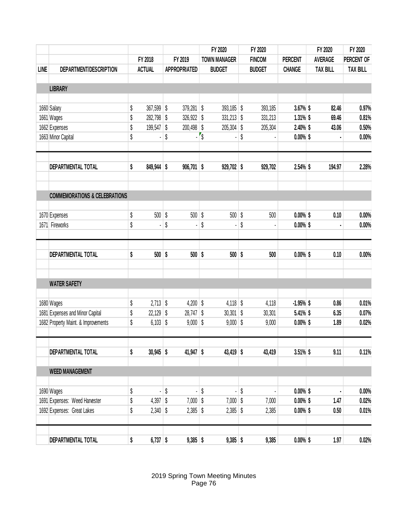|             |                                          |    |                     |         |                     | FY 2020             | FY 2020             |    |               | FY 2020        | FY 2020         |                 |
|-------------|------------------------------------------|----|---------------------|---------|---------------------|---------------------|---------------------|----|---------------|----------------|-----------------|-----------------|
|             |                                          |    | FY 2018             | FY 2019 |                     |                     | <b>TOWN MANAGER</b> |    | <b>FINCOM</b> | <b>PERCENT</b> | <b>AVERAGE</b>  | PERCENT OF      |
| <b>LINE</b> | DEPARTMENT/DESCRIPTION                   |    | <b>ACTUAL</b>       |         | <b>APPROPRIATED</b> |                     | <b>BUDGET</b>       |    | <b>BUDGET</b> | <b>CHANGE</b>  | <b>TAX BILL</b> | <b>TAX BILL</b> |
|             |                                          |    |                     |         |                     |                     |                     |    |               |                |                 |                 |
|             | <b>LIBRARY</b>                           |    |                     |         |                     |                     |                     |    |               |                |                 |                 |
|             | 1660 Salary                              | \$ | 367,599             | \$      | $379,281$ \$        |                     | $393,185$ \$        |    | 393,185       | 3.67% \$       | 82.46           | 0.97%           |
|             | 1661 Wages                               | \$ | 282,798             | \$      | 326,922             | \$                  | $331,213$ \$        |    | 331,213       | $1.31\%$ \$    | 69.46           | 0.81%           |
|             | 1662 Expenses                            | \$ | 199,547             | \$      | $200,498$ \$        |                     | 205,304             | \$ | 205,304       | 2.40% \$       | 43.06           | 0.50%           |
|             | 1663 Minor Capital                       | \$ |                     | \$      |                     | $\sqrt{\frac{2}{}}$ |                     | \$ |               | $0.00\%$ \$    |                 | 0.00%           |
|             | DEPARTMENTAL TOTAL                       | \$ | 849,944             | \$      | $906,701$ \$        |                     | $929,702$ \$        |    | 929,702       | 2.54% \$       | 194.97          | 2.28%           |
|             |                                          |    |                     |         |                     |                     |                     |    |               |                |                 |                 |
|             | <b>COMMEMORATIONS &amp; CELEBRATIONS</b> |    |                     |         |                     |                     |                     |    |               |                |                 |                 |
|             | 1670 Expenses                            | \$ | 500                 | \$      | 500                 | \$                  | 500                 | \$ | 500           | $0.00\%$ \$    | 0.10            | 0.00%           |
|             | 1671 Fireworks                           | \$ |                     | \$      |                     | \$                  |                     | \$ |               | $0.00\%$ \$    |                 | 0.00%           |
|             | DEPARTMENTAL TOTAL                       | \$ | 500                 | \$      | 500                 | \$                  | $500$ \$            |    | 500           | $0.00\%$ \$    | 0.10            | 0.00%           |
|             | <b>WATER SAFETY</b>                      |    |                     |         |                     |                     |                     |    |               |                |                 |                 |
|             |                                          |    |                     |         |                     |                     |                     |    |               |                |                 |                 |
|             | 1680 Wages                               | \$ | $2,713$ \$          |         | 4,200               | \$                  | $4,118$ \$          |    | 4,118         | $-1.95%$ \$    | 0.86            | 0.01%           |
|             | 1681 Expenses and Minor Capital          | \$ | 22,129              | \$      | 28,747              | \$                  | 30,301              | \$ | 30,301        | 5.41% \$       | 6.35            | 0.07%           |
|             | 1682 Property Maint. & Improvements      | \$ | $6,103$ \$          |         | $9,000$ \$          |                     | $9,000$ \$          |    | 9,000         | $0.00\%$ \$    | 1.89            | 0.02%           |
|             | DEPARTMENTAL TOTAL                       | \$ | $30,945$ \$         |         | $41,947$ \$         |                     | $43,419$ \$         |    | 43,419        | $3.51\%$ \$    | 9.11            | 0.11%           |
|             | <b>WEED MANAGEMENT</b>                   |    |                     |         |                     |                     |                     |    |               |                |                 |                 |
|             |                                          |    |                     |         |                     |                     |                     |    |               |                |                 |                 |
|             | 1690 Wages                               | \$ | - 1                 | \$      | - 1                 | \$                  | ÷.                  | \$ |               | $0.00\%$ \$    |                 | 0.00%           |
|             | 1691 Expenses: Weed Harvester            | \$ | 4,397 $\frac{1}{9}$ |         | $7,000$ \$          |                     | $7,000$ \$          |    | 7,000         | $0.00\%$ \$    | 1.47            | 0.02%           |
|             | 1692 Expenses: Great Lakes               | \$ | $2,340$ \$          |         | $2,385$ \$          |                     | $2,385$ \$          |    | 2,385         | $0.00\%$ \$    | 0.50            | 0.01%           |
|             | DEPARTMENTAL TOTAL                       | \$ | $6,737$ \$          |         | $9,385$ \$          |                     | $9,385$ \$          |    | 9,385         | $0.00\%$ \$    | 1.97            | 0.02%           |

2019 Spring Town Meeting Minutes Page 76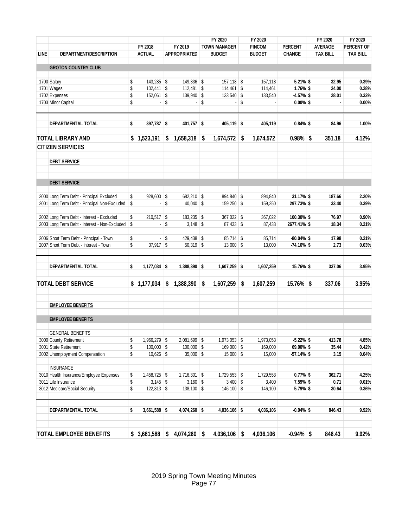|             |                                                                                          |                      |                      |    | FY 2020                    | FY 2020         |                | FY 2020         | FY 2020         |
|-------------|------------------------------------------------------------------------------------------|----------------------|----------------------|----|----------------------------|-----------------|----------------|-----------------|-----------------|
|             |                                                                                          | FY 2018              | FY 2019              |    | <b>TOWN MANAGER</b>        | <b>FINCOM</b>   | <b>PERCENT</b> | <b>AVERAGE</b>  | PERCENT OF      |
| <b>LINE</b> | DEPARTMENT/DESCRIPTION                                                                   | <b>ACTUAL</b>        | <b>APPROPRIATED</b>  |    | <b>BUDGET</b>              | <b>BUDGET</b>   | <b>CHANGE</b>  | <b>TAX BILL</b> | <b>TAX BILL</b> |
|             |                                                                                          |                      |                      |    |                            |                 |                |                 |                 |
|             | <b>GROTON COUNTRY CLUB</b>                                                               |                      |                      |    |                            |                 |                |                 |                 |
|             | 1700 Salary                                                                              | \$<br>143,285 \$     | 149,336 \$           |    | $157,118$ \$               | 157,118         | 5.21% \$       | 32.95           | 0.39%           |
|             | 1701 Wages                                                                               | \$<br>$102,441$ \$   | $112,481$ \$         |    | $114,461$ \$               | 114,461         | $1.76\%$ \$    | 24.00           | 0.28%           |
|             | 1702 Expenses                                                                            | \$<br>$152,061$ \$   | 139,940 \$           |    | $133,540$ \$               | 133,540         | $-4.57%$ \$    | 28.01           | 0.33%           |
|             | 1703 Minor Capital                                                                       | \$                   | \$<br>$\blacksquare$ | \$ | $\blacksquare$             | \$              | $0.00\%$ \$    |                 | 0.00%           |
|             |                                                                                          |                      |                      |    |                            |                 |                |                 |                 |
|             | DEPARTMENTAL TOTAL                                                                       | \$<br>$397,787$ \$   | 401,757 \$           |    | $405,119$ \$               | 405,119         | $0.84\%$ \$    | 84.96           | 1.00%           |
|             | <b>TOTAL LIBRARY AND</b>                                                                 | \$1,523,191          | \$<br>1,658,318      | S  | 1,674,572                  | \$<br>1,674,572 | $0.98\%$ \$    | 351.18          | 4.12%           |
|             | <b>CITIZEN SERVICES</b>                                                                  |                      |                      |    |                            |                 |                |                 |                 |
|             | <b>DEBT SERVICE</b>                                                                      |                      |                      |    |                            |                 |                |                 |                 |
|             | <b>DEBT SERVICE</b>                                                                      |                      |                      |    |                            |                 |                |                 |                 |
|             |                                                                                          |                      |                      |    |                            |                 |                |                 | 2.20%           |
|             | 2000 Long Term Debt - Principal Excluded<br>2001 Long Term Debt - Principal Non-Excluded | \$<br>$928,600$ \$   | \$<br>682,210 \$     |    | 894,840 \$<br>$159,250$ \$ | 894,840         | 31.17% \$      | 187.66          |                 |
|             |                                                                                          | \$<br>$\blacksquare$ | $40,040$ \ \$        |    |                            | 159,250         | 297.73% \$     | 33.40           | 0.39%           |
|             | 2002 Long Term Debt - Interest - Excluded                                                | \$<br>$210,517$ \$   | 183,235 \$           |    | 367,022 \$                 | 367,022         | 100.30% \$     | 76.97           | 0.90%           |
|             | 2003 Long Term Debt - Interest - Non-Excluded \$                                         | $\blacksquare$       | \$<br>$3,148$ \$     |    | $87,433$ \$                | 87,433          | 2677.41% \$    | 18.34           | 0.21%           |
|             |                                                                                          |                      |                      |    |                            |                 |                |                 |                 |
|             | 2006 Short Term Debt - Principal - Town                                                  | \$                   | \$<br>429,438 \$     |    | $85,714$ \$                | 85,714          | $-80.04\%$ \$  | 17.98           | 0.21%           |
|             | 2007 Short Term Debt - Interest - Town                                                   | \$<br>$37,917$ \$    | $50,319$ \$          |    | $13,000$ \$                | 13,000          | $-74.16\%$ \$  | 2.73            | 0.03%           |
|             | <b>DEPARTMENTAL TOTAL</b>                                                                | \$<br>$1,177,034$ \$ | $1,388,390$ \$       |    | $1,607,259$ \$             | 1,607,259       | 15.76% \$      | 337.06          | 3.95%           |
|             |                                                                                          |                      |                      |    |                            |                 |                |                 |                 |
|             | <b>TOTAL DEBT SERVICE</b>                                                                | \$1,177,034          | \$<br>1,388,390      | S  | 1,607,259                  | \$<br>1,607,259 | $15.76\%$ \$   | 337.06          | 3.95%           |
|             | <b>EMPLOYEE BENEFITS</b>                                                                 |                      |                      |    |                            |                 |                |                 |                 |
|             | <b>EMPLOYEE BENEFITS</b>                                                                 |                      |                      |    |                            |                 |                |                 |                 |
|             | <b>GENERAL BENEFITS</b>                                                                  |                      |                      |    |                            |                 |                |                 |                 |
|             | 3000 County Retirement                                                                   | \$<br>1,966,279 \$   | $2,081,699$ \$       |    | $1,973,053$ \$             | 1,973,053       | $-5.22%$ \$    | 413.78          | 4.85%           |
|             | 3001 State Retirement                                                                    | \$<br>$100,000$ \$   | $100,000$ \$         |    | 169,000 \$                 | 169,000         | 69.00% \$      | 35.44           | 0.42%           |
|             | 3002 Unemployment Compensation                                                           | \$<br>$10,626$ \$    | $35,000$ \$          |    | $15,000$ \$                | 15,000          | $-57.14%$ \$   | 3.15            | 0.04%           |
|             | <b>INSURANCE</b>                                                                         |                      |                      |    |                            |                 |                |                 |                 |
|             | 3010 Health Insurance/Employee Expenses                                                  | \$<br>1,458,725 \$   | $1,716,301$ \$       |    | $1,729,553$ \$             | 1,729,553       | $0.77\%$ \$    | 362.71          | 4.25%           |
|             | 3011 Life Insurance                                                                      | \$<br>$3,145$ \$     | $3,160$ \$           |    | $3,400$ \$                 | 3,400           | 7.59% \$       | 0.71            | 0.01%           |
|             | 3012 Medicare/Social Security                                                            | \$<br>$122,813$ \$   | $138,100$ \$         |    | $146,100$ \$               | 146,100         | 5.79% \$       | 30.64           | 0.36%           |
|             | <b>DEPARTMENTAL TOTAL</b>                                                                | \$<br>$3,661,588$ \$ | $4,074,260$ \$       |    | $4,036,106$ \$             | 4,036,106       | $-0.94\%$ \$   | 846.43          | 9.92%           |
|             |                                                                                          |                      |                      |    |                            |                 |                |                 |                 |
|             | <b>TOTAL EMPLOYEE BENEFITS</b>                                                           | \$3,661,588          | \$<br>$4,074,260$ \$ |    | 4,036,106                  | \$<br>4,036,106 | $-0.94\%$ \$   | 846.43          | 9.92%           |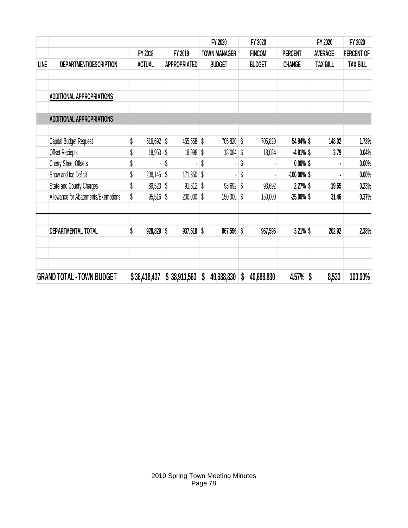| LINE<br>DEPARTMENT/DESCRIPTION<br>ADDITIONAL APPROPRIATIONS<br>ADDITIONAL APPROPRIATIONS<br>\$<br>Capital Budget Request<br>\$<br>Offset Reciepts<br>\$<br><b>Cherry Sheet Offsets</b><br>\$<br>Snow and Ice Deficit | FY 2018<br><b>ACTUAL</b><br>516,692<br>18,953 |              | FY 2019<br><b>APPROPRIATED</b> | <b>TOWN MANAGER</b><br><b>BUDGET</b> | <b>FINCOM</b><br><b>BUDGET</b> | <b>PERCENT</b><br><b>CHANGE</b> | <b>AVERAGE</b><br><b>TAX BILL</b> | PERCENT OF      |
|----------------------------------------------------------------------------------------------------------------------------------------------------------------------------------------------------------------------|-----------------------------------------------|--------------|--------------------------------|--------------------------------------|--------------------------------|---------------------------------|-----------------------------------|-----------------|
|                                                                                                                                                                                                                      |                                               |              |                                |                                      |                                |                                 |                                   |                 |
|                                                                                                                                                                                                                      |                                               |              |                                |                                      |                                |                                 |                                   | <b>TAX BILL</b> |
|                                                                                                                                                                                                                      |                                               |              |                                |                                      |                                |                                 |                                   |                 |
|                                                                                                                                                                                                                      |                                               |              |                                |                                      |                                |                                 |                                   |                 |
|                                                                                                                                                                                                                      |                                               |              |                                |                                      |                                |                                 |                                   |                 |
|                                                                                                                                                                                                                      |                                               | \$           | 455,558                        | \$<br>705,820 \$                     | 705,820                        | 54.94% \$                       | 148.02                            | 1.73%           |
|                                                                                                                                                                                                                      |                                               | \$           | 18,998                         | \$<br>$18,084$ \$                    | 18,084                         | $-4.81\%$ \$                    | 3.79                              | 0.04%           |
|                                                                                                                                                                                                                      |                                               | \$           |                                | \$                                   | \$                             | $0.00\%$ \$                     |                                   | 0.00%           |
|                                                                                                                                                                                                                      | 208,145                                       | \$           | 171,350                        | \$                                   | \$                             | $-100.00\%$ \$                  |                                   | 0.00%           |
| State and County Charges<br>\$                                                                                                                                                                                       | 89,523                                        | \$           | 91,612                         | \$<br>$93,692$ \$                    | 93,692                         | $2.27\%$ \$                     | 19.65                             | 0.23%           |
| \$<br>Allowance for Abatements/Exemptions                                                                                                                                                                            | 95,516                                        | \$           | 200,000                        | \$<br>$150,000$ \$                   | 150,000                        | $-25.00%$ \$                    | 31.46                             | 0.37%           |
|                                                                                                                                                                                                                      |                                               |              |                                |                                      |                                |                                 |                                   |                 |
| DEPARTMENTAL TOTAL<br>\$                                                                                                                                                                                             | 928,829                                       | \$           | $937,518$ \$                   | 967,596 \$                           | 967,596                        | $3.21\%$ \$                     | 202.92                            | 2.38%           |
| <b>GRAND TOTAL - TOWN BUDGET</b>                                                                                                                                                                                     | \$36,418,437                                  | \$38,911,563 |                                |                                      |                                |                                 |                                   |                 |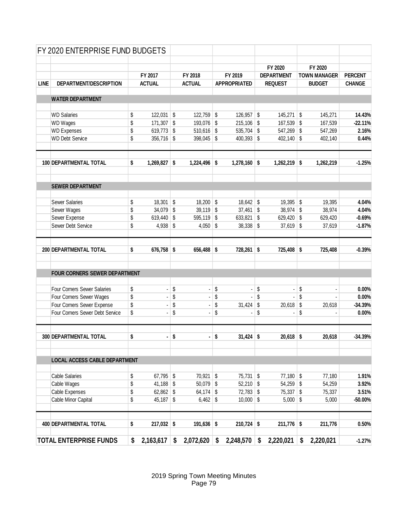|             | FY 2020 ENTERPRISE FUND BUDGETS |                             |                                             |                     |            |                       |                     |                |
|-------------|---------------------------------|-----------------------------|---------------------------------------------|---------------------|------------|-----------------------|---------------------|----------------|
|             |                                 |                             |                                             |                     |            | FY 2020               | FY 2020             |                |
|             |                                 | FY 2017                     | FY 2018                                     | FY 2019             |            | <b>DEPARTMENT</b>     | <b>TOWN MANAGER</b> | <b>PERCENT</b> |
| <b>LINE</b> | DEPARTMENT/DESCRIPTION          | <b>ACTUAL</b>               | <b>ACTUAL</b>                               | <b>APPROPRIATED</b> |            | <b>REQUEST</b>        | <b>BUDGET</b>       | <b>CHANGE</b>  |
|             |                                 |                             |                                             |                     |            |                       |                     |                |
|             | <b>WATER DEPARTMENT</b>         |                             |                                             |                     |            |                       |                     |                |
|             |                                 |                             |                                             |                     |            |                       |                     |                |
|             | <b>WD Salaries</b>              | \$<br>$122,031$ \$          | $122,759$ \$                                | 126,957             | \$         | $145,271$ \$          | 145,271             | 14.43%         |
|             | <b>WD Wages</b>                 | \$<br>$171,307$ \$          | 193,076 \$                                  | 215,106             | $\sqrt{3}$ | $167,539$ \$          | 167,539             | $-22.11%$      |
|             | <b>WD Expenses</b>              | \$<br>619,773 \$            | $510,616$ \$                                | 535,704             | S.         | 547,269 \$            | 547,269             | 2.16%          |
|             | <b>WD Debt Service</b>          | \$<br>$356,716$ \$          | 398,045                                     | \$<br>400,393       | \$         | $402,140$ \$          | 402,140             | 0.44%          |
|             | 100 DEPARTMENTAL TOTAL          | \$<br>$1,269,827$ \$        | $1,224,496$ \$                              | $1,278,160$ \$      |            | $1,262,219$ \$        | 1,262,219           | $-1.25%$       |
|             |                                 |                             |                                             |                     |            |                       |                     |                |
|             | <b>SEWER DEPARTMENT</b>         |                             |                                             |                     |            |                       |                     |                |
|             | <b>Sewer Salaries</b>           | \$<br>$18,301$ \$           | $18,200$ \$                                 | $18,642$ \$         |            | $19,395$ \$           | 19,395              | 4.04%          |
|             | Sewer Wages                     | \$<br>$34,079$ \$           | 39,119                                      | \$<br>37,461        | \$         | $38,974$ \$           | 38,974              | 4.04%          |
|             | Sewer Expense                   | \$<br>619,440 $\frac{1}{9}$ | 595,119                                     | \$<br>633,821       | \$         | 629,420 $\frac{1}{9}$ | 629,420             | $-0.69%$       |
|             | Sewer Debt Service              | \$<br>$4,938$ \$            | 4,050                                       | \$<br>38,338        | \$         | $37,619$ \$           | 37,619              | $-1.87%$       |
|             |                                 |                             |                                             |                     |            |                       |                     |                |
|             | 200 DEPARTMENTAL TOTAL          | \$<br>676,758 \$            | 656,488                                     | \$<br>728,261       | \$         | 725,408 \$            | 725,408             | $-0.39%$       |
|             | FOUR CORNERS SEWER DEPARTMENT   |                             |                                             |                     |            |                       |                     |                |
|             | Four Corners Sewer Salaries     | \$<br>Ĭ.                    | \$<br>ä,                                    | \$<br>ä,            | \$         | $\blacksquare$        | \$                  | 0.00%          |
|             | Four Corners Sewer Wages        | \$<br>Ĭ.                    | \$<br>÷,                                    | \$                  | \$         |                       | \$                  | 0.00%          |
|             | Four Corners Sewer Expense      | \$<br>$\blacksquare$        | \$<br>l,                                    | \$<br>31,424        | \$         | 20,618                | \$<br>20,618        | $-34.39%$      |
|             | Four Corners Sewer Debt Service | \$                          | \$<br>ä,                                    | \$                  | \$         | $\blacksquare$        | \$                  | 0.00%          |
|             | 300 DEPARTMENTAL TOTAL          | \$<br>÷                     | \$<br>ä,                                    | \$<br>31,424        | \$         | 20,618                | \$<br>20,618        | $-34.39%$      |
|             |                                 |                             |                                             |                     |            |                       |                     |                |
|             | LOCAL ACCESS CABLE DEPARTMENT   |                             |                                             |                     |            |                       |                     |                |
|             | <b>Cable Salaries</b>           | \$<br>$67,795$ \$           | 70,921 \$                                   | $75,731$ \$         |            | $77,180$ \$           | 77,180              | 1.91%          |
|             | Cable Wages                     | \$<br>$41,188$ \$           | $50,079$ \$                                 | $52,210$ \$         |            | $54,259$ \$           | 54,259              | 3.92%          |
|             | Cable Expenses                  | \$<br>$62,862$ \$           | 64,174                                      | \$<br>$72,783$ \$   |            | $75,337$ \$           | 75,337              | 3.51%          |
|             | Cable Minor Capital             | \$<br>$45,187$ \$           | $6,462$ \$                                  | $10,000$ \$         |            | $5,000$ \$            | 5,000               | -50.00%        |
|             |                                 |                             | $191,636$ \$                                | $210,724$ \$        |            | $211,776$ \$          | 211,776             |                |
|             | 400 DEPARTMENTAL TOTAL          | \$<br>217,032 \$            |                                             |                     |            |                       |                     | 0.50%          |
|             | <b>TOTAL ENTERPRISE FUNDS</b>   | \$<br>2,163,617             | \$<br>2,072,620                             | \$<br>2,248,570     | \$         | 2,220,021             | \$<br>2,220,021     | $-1.27%$       |
|             |                                 |                             | 2019 Spring Town Meeting Minutes<br>Page 79 |                     |            |                       |                     |                |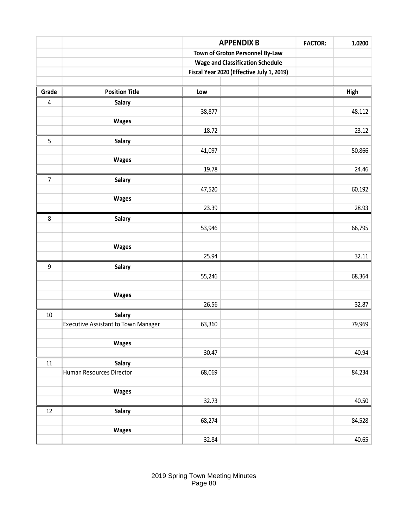|                |                                     |                                             | <b>APPENDIX B</b>                         | <b>FACTOR:</b> | 1.0200 |
|----------------|-------------------------------------|---------------------------------------------|-------------------------------------------|----------------|--------|
|                |                                     |                                             | Town of Groton Personnel By-Law           |                |        |
|                |                                     |                                             | <b>Wage and Classification Schedule</b>   |                |        |
|                |                                     |                                             | Fiscal Year 2020 (Effective July 1, 2019) |                |        |
|                |                                     |                                             |                                           |                |        |
| Grade          | <b>Position Title</b>               | Low                                         |                                           |                | High   |
| $\overline{4}$ | Salary                              |                                             |                                           |                |        |
|                |                                     | 38,877                                      |                                           |                | 48,112 |
|                | Wages                               |                                             |                                           |                |        |
|                |                                     | 18.72                                       |                                           |                | 23.12  |
| 5              | Salary                              |                                             |                                           |                |        |
|                |                                     | 41,097                                      |                                           |                | 50,866 |
|                | <b>Wages</b>                        | 19.78                                       |                                           |                | 24.46  |
| $\overline{7}$ | Salary                              |                                             |                                           |                |        |
|                |                                     | 47,520                                      |                                           |                | 60,192 |
|                | <b>Wages</b>                        |                                             |                                           |                |        |
|                |                                     | 23.39                                       |                                           |                | 28.93  |
| $\,8\,$        | Salary                              |                                             |                                           |                |        |
|                |                                     | 53,946                                      |                                           |                | 66,795 |
|                |                                     |                                             |                                           |                |        |
|                | <b>Wages</b>                        |                                             |                                           |                |        |
|                |                                     | 25.94                                       |                                           |                | 32.11  |
| 9              | Salary                              |                                             |                                           |                |        |
|                |                                     | 55,246                                      |                                           |                | 68,364 |
|                |                                     |                                             |                                           |                |        |
|                | <b>Wages</b>                        |                                             |                                           |                |        |
|                |                                     | 26.56                                       |                                           |                | 32.87  |
| $10\,$         | Salary                              |                                             |                                           |                |        |
|                | Executive Assistant to Town Manager | 63,360                                      |                                           |                | 79,969 |
|                |                                     |                                             |                                           |                |        |
|                | Wages                               | 30.47                                       |                                           |                | 40.94  |
| $11\,$         | <b>Salary</b>                       |                                             |                                           |                |        |
|                | Human Resources Director            | 68,069                                      |                                           |                | 84,234 |
|                |                                     |                                             |                                           |                |        |
|                | Wages                               |                                             |                                           |                |        |
|                |                                     | 32.73                                       |                                           |                | 40.50  |
| 12             | Salary                              |                                             |                                           |                |        |
|                |                                     | 68,274                                      |                                           |                | 84,528 |
|                | <b>Wages</b>                        |                                             |                                           |                |        |
|                |                                     | 32.84                                       |                                           |                | 40.65  |
|                |                                     |                                             |                                           |                |        |
|                |                                     |                                             |                                           |                |        |
|                |                                     |                                             |                                           |                |        |
|                |                                     | 2019 Spring Town Meeting Minutes<br>Page 80 |                                           |                |        |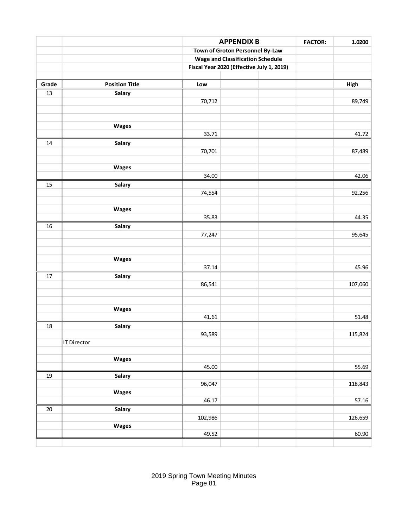|        |                       |         | <b>APPENDIX B</b>                         | <b>FACTOR:</b> | 1.0200  |
|--------|-----------------------|---------|-------------------------------------------|----------------|---------|
|        |                       |         | Town of Groton Personnel By-Law           |                |         |
|        |                       |         | <b>Wage and Classification Schedule</b>   |                |         |
|        |                       |         | Fiscal Year 2020 (Effective July 1, 2019) |                |         |
|        |                       |         |                                           |                |         |
| Grade  | <b>Position Title</b> | Low     |                                           |                | High    |
| 13     | Salary                |         |                                           |                |         |
|        |                       | 70,712  |                                           |                | 89,749  |
|        |                       |         |                                           |                |         |
|        | Wages                 |         |                                           |                |         |
|        |                       | 33.71   |                                           |                | 41.72   |
| 14     | Salary                |         |                                           |                |         |
|        |                       | 70,701  |                                           |                | 87,489  |
|        |                       |         |                                           |                |         |
|        | Wages                 |         |                                           |                |         |
|        |                       | 34.00   |                                           |                | 42.06   |
| 15     | Salary                |         |                                           |                |         |
|        |                       | 74,554  |                                           |                | 92,256  |
|        |                       |         |                                           |                |         |
|        | Wages                 |         |                                           |                |         |
|        |                       | 35.83   |                                           |                | 44.35   |
| 16     | Salary                |         |                                           |                |         |
|        |                       | 77,247  |                                           |                | 95,645  |
|        |                       |         |                                           |                |         |
|        | Wages                 |         |                                           |                |         |
|        |                       | 37.14   |                                           |                | 45.96   |
| $17\,$ | Salary                |         |                                           |                |         |
|        |                       | 86,541  |                                           |                | 107,060 |
|        |                       |         |                                           |                |         |
|        |                       |         |                                           |                |         |
|        | Wages                 |         |                                           |                |         |
|        |                       | 41.61   |                                           |                | 51.48   |
| 18     | Salary                |         |                                           |                |         |
|        |                       | 93,589  |                                           |                | 115,824 |
|        | <b>IT Director</b>    |         |                                           |                |         |
|        |                       |         |                                           |                |         |
|        | Wages                 |         |                                           |                |         |
|        |                       | 45.00   |                                           |                | 55.69   |
| 19     | Salary                |         |                                           |                |         |
|        |                       | 96,047  |                                           |                | 118,843 |
|        | Wages                 | 46.17   |                                           |                | 57.16   |
| 20     | Salary                |         |                                           |                |         |
|        |                       | 102,986 |                                           |                | 126,659 |
|        | Wages                 |         |                                           |                |         |
|        |                       | 49.52   |                                           |                | 60.90   |
|        |                       |         |                                           |                |         |